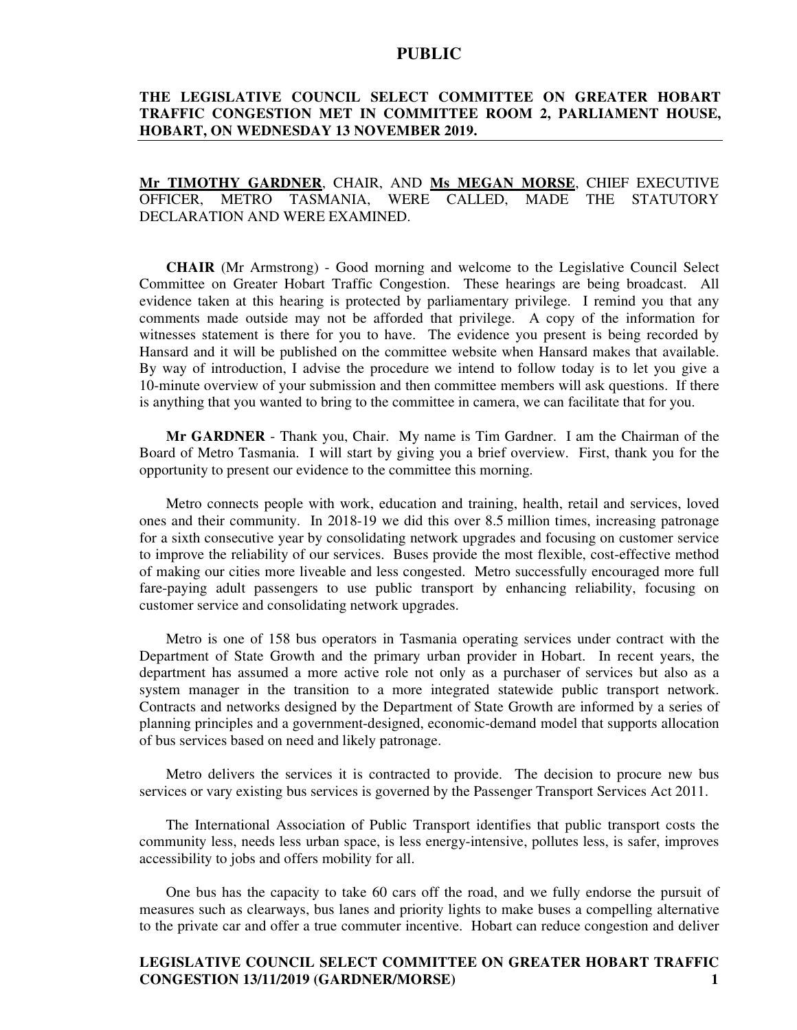# **THE LEGISLATIVE COUNCIL SELECT COMMITTEE ON GREATER HOBART TRAFFIC CONGESTION MET IN COMMITTEE ROOM 2, PARLIAMENT HOUSE, HOBART, ON WEDNESDAY 13 NOVEMBER 2019.**

## **Mr TIMOTHY GARDNER**, CHAIR, AND **Ms MEGAN MORSE**, CHIEF EXECUTIVE OFFICER, METRO TASMANIA, WERE CALLED, MADE THE STATUTORY DECLARATION AND WERE EXAMINED.

**CHAIR** (Mr Armstrong) - Good morning and welcome to the Legislative Council Select Committee on Greater Hobart Traffic Congestion. These hearings are being broadcast. All evidence taken at this hearing is protected by parliamentary privilege. I remind you that any comments made outside may not be afforded that privilege. A copy of the information for witnesses statement is there for you to have. The evidence you present is being recorded by Hansard and it will be published on the committee website when Hansard makes that available. By way of introduction, I advise the procedure we intend to follow today is to let you give a 10-minute overview of your submission and then committee members will ask questions. If there is anything that you wanted to bring to the committee in camera, we can facilitate that for you.

**Mr GARDNER** - Thank you, Chair. My name is Tim Gardner. I am the Chairman of the Board of Metro Tasmania. I will start by giving you a brief overview. First, thank you for the opportunity to present our evidence to the committee this morning.

Metro connects people with work, education and training, health, retail and services, loved ones and their community. In 2018-19 we did this over 8.5 million times, increasing patronage for a sixth consecutive year by consolidating network upgrades and focusing on customer service to improve the reliability of our services. Buses provide the most flexible, cost-effective method of making our cities more liveable and less congested. Metro successfully encouraged more full fare-paying adult passengers to use public transport by enhancing reliability, focusing on customer service and consolidating network upgrades.

Metro is one of 158 bus operators in Tasmania operating services under contract with the Department of State Growth and the primary urban provider in Hobart. In recent years, the department has assumed a more active role not only as a purchaser of services but also as a system manager in the transition to a more integrated statewide public transport network. Contracts and networks designed by the Department of State Growth are informed by a series of planning principles and a government-designed, economic-demand model that supports allocation of bus services based on need and likely patronage.

Metro delivers the services it is contracted to provide. The decision to procure new bus services or vary existing bus services is governed by the Passenger Transport Services Act 2011.

The International Association of Public Transport identifies that public transport costs the community less, needs less urban space, is less energy-intensive, pollutes less, is safer, improves accessibility to jobs and offers mobility for all.

One bus has the capacity to take 60 cars off the road, and we fully endorse the pursuit of measures such as clearways, bus lanes and priority lights to make buses a compelling alternative to the private car and offer a true commuter incentive. Hobart can reduce congestion and deliver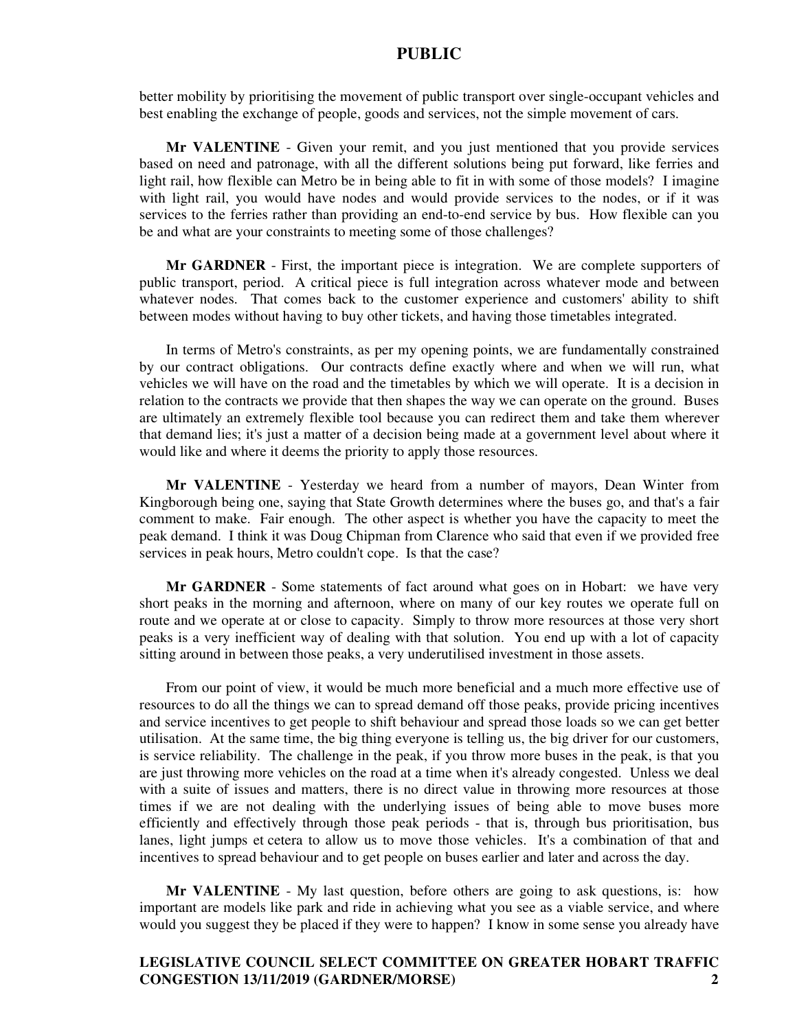better mobility by prioritising the movement of public transport over single-occupant vehicles and best enabling the exchange of people, goods and services, not the simple movement of cars.

**Mr VALENTINE** - Given your remit, and you just mentioned that you provide services based on need and patronage, with all the different solutions being put forward, like ferries and light rail, how flexible can Metro be in being able to fit in with some of those models? I imagine with light rail, you would have nodes and would provide services to the nodes, or if it was services to the ferries rather than providing an end-to-end service by bus. How flexible can you be and what are your constraints to meeting some of those challenges?

**Mr GARDNER** - First, the important piece is integration. We are complete supporters of public transport, period. A critical piece is full integration across whatever mode and between whatever nodes. That comes back to the customer experience and customers' ability to shift between modes without having to buy other tickets, and having those timetables integrated.

In terms of Metro's constraints, as per my opening points, we are fundamentally constrained by our contract obligations. Our contracts define exactly where and when we will run, what vehicles we will have on the road and the timetables by which we will operate. It is a decision in relation to the contracts we provide that then shapes the way we can operate on the ground. Buses are ultimately an extremely flexible tool because you can redirect them and take them wherever that demand lies; it's just a matter of a decision being made at a government level about where it would like and where it deems the priority to apply those resources.

**Mr VALENTINE** - Yesterday we heard from a number of mayors, Dean Winter from Kingborough being one, saying that State Growth determines where the buses go, and that's a fair comment to make. Fair enough. The other aspect is whether you have the capacity to meet the peak demand. I think it was Doug Chipman from Clarence who said that even if we provided free services in peak hours, Metro couldn't cope. Is that the case?

**Mr GARDNER** - Some statements of fact around what goes on in Hobart: we have very short peaks in the morning and afternoon, where on many of our key routes we operate full on route and we operate at or close to capacity. Simply to throw more resources at those very short peaks is a very inefficient way of dealing with that solution. You end up with a lot of capacity sitting around in between those peaks, a very underutilised investment in those assets.

From our point of view, it would be much more beneficial and a much more effective use of resources to do all the things we can to spread demand off those peaks, provide pricing incentives and service incentives to get people to shift behaviour and spread those loads so we can get better utilisation. At the same time, the big thing everyone is telling us, the big driver for our customers, is service reliability. The challenge in the peak, if you throw more buses in the peak, is that you are just throwing more vehicles on the road at a time when it's already congested. Unless we deal with a suite of issues and matters, there is no direct value in throwing more resources at those times if we are not dealing with the underlying issues of being able to move buses more efficiently and effectively through those peak periods - that is, through bus prioritisation, bus lanes, light jumps et cetera to allow us to move those vehicles. It's a combination of that and incentives to spread behaviour and to get people on buses earlier and later and across the day.

**Mr VALENTINE** - My last question, before others are going to ask questions, is: how important are models like park and ride in achieving what you see as a viable service, and where would you suggest they be placed if they were to happen? I know in some sense you already have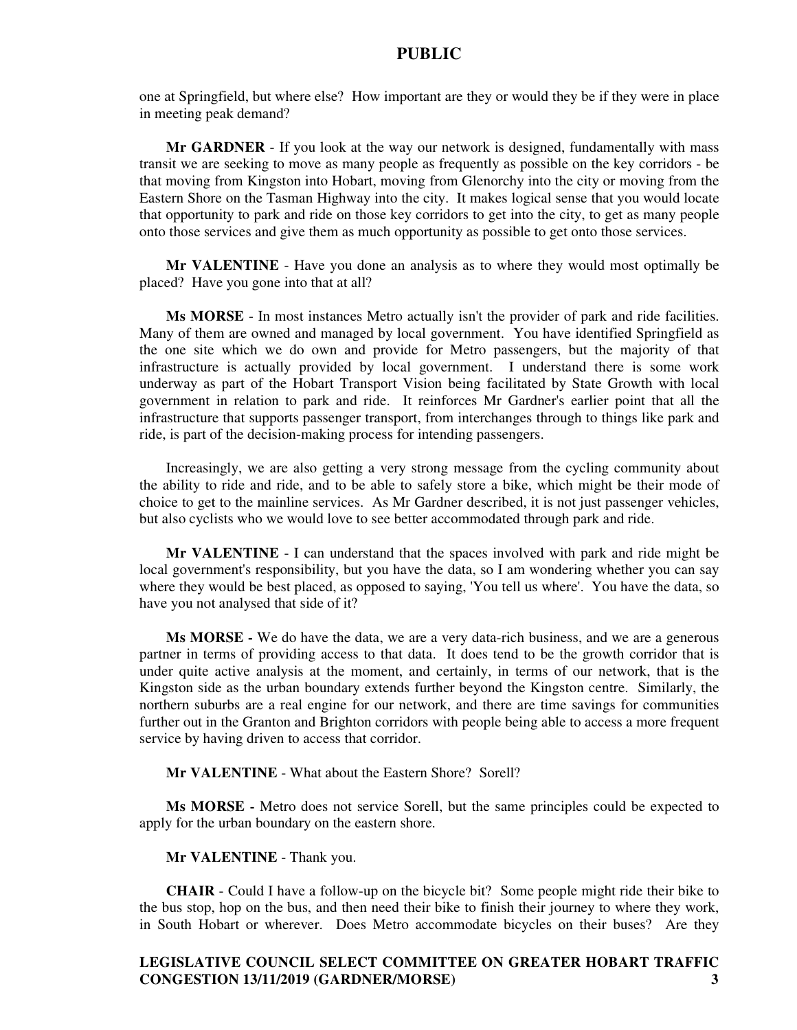one at Springfield, but where else? How important are they or would they be if they were in place in meeting peak demand?

**Mr GARDNER** - If you look at the way our network is designed, fundamentally with mass transit we are seeking to move as many people as frequently as possible on the key corridors - be that moving from Kingston into Hobart, moving from Glenorchy into the city or moving from the Eastern Shore on the Tasman Highway into the city. It makes logical sense that you would locate that opportunity to park and ride on those key corridors to get into the city, to get as many people onto those services and give them as much opportunity as possible to get onto those services.

**Mr VALENTINE** - Have you done an analysis as to where they would most optimally be placed? Have you gone into that at all?

**Ms MORSE** - In most instances Metro actually isn't the provider of park and ride facilities. Many of them are owned and managed by local government. You have identified Springfield as the one site which we do own and provide for Metro passengers, but the majority of that infrastructure is actually provided by local government. I understand there is some work underway as part of the Hobart Transport Vision being facilitated by State Growth with local government in relation to park and ride. It reinforces Mr Gardner's earlier point that all the infrastructure that supports passenger transport, from interchanges through to things like park and ride, is part of the decision-making process for intending passengers.

Increasingly, we are also getting a very strong message from the cycling community about the ability to ride and ride, and to be able to safely store a bike, which might be their mode of choice to get to the mainline services. As Mr Gardner described, it is not just passenger vehicles, but also cyclists who we would love to see better accommodated through park and ride.

**Mr VALENTINE** - I can understand that the spaces involved with park and ride might be local government's responsibility, but you have the data, so I am wondering whether you can say where they would be best placed, as opposed to saying, 'You tell us where'. You have the data, so have you not analysed that side of it?

**Ms MORSE -** We do have the data, we are a very data-rich business, and we are a generous partner in terms of providing access to that data. It does tend to be the growth corridor that is under quite active analysis at the moment, and certainly, in terms of our network, that is the Kingston side as the urban boundary extends further beyond the Kingston centre. Similarly, the northern suburbs are a real engine for our network, and there are time savings for communities further out in the Granton and Brighton corridors with people being able to access a more frequent service by having driven to access that corridor.

**Mr VALENTINE** - What about the Eastern Shore? Sorell?

**Ms MORSE -** Metro does not service Sorell, but the same principles could be expected to apply for the urban boundary on the eastern shore.

#### **Mr VALENTINE** - Thank you.

**CHAIR** - Could I have a follow-up on the bicycle bit? Some people might ride their bike to the bus stop, hop on the bus, and then need their bike to finish their journey to where they work, in South Hobart or wherever. Does Metro accommodate bicycles on their buses? Are they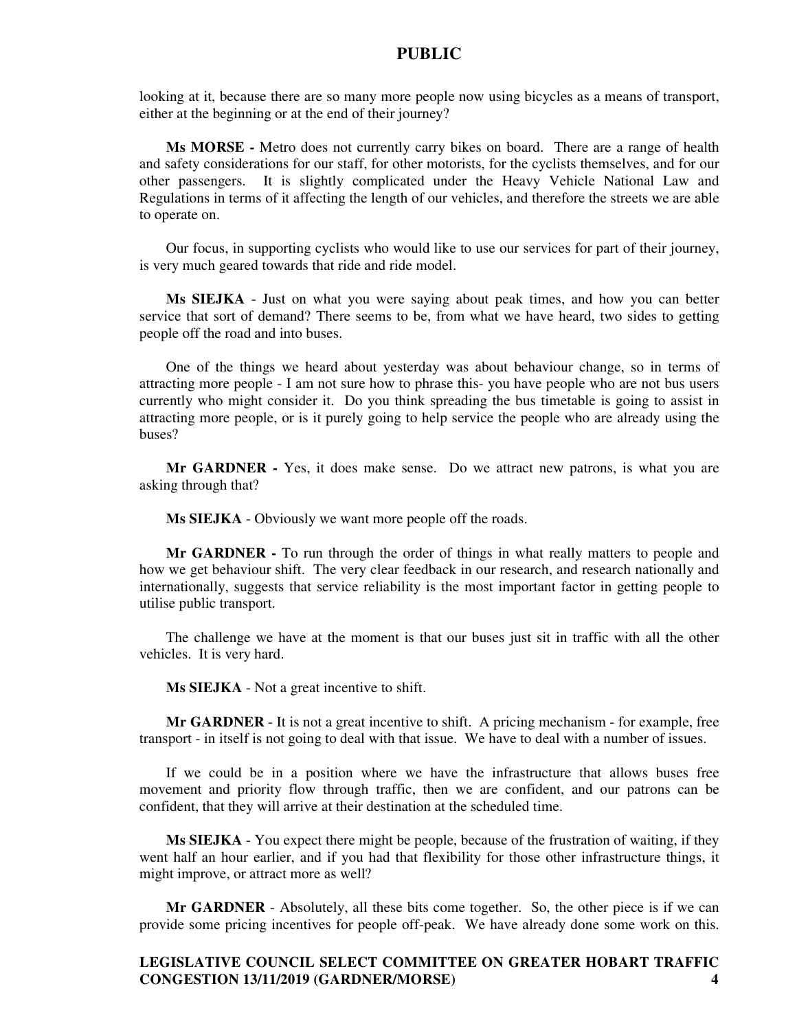looking at it, because there are so many more people now using bicycles as a means of transport, either at the beginning or at the end of their journey?

**Ms MORSE -** Metro does not currently carry bikes on board. There are a range of health and safety considerations for our staff, for other motorists, for the cyclists themselves, and for our other passengers. It is slightly complicated under the Heavy Vehicle National Law and Regulations in terms of it affecting the length of our vehicles, and therefore the streets we are able to operate on.

Our focus, in supporting cyclists who would like to use our services for part of their journey, is very much geared towards that ride and ride model.

**Ms SIEJKA** - Just on what you were saying about peak times, and how you can better service that sort of demand? There seems to be, from what we have heard, two sides to getting people off the road and into buses.

One of the things we heard about yesterday was about behaviour change, so in terms of attracting more people - I am not sure how to phrase this- you have people who are not bus users currently who might consider it. Do you think spreading the bus timetable is going to assist in attracting more people, or is it purely going to help service the people who are already using the buses?

**Mr GARDNER -** Yes, it does make sense. Do we attract new patrons, is what you are asking through that?

**Ms SIEJKA** - Obviously we want more people off the roads.

**Mr GARDNER -** To run through the order of things in what really matters to people and how we get behaviour shift. The very clear feedback in our research, and research nationally and internationally, suggests that service reliability is the most important factor in getting people to utilise public transport.

The challenge we have at the moment is that our buses just sit in traffic with all the other vehicles. It is very hard.

**Ms SIEJKA** - Not a great incentive to shift.

**Mr GARDNER** - It is not a great incentive to shift. A pricing mechanism - for example, free transport - in itself is not going to deal with that issue. We have to deal with a number of issues.

If we could be in a position where we have the infrastructure that allows buses free movement and priority flow through traffic, then we are confident, and our patrons can be confident, that they will arrive at their destination at the scheduled time.

**Ms SIEJKA** - You expect there might be people, because of the frustration of waiting, if they went half an hour earlier, and if you had that flexibility for those other infrastructure things, it might improve, or attract more as well?

**Mr GARDNER** - Absolutely, all these bits come together. So, the other piece is if we can provide some pricing incentives for people off-peak. We have already done some work on this.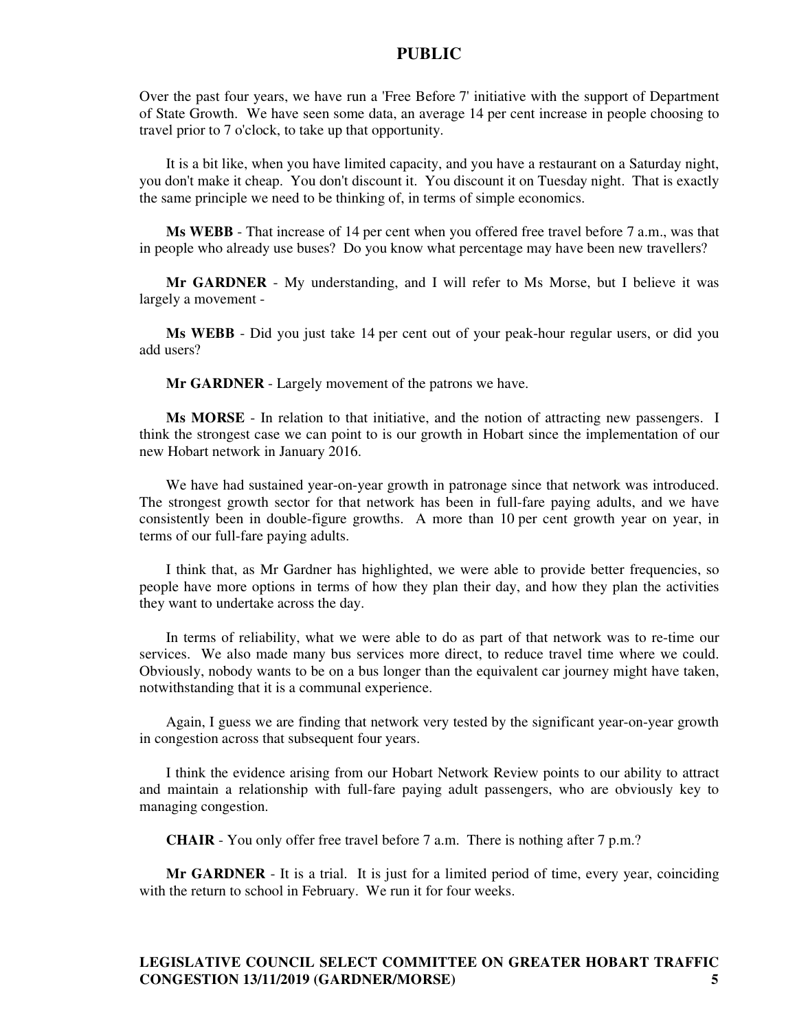Over the past four years, we have run a 'Free Before 7' initiative with the support of Department of State Growth. We have seen some data, an average 14 per cent increase in people choosing to travel prior to 7 o'clock, to take up that opportunity.

It is a bit like, when you have limited capacity, and you have a restaurant on a Saturday night, you don't make it cheap. You don't discount it. You discount it on Tuesday night. That is exactly the same principle we need to be thinking of, in terms of simple economics.

**Ms WEBB** - That increase of 14 per cent when you offered free travel before 7 a.m., was that in people who already use buses? Do you know what percentage may have been new travellers?

**Mr GARDNER** - My understanding, and I will refer to Ms Morse, but I believe it was largely a movement -

**Ms WEBB** - Did you just take 14 per cent out of your peak-hour regular users, or did you add users?

**Mr GARDNER** - Largely movement of the patrons we have.

**Ms MORSE** - In relation to that initiative, and the notion of attracting new passengers. I think the strongest case we can point to is our growth in Hobart since the implementation of our new Hobart network in January 2016.

We have had sustained year-on-year growth in patronage since that network was introduced. The strongest growth sector for that network has been in full-fare paying adults, and we have consistently been in double-figure growths. A more than 10 per cent growth year on year, in terms of our full-fare paying adults.

I think that, as Mr Gardner has highlighted, we were able to provide better frequencies, so people have more options in terms of how they plan their day, and how they plan the activities they want to undertake across the day.

In terms of reliability, what we were able to do as part of that network was to re-time our services. We also made many bus services more direct, to reduce travel time where we could. Obviously, nobody wants to be on a bus longer than the equivalent car journey might have taken, notwithstanding that it is a communal experience.

Again, I guess we are finding that network very tested by the significant year-on-year growth in congestion across that subsequent four years.

I think the evidence arising from our Hobart Network Review points to our ability to attract and maintain a relationship with full-fare paying adult passengers, who are obviously key to managing congestion.

**CHAIR** - You only offer free travel before 7 a.m. There is nothing after 7 p.m.?

**Mr GARDNER** - It is a trial. It is just for a limited period of time, every year, coinciding with the return to school in February. We run it for four weeks.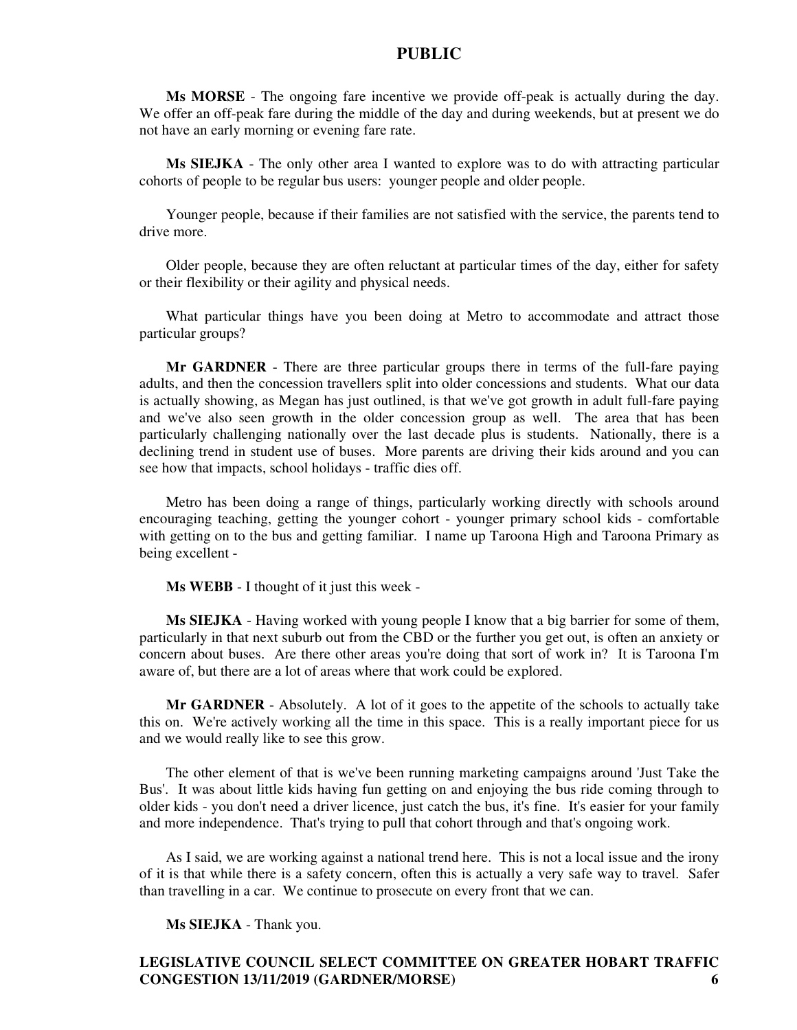**Ms MORSE** - The ongoing fare incentive we provide off-peak is actually during the day. We offer an off-peak fare during the middle of the day and during weekends, but at present we do not have an early morning or evening fare rate.

**Ms SIEJKA** - The only other area I wanted to explore was to do with attracting particular cohorts of people to be regular bus users: younger people and older people.

Younger people, because if their families are not satisfied with the service, the parents tend to drive more.

Older people, because they are often reluctant at particular times of the day, either for safety or their flexibility or their agility and physical needs.

What particular things have you been doing at Metro to accommodate and attract those particular groups?

**Mr GARDNER** - There are three particular groups there in terms of the full-fare paying adults, and then the concession travellers split into older concessions and students. What our data is actually showing, as Megan has just outlined, is that we've got growth in adult full-fare paying and we've also seen growth in the older concession group as well. The area that has been particularly challenging nationally over the last decade plus is students. Nationally, there is a declining trend in student use of buses. More parents are driving their kids around and you can see how that impacts, school holidays - traffic dies off.

Metro has been doing a range of things, particularly working directly with schools around encouraging teaching, getting the younger cohort - younger primary school kids - comfortable with getting on to the bus and getting familiar. I name up Taroona High and Taroona Primary as being excellent -

**Ms WEBB** - I thought of it just this week -

**Ms SIEJKA** - Having worked with young people I know that a big barrier for some of them, particularly in that next suburb out from the CBD or the further you get out, is often an anxiety or concern about buses. Are there other areas you're doing that sort of work in? It is Taroona I'm aware of, but there are a lot of areas where that work could be explored.

**Mr GARDNER** - Absolutely. A lot of it goes to the appetite of the schools to actually take this on. We're actively working all the time in this space. This is a really important piece for us and we would really like to see this grow.

The other element of that is we've been running marketing campaigns around 'Just Take the Bus'. It was about little kids having fun getting on and enjoying the bus ride coming through to older kids - you don't need a driver licence, just catch the bus, it's fine. It's easier for your family and more independence. That's trying to pull that cohort through and that's ongoing work.

As I said, we are working against a national trend here. This is not a local issue and the irony of it is that while there is a safety concern, often this is actually a very safe way to travel. Safer than travelling in a car. We continue to prosecute on every front that we can.

**Ms SIEJKA** - Thank you.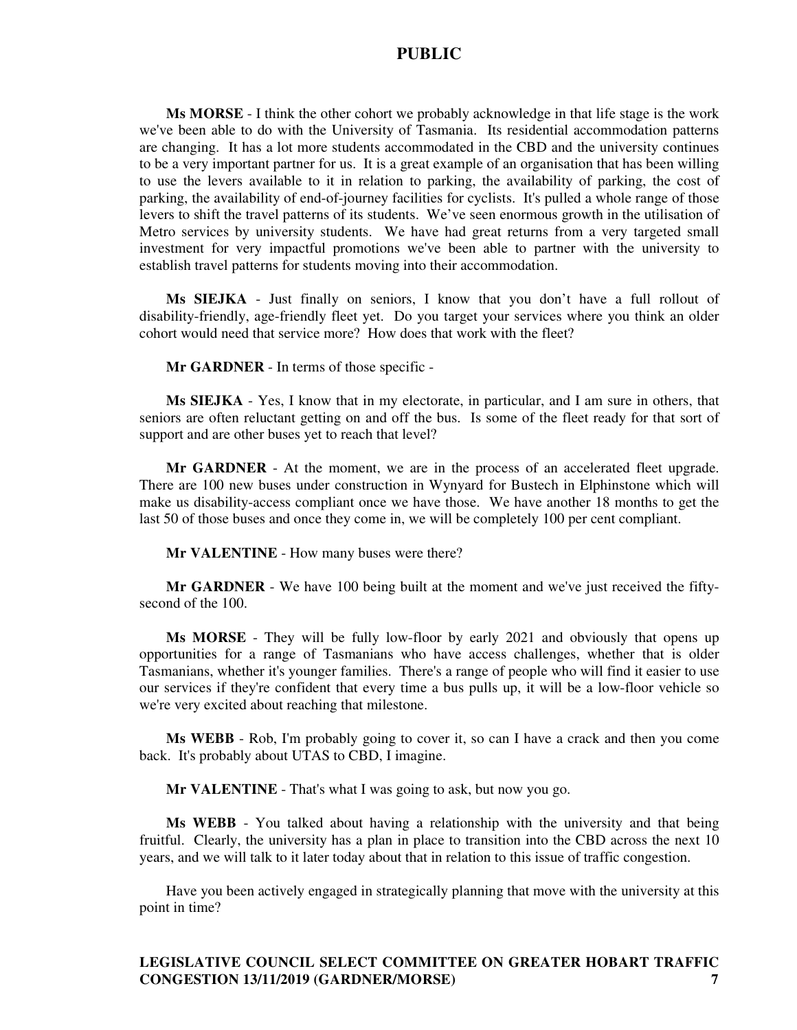**Ms MORSE** - I think the other cohort we probably acknowledge in that life stage is the work we've been able to do with the University of Tasmania. Its residential accommodation patterns are changing. It has a lot more students accommodated in the CBD and the university continues to be a very important partner for us. It is a great example of an organisation that has been willing to use the levers available to it in relation to parking, the availability of parking, the cost of parking, the availability of end-of-journey facilities for cyclists. It's pulled a whole range of those levers to shift the travel patterns of its students. We've seen enormous growth in the utilisation of Metro services by university students. We have had great returns from a very targeted small investment for very impactful promotions we've been able to partner with the university to establish travel patterns for students moving into their accommodation.

**Ms SIEJKA** - Just finally on seniors, I know that you don't have a full rollout of disability-friendly, age-friendly fleet yet. Do you target your services where you think an older cohort would need that service more? How does that work with the fleet?

**Mr GARDNER** - In terms of those specific -

**Ms SIEJKA** - Yes, I know that in my electorate, in particular, and I am sure in others, that seniors are often reluctant getting on and off the bus. Is some of the fleet ready for that sort of support and are other buses yet to reach that level?

**Mr GARDNER** - At the moment, we are in the process of an accelerated fleet upgrade. There are 100 new buses under construction in Wynyard for Bustech in Elphinstone which will make us disability-access compliant once we have those. We have another 18 months to get the last 50 of those buses and once they come in, we will be completely 100 per cent compliant.

**Mr VALENTINE** - How many buses were there?

**Mr GARDNER** - We have 100 being built at the moment and we've just received the fiftysecond of the 100.

**Ms MORSE** - They will be fully low-floor by early 2021 and obviously that opens up opportunities for a range of Tasmanians who have access challenges, whether that is older Tasmanians, whether it's younger families. There's a range of people who will find it easier to use our services if they're confident that every time a bus pulls up, it will be a low-floor vehicle so we're very excited about reaching that milestone.

**Ms WEBB** - Rob, I'm probably going to cover it, so can I have a crack and then you come back. It's probably about UTAS to CBD, I imagine.

**Mr VALENTINE** - That's what I was going to ask, but now you go.

**Ms WEBB** - You talked about having a relationship with the university and that being fruitful. Clearly, the university has a plan in place to transition into the CBD across the next 10 years, and we will talk to it later today about that in relation to this issue of traffic congestion.

Have you been actively engaged in strategically planning that move with the university at this point in time?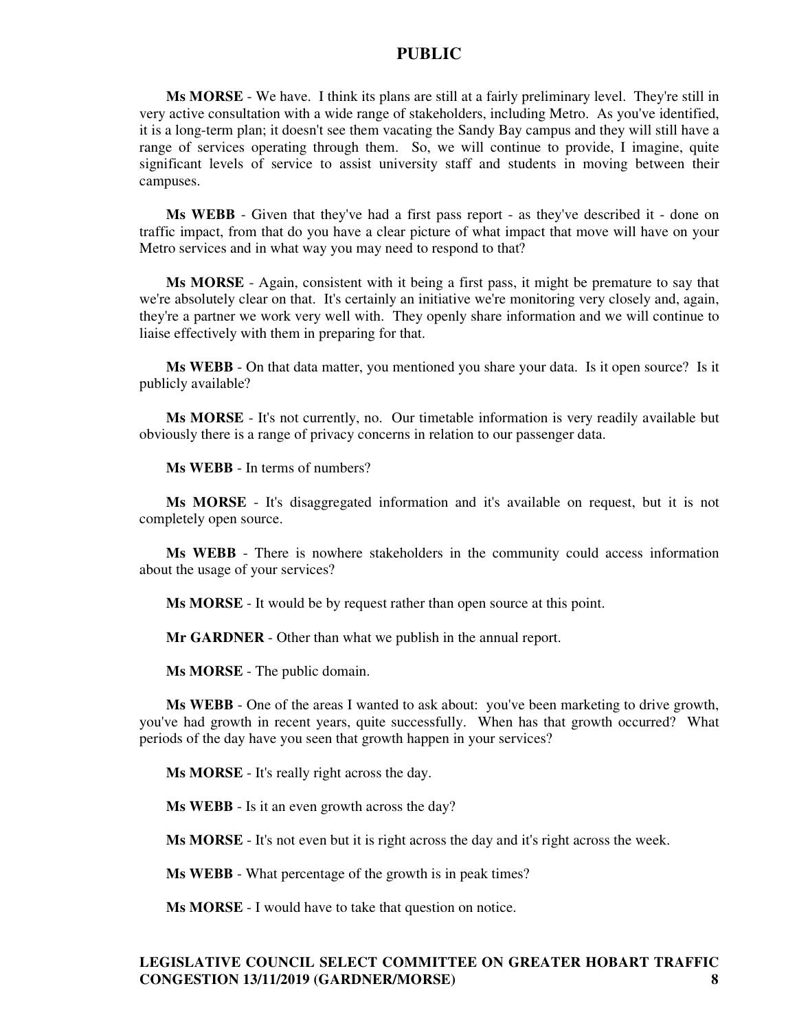**Ms MORSE** - We have. I think its plans are still at a fairly preliminary level. They're still in very active consultation with a wide range of stakeholders, including Metro. As you've identified, it is a long-term plan; it doesn't see them vacating the Sandy Bay campus and they will still have a range of services operating through them. So, we will continue to provide, I imagine, quite significant levels of service to assist university staff and students in moving between their campuses.

**Ms WEBB** - Given that they've had a first pass report - as they've described it - done on traffic impact, from that do you have a clear picture of what impact that move will have on your Metro services and in what way you may need to respond to that?

**Ms MORSE** - Again, consistent with it being a first pass, it might be premature to say that we're absolutely clear on that. It's certainly an initiative we're monitoring very closely and, again, they're a partner we work very well with. They openly share information and we will continue to liaise effectively with them in preparing for that.

**Ms WEBB** - On that data matter, you mentioned you share your data. Is it open source? Is it publicly available?

**Ms MORSE** - It's not currently, no. Our timetable information is very readily available but obviously there is a range of privacy concerns in relation to our passenger data.

**Ms WEBB** - In terms of numbers?

**Ms MORSE** - It's disaggregated information and it's available on request, but it is not completely open source.

**Ms WEBB** - There is nowhere stakeholders in the community could access information about the usage of your services?

**Ms MORSE** - It would be by request rather than open source at this point.

**Mr GARDNER** - Other than what we publish in the annual report.

**Ms MORSE** - The public domain.

**Ms WEBB** - One of the areas I wanted to ask about: you've been marketing to drive growth, you've had growth in recent years, quite successfully. When has that growth occurred? What periods of the day have you seen that growth happen in your services?

**Ms MORSE** - It's really right across the day.

**Ms WEBB** - Is it an even growth across the day?

**Ms MORSE** - It's not even but it is right across the day and it's right across the week.

**Ms WEBB** - What percentage of the growth is in peak times?

**Ms MORSE** - I would have to take that question on notice.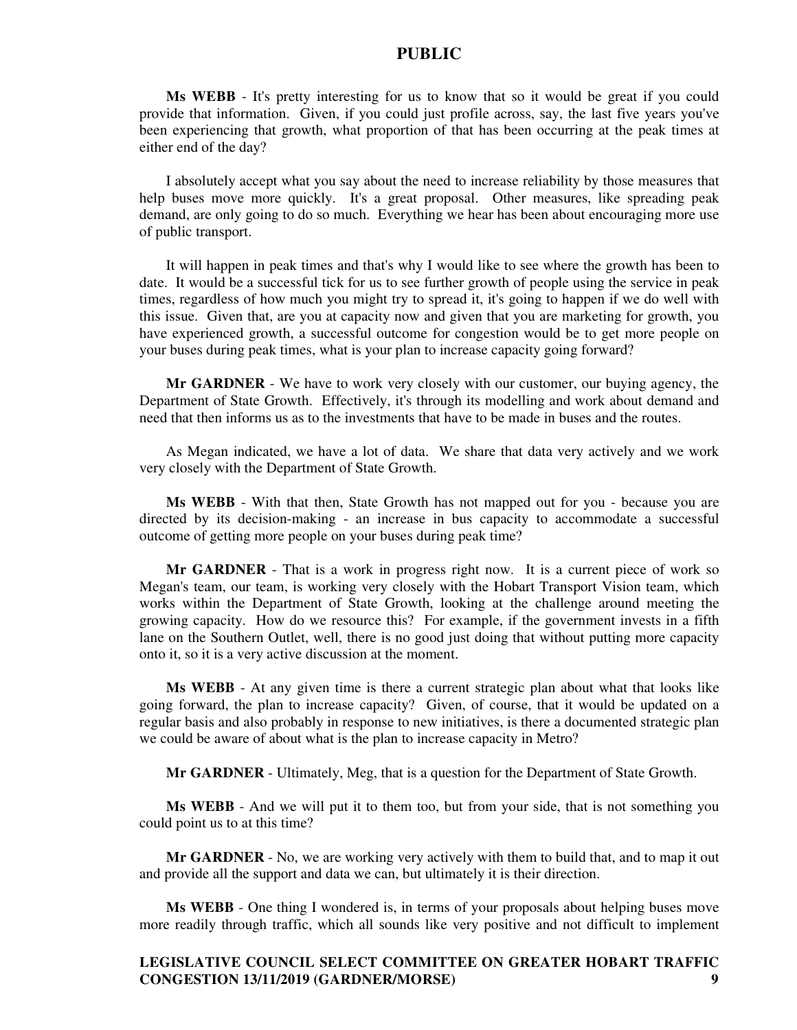**Ms WEBB** - It's pretty interesting for us to know that so it would be great if you could provide that information. Given, if you could just profile across, say, the last five years you've been experiencing that growth, what proportion of that has been occurring at the peak times at either end of the day?

I absolutely accept what you say about the need to increase reliability by those measures that help buses move more quickly. It's a great proposal. Other measures, like spreading peak demand, are only going to do so much. Everything we hear has been about encouraging more use of public transport.

It will happen in peak times and that's why I would like to see where the growth has been to date. It would be a successful tick for us to see further growth of people using the service in peak times, regardless of how much you might try to spread it, it's going to happen if we do well with this issue. Given that, are you at capacity now and given that you are marketing for growth, you have experienced growth, a successful outcome for congestion would be to get more people on your buses during peak times, what is your plan to increase capacity going forward?

**Mr GARDNER** - We have to work very closely with our customer, our buying agency, the Department of State Growth. Effectively, it's through its modelling and work about demand and need that then informs us as to the investments that have to be made in buses and the routes.

As Megan indicated, we have a lot of data. We share that data very actively and we work very closely with the Department of State Growth.

**Ms WEBB** - With that then, State Growth has not mapped out for you - because you are directed by its decision-making - an increase in bus capacity to accommodate a successful outcome of getting more people on your buses during peak time?

**Mr GARDNER** - That is a work in progress right now. It is a current piece of work so Megan's team, our team, is working very closely with the Hobart Transport Vision team, which works within the Department of State Growth, looking at the challenge around meeting the growing capacity. How do we resource this? For example, if the government invests in a fifth lane on the Southern Outlet, well, there is no good just doing that without putting more capacity onto it, so it is a very active discussion at the moment.

**Ms WEBB** - At any given time is there a current strategic plan about what that looks like going forward, the plan to increase capacity? Given, of course, that it would be updated on a regular basis and also probably in response to new initiatives, is there a documented strategic plan we could be aware of about what is the plan to increase capacity in Metro?

**Mr GARDNER** - Ultimately, Meg, that is a question for the Department of State Growth.

**Ms WEBB** - And we will put it to them too, but from your side, that is not something you could point us to at this time?

**Mr GARDNER** - No, we are working very actively with them to build that, and to map it out and provide all the support and data we can, but ultimately it is their direction.

**Ms WEBB** - One thing I wondered is, in terms of your proposals about helping buses move more readily through traffic, which all sounds like very positive and not difficult to implement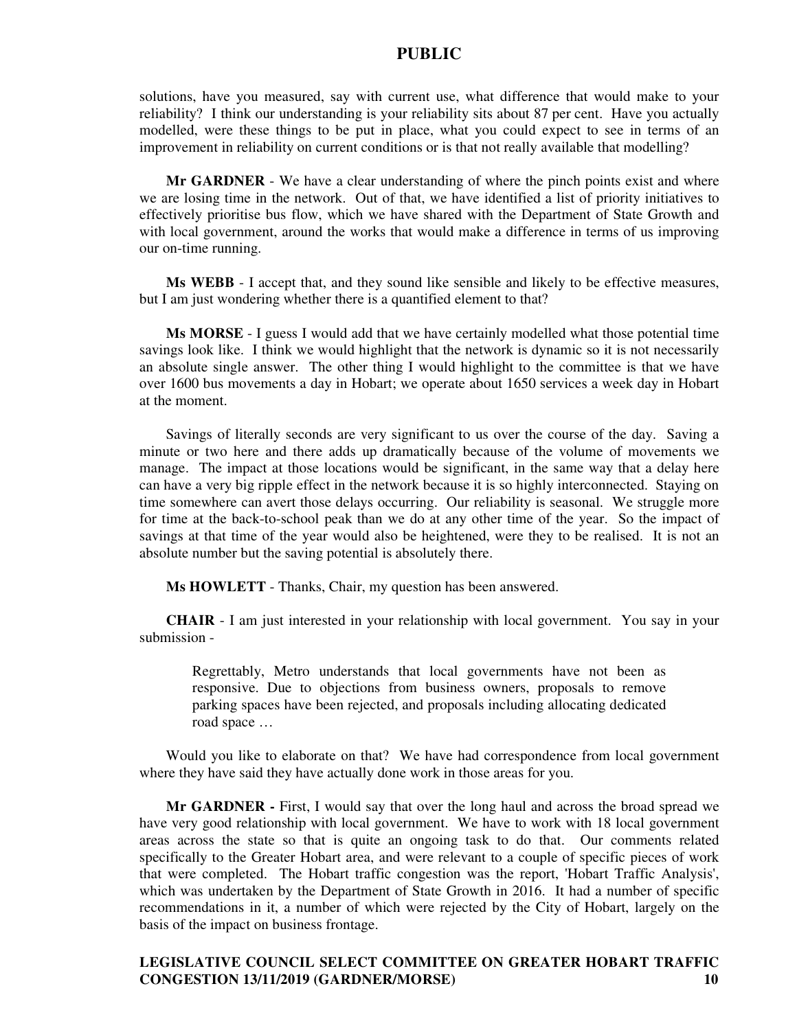solutions, have you measured, say with current use, what difference that would make to your reliability? I think our understanding is your reliability sits about 87 per cent. Have you actually modelled, were these things to be put in place, what you could expect to see in terms of an improvement in reliability on current conditions or is that not really available that modelling?

**Mr GARDNER** - We have a clear understanding of where the pinch points exist and where we are losing time in the network. Out of that, we have identified a list of priority initiatives to effectively prioritise bus flow, which we have shared with the Department of State Growth and with local government, around the works that would make a difference in terms of us improving our on-time running.

**Ms WEBB** - I accept that, and they sound like sensible and likely to be effective measures, but I am just wondering whether there is a quantified element to that?

**Ms MORSE** - I guess I would add that we have certainly modelled what those potential time savings look like. I think we would highlight that the network is dynamic so it is not necessarily an absolute single answer. The other thing I would highlight to the committee is that we have over 1600 bus movements a day in Hobart; we operate about 1650 services a week day in Hobart at the moment.

Savings of literally seconds are very significant to us over the course of the day. Saving a minute or two here and there adds up dramatically because of the volume of movements we manage. The impact at those locations would be significant, in the same way that a delay here can have a very big ripple effect in the network because it is so highly interconnected. Staying on time somewhere can avert those delays occurring. Our reliability is seasonal. We struggle more for time at the back-to-school peak than we do at any other time of the year. So the impact of savings at that time of the year would also be heightened, were they to be realised. It is not an absolute number but the saving potential is absolutely there.

**Ms HOWLETT** - Thanks, Chair, my question has been answered.

**CHAIR** - I am just interested in your relationship with local government. You say in your submission -

Regrettably, Metro understands that local governments have not been as responsive. Due to objections from business owners, proposals to remove parking spaces have been rejected, and proposals including allocating dedicated road space …

Would you like to elaborate on that? We have had correspondence from local government where they have said they have actually done work in those areas for you.

**Mr GARDNER -** First, I would say that over the long haul and across the broad spread we have very good relationship with local government. We have to work with 18 local government areas across the state so that is quite an ongoing task to do that. Our comments related specifically to the Greater Hobart area, and were relevant to a couple of specific pieces of work that were completed. The Hobart traffic congestion was the report, 'Hobart Traffic Analysis', which was undertaken by the Department of State Growth in 2016. It had a number of specific recommendations in it, a number of which were rejected by the City of Hobart, largely on the basis of the impact on business frontage.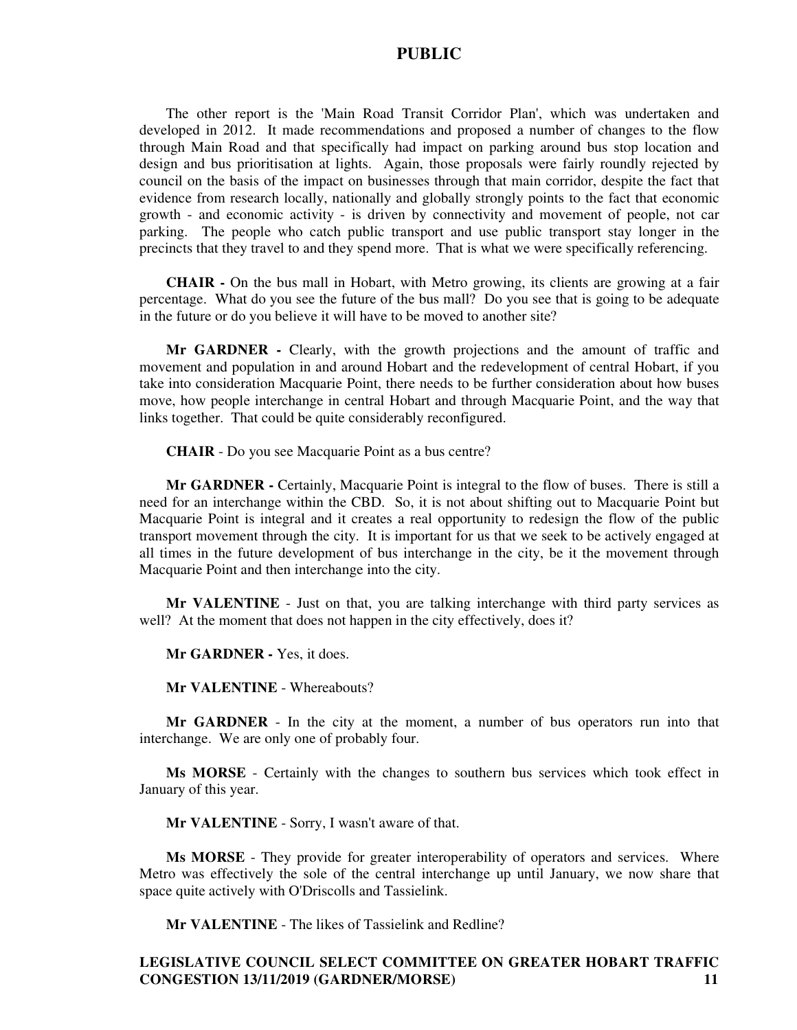The other report is the 'Main Road Transit Corridor Plan', which was undertaken and developed in 2012. It made recommendations and proposed a number of changes to the flow through Main Road and that specifically had impact on parking around bus stop location and design and bus prioritisation at lights. Again, those proposals were fairly roundly rejected by council on the basis of the impact on businesses through that main corridor, despite the fact that evidence from research locally, nationally and globally strongly points to the fact that economic growth - and economic activity - is driven by connectivity and movement of people, not car parking. The people who catch public transport and use public transport stay longer in the precincts that they travel to and they spend more. That is what we were specifically referencing.

**CHAIR -** On the bus mall in Hobart, with Metro growing, its clients are growing at a fair percentage. What do you see the future of the bus mall? Do you see that is going to be adequate in the future or do you believe it will have to be moved to another site?

**Mr GARDNER -** Clearly, with the growth projections and the amount of traffic and movement and population in and around Hobart and the redevelopment of central Hobart, if you take into consideration Macquarie Point, there needs to be further consideration about how buses move, how people interchange in central Hobart and through Macquarie Point, and the way that links together. That could be quite considerably reconfigured.

**CHAIR** - Do you see Macquarie Point as a bus centre?

**Mr GARDNER -** Certainly, Macquarie Point is integral to the flow of buses. There is still a need for an interchange within the CBD. So, it is not about shifting out to Macquarie Point but Macquarie Point is integral and it creates a real opportunity to redesign the flow of the public transport movement through the city. It is important for us that we seek to be actively engaged at all times in the future development of bus interchange in the city, be it the movement through Macquarie Point and then interchange into the city.

**Mr VALENTINE** - Just on that, you are talking interchange with third party services as well? At the moment that does not happen in the city effectively, does it?

**Mr GARDNER -** Yes, it does.

**Mr VALENTINE** - Whereabouts?

**Mr GARDNER** - In the city at the moment, a number of bus operators run into that interchange. We are only one of probably four.

**Ms MORSE** - Certainly with the changes to southern bus services which took effect in January of this year.

**Mr VALENTINE** - Sorry, I wasn't aware of that.

**Ms MORSE** - They provide for greater interoperability of operators and services. Where Metro was effectively the sole of the central interchange up until January, we now share that space quite actively with O'Driscolls and Tassielink.

**Mr VALENTINE** - The likes of Tassielink and Redline?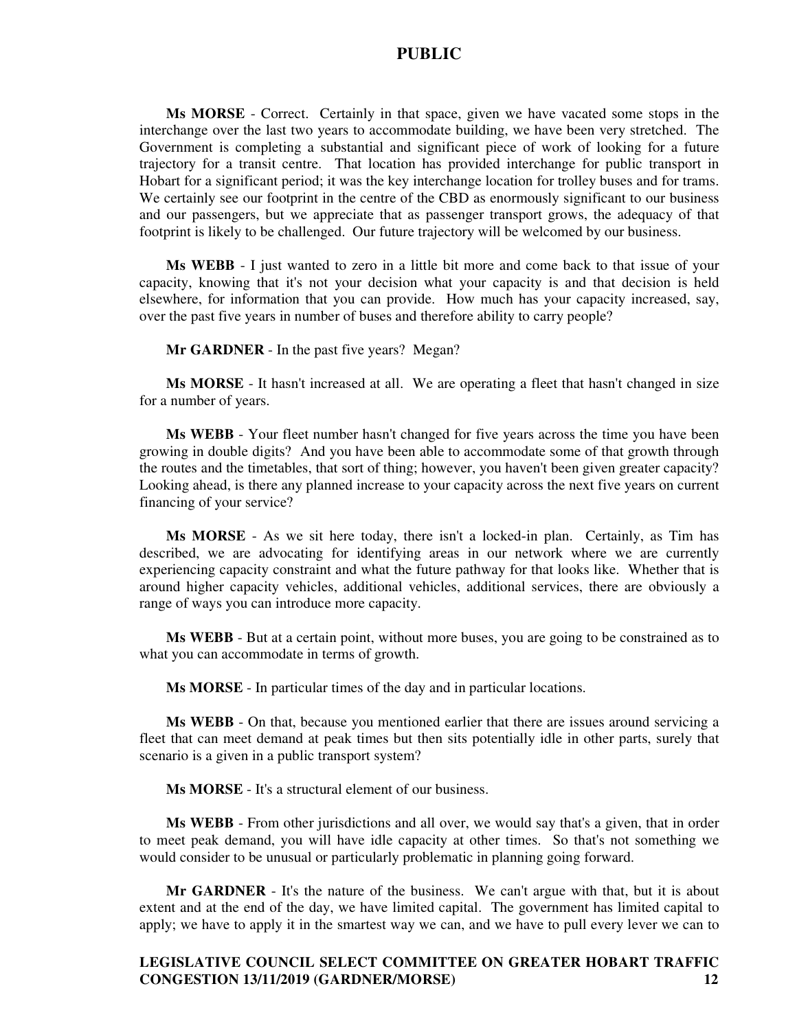**Ms MORSE** - Correct. Certainly in that space, given we have vacated some stops in the interchange over the last two years to accommodate building, we have been very stretched. The Government is completing a substantial and significant piece of work of looking for a future trajectory for a transit centre. That location has provided interchange for public transport in Hobart for a significant period; it was the key interchange location for trolley buses and for trams. We certainly see our footprint in the centre of the CBD as enormously significant to our business and our passengers, but we appreciate that as passenger transport grows, the adequacy of that footprint is likely to be challenged. Our future trajectory will be welcomed by our business.

**Ms WEBB** - I just wanted to zero in a little bit more and come back to that issue of your capacity, knowing that it's not your decision what your capacity is and that decision is held elsewhere, for information that you can provide. How much has your capacity increased, say, over the past five years in number of buses and therefore ability to carry people?

**Mr GARDNER** - In the past five years? Megan?

**Ms MORSE** - It hasn't increased at all. We are operating a fleet that hasn't changed in size for a number of years.

**Ms WEBB** - Your fleet number hasn't changed for five years across the time you have been growing in double digits? And you have been able to accommodate some of that growth through the routes and the timetables, that sort of thing; however, you haven't been given greater capacity? Looking ahead, is there any planned increase to your capacity across the next five years on current financing of your service?

**Ms MORSE** - As we sit here today, there isn't a locked-in plan. Certainly, as Tim has described, we are advocating for identifying areas in our network where we are currently experiencing capacity constraint and what the future pathway for that looks like. Whether that is around higher capacity vehicles, additional vehicles, additional services, there are obviously a range of ways you can introduce more capacity.

**Ms WEBB** - But at a certain point, without more buses, you are going to be constrained as to what you can accommodate in terms of growth.

**Ms MORSE** - In particular times of the day and in particular locations.

**Ms WEBB** - On that, because you mentioned earlier that there are issues around servicing a fleet that can meet demand at peak times but then sits potentially idle in other parts, surely that scenario is a given in a public transport system?

**Ms MORSE** - It's a structural element of our business.

**Ms WEBB** - From other jurisdictions and all over, we would say that's a given, that in order to meet peak demand, you will have idle capacity at other times. So that's not something we would consider to be unusual or particularly problematic in planning going forward.

**Mr GARDNER** - It's the nature of the business. We can't argue with that, but it is about extent and at the end of the day, we have limited capital. The government has limited capital to apply; we have to apply it in the smartest way we can, and we have to pull every lever we can to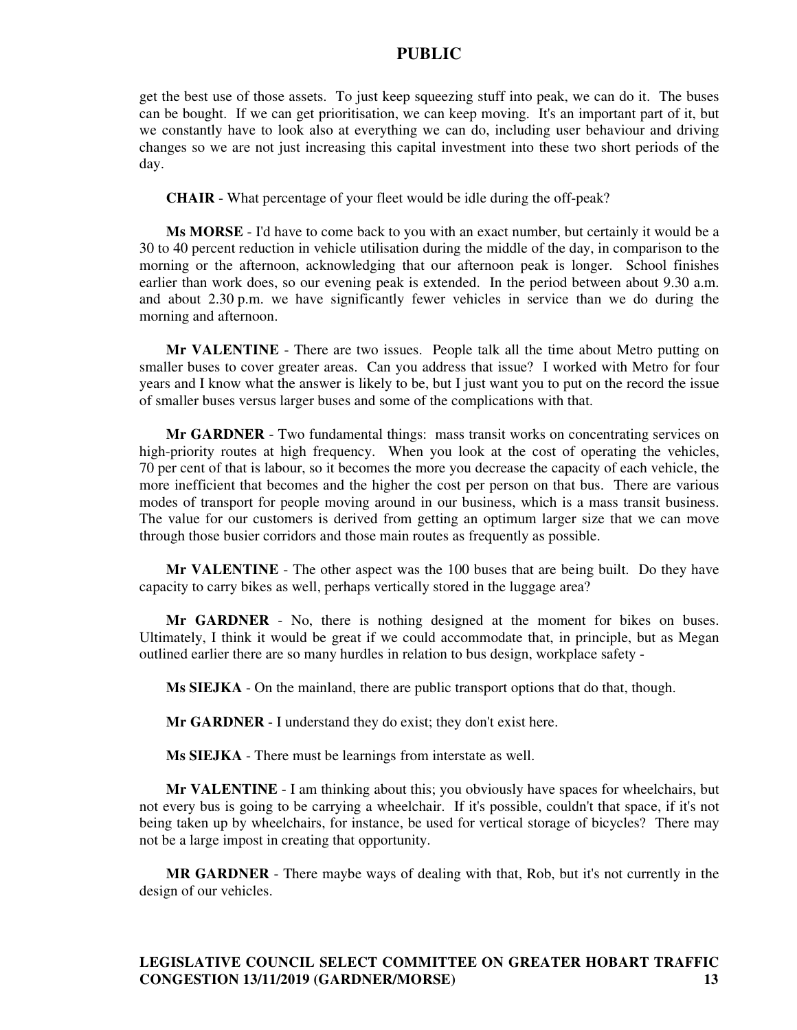get the best use of those assets. To just keep squeezing stuff into peak, we can do it. The buses can be bought. If we can get prioritisation, we can keep moving. It's an important part of it, but we constantly have to look also at everything we can do, including user behaviour and driving changes so we are not just increasing this capital investment into these two short periods of the day.

**CHAIR** - What percentage of your fleet would be idle during the off-peak?

**Ms MORSE** - I'd have to come back to you with an exact number, but certainly it would be a 30 to 40 percent reduction in vehicle utilisation during the middle of the day, in comparison to the morning or the afternoon, acknowledging that our afternoon peak is longer. School finishes earlier than work does, so our evening peak is extended. In the period between about 9.30 a.m. and about 2.30 p.m. we have significantly fewer vehicles in service than we do during the morning and afternoon.

**Mr VALENTINE** - There are two issues. People talk all the time about Metro putting on smaller buses to cover greater areas. Can you address that issue? I worked with Metro for four years and I know what the answer is likely to be, but I just want you to put on the record the issue of smaller buses versus larger buses and some of the complications with that.

**Mr GARDNER** - Two fundamental things: mass transit works on concentrating services on high-priority routes at high frequency. When you look at the cost of operating the vehicles, 70 per cent of that is labour, so it becomes the more you decrease the capacity of each vehicle, the more inefficient that becomes and the higher the cost per person on that bus. There are various modes of transport for people moving around in our business, which is a mass transit business. The value for our customers is derived from getting an optimum larger size that we can move through those busier corridors and those main routes as frequently as possible.

**Mr VALENTINE** - The other aspect was the 100 buses that are being built. Do they have capacity to carry bikes as well, perhaps vertically stored in the luggage area?

**Mr GARDNER** - No, there is nothing designed at the moment for bikes on buses. Ultimately, I think it would be great if we could accommodate that, in principle, but as Megan outlined earlier there are so many hurdles in relation to bus design, workplace safety -

**Ms SIEJKA** - On the mainland, there are public transport options that do that, though.

**Mr GARDNER** - I understand they do exist; they don't exist here.

**Ms SIEJKA** - There must be learnings from interstate as well.

**Mr VALENTINE** - I am thinking about this; you obviously have spaces for wheelchairs, but not every bus is going to be carrying a wheelchair. If it's possible, couldn't that space, if it's not being taken up by wheelchairs, for instance, be used for vertical storage of bicycles? There may not be a large impost in creating that opportunity.

**MR GARDNER** - There maybe ways of dealing with that, Rob, but it's not currently in the design of our vehicles.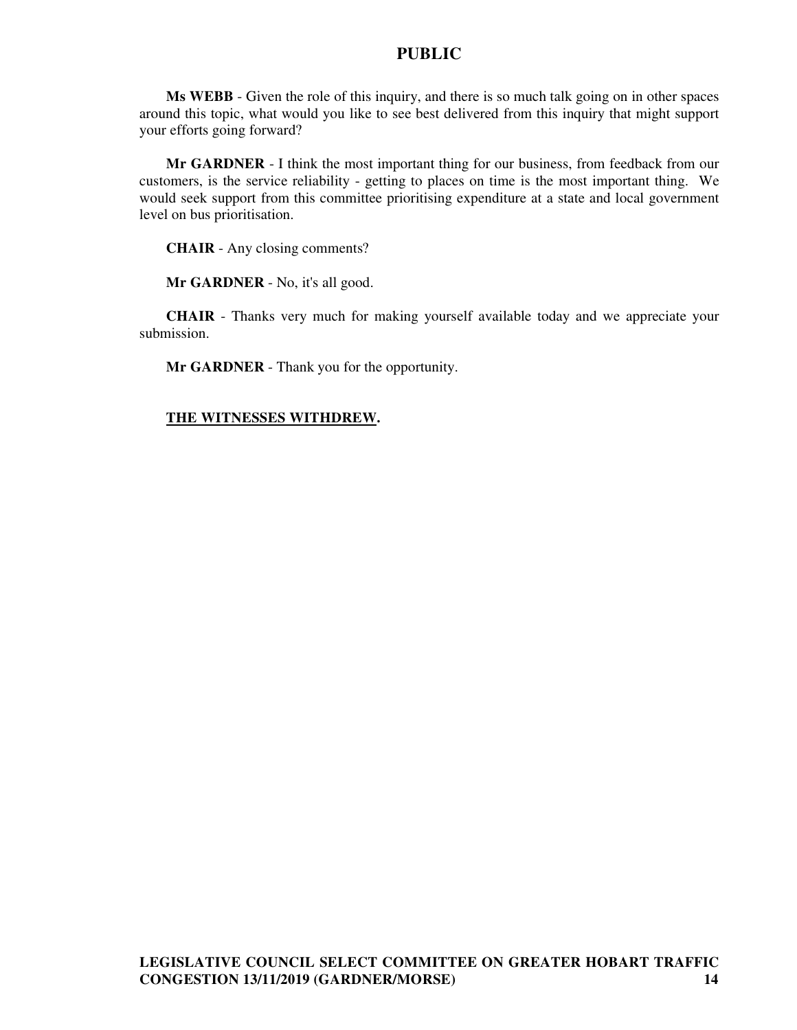**Ms WEBB** - Given the role of this inquiry, and there is so much talk going on in other spaces around this topic, what would you like to see best delivered from this inquiry that might support your efforts going forward?

**Mr GARDNER** - I think the most important thing for our business, from feedback from our customers, is the service reliability - getting to places on time is the most important thing. We would seek support from this committee prioritising expenditure at a state and local government level on bus prioritisation.

**CHAIR** - Any closing comments?

**Mr GARDNER** - No, it's all good.

**CHAIR** - Thanks very much for making yourself available today and we appreciate your submission.

**Mr GARDNER** - Thank you for the opportunity.

#### **THE WITNESSES WITHDREW.**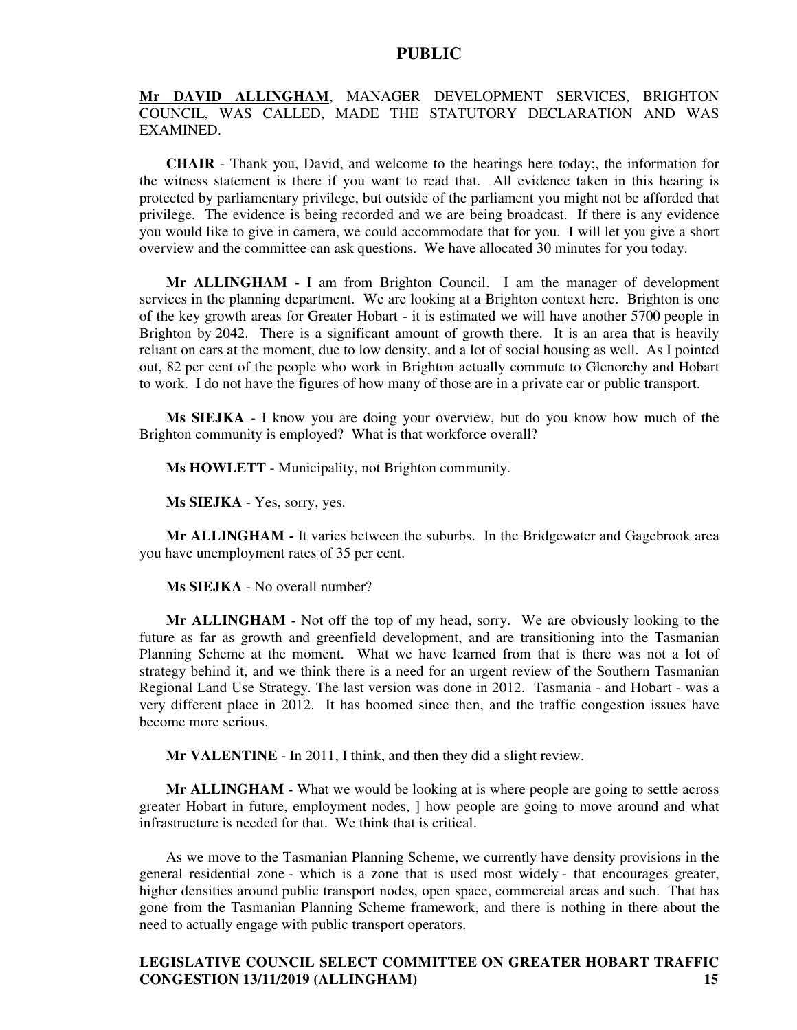### **Mr DAVID ALLINGHAM**, MANAGER DEVELOPMENT SERVICES, BRIGHTON COUNCIL, WAS CALLED, MADE THE STATUTORY DECLARATION AND WAS EXAMINED.

**CHAIR** - Thank you, David, and welcome to the hearings here today;, the information for the witness statement is there if you want to read that. All evidence taken in this hearing is protected by parliamentary privilege, but outside of the parliament you might not be afforded that privilege. The evidence is being recorded and we are being broadcast. If there is any evidence you would like to give in camera, we could accommodate that for you. I will let you give a short overview and the committee can ask questions. We have allocated 30 minutes for you today.

**Mr ALLINGHAM -** I am from Brighton Council. I am the manager of development services in the planning department. We are looking at a Brighton context here. Brighton is one of the key growth areas for Greater Hobart - it is estimated we will have another 5700 people in Brighton by 2042. There is a significant amount of growth there. It is an area that is heavily reliant on cars at the moment, due to low density, and a lot of social housing as well. As I pointed out, 82 per cent of the people who work in Brighton actually commute to Glenorchy and Hobart to work. I do not have the figures of how many of those are in a private car or public transport.

**Ms SIEJKA** - I know you are doing your overview, but do you know how much of the Brighton community is employed? What is that workforce overall?

**Ms HOWLETT** - Municipality, not Brighton community.

**Ms SIEJKA** - Yes, sorry, yes.

**Mr ALLINGHAM -** It varies between the suburbs. In the Bridgewater and Gagebrook area you have unemployment rates of 35 per cent.

**Ms SIEJKA** - No overall number?

**Mr ALLINGHAM -** Not off the top of my head, sorry. We are obviously looking to the future as far as growth and greenfield development, and are transitioning into the Tasmanian Planning Scheme at the moment. What we have learned from that is there was not a lot of strategy behind it, and we think there is a need for an urgent review of the Southern Tasmanian Regional Land Use Strategy. The last version was done in 2012. Tasmania - and Hobart - was a very different place in 2012. It has boomed since then, and the traffic congestion issues have become more serious.

**Mr VALENTINE** - In 2011, I think, and then they did a slight review.

**Mr ALLINGHAM -** What we would be looking at is where people are going to settle across greater Hobart in future, employment nodes, ] how people are going to move around and what infrastructure is needed for that. We think that is critical.

As we move to the Tasmanian Planning Scheme, we currently have density provisions in the general residential zone - which is a zone that is used most widely - that encourages greater, higher densities around public transport nodes, open space, commercial areas and such. That has gone from the Tasmanian Planning Scheme framework, and there is nothing in there about the need to actually engage with public transport operators.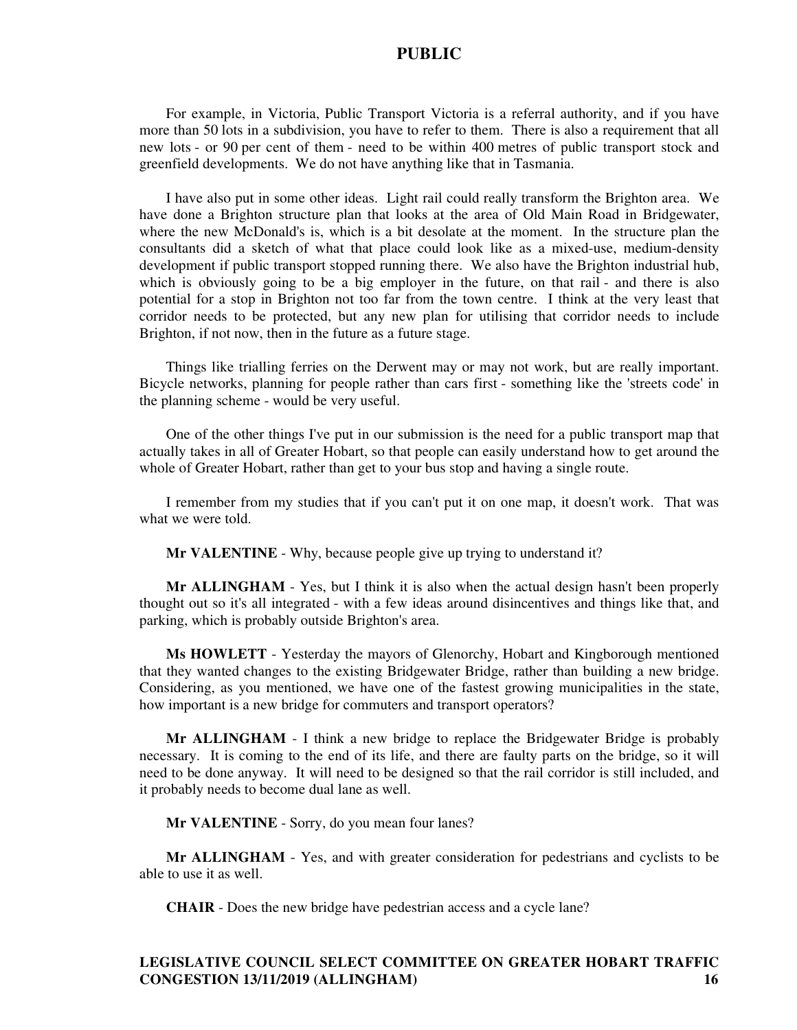For example, in Victoria, Public Transport Victoria is a referral authority, and if you have more than 50 lots in a subdivision, you have to refer to them. There is also a requirement that all new lots - or 90 per cent of them - need to be within 400 metres of public transport stock and greenfield developments. We do not have anything like that in Tasmania.

I have also put in some other ideas. Light rail could really transform the Brighton area. We have done a Brighton structure plan that looks at the area of Old Main Road in Bridgewater, where the new McDonald's is, which is a bit desolate at the moment. In the structure plan the consultants did a sketch of what that place could look like as a mixed-use, medium-density development if public transport stopped running there. We also have the Brighton industrial hub, which is obviously going to be a big employer in the future, on that rail - and there is also potential for a stop in Brighton not too far from the town centre. I think at the very least that corridor needs to be protected, but any new plan for utilising that corridor needs to include Brighton, if not now, then in the future as a future stage.

Things like trialling ferries on the Derwent may or may not work, but are really important. Bicycle networks, planning for people rather than cars first - something like the 'streets code' in the planning scheme - would be very useful.

One of the other things I've put in our submission is the need for a public transport map that actually takes in all of Greater Hobart, so that people can easily understand how to get around the whole of Greater Hobart, rather than get to your bus stop and having a single route.

I remember from my studies that if you can't put it on one map, it doesn't work. That was what we were told.

**Mr VALENTINE** - Why, because people give up trying to understand it?

**Mr ALLINGHAM** - Yes, but I think it is also when the actual design hasn't been properly thought out so it's all integrated - with a few ideas around disincentives and things like that, and parking, which is probably outside Brighton's area.

**Ms HOWLETT** - Yesterday the mayors of Glenorchy, Hobart and Kingborough mentioned that they wanted changes to the existing Bridgewater Bridge, rather than building a new bridge. Considering, as you mentioned, we have one of the fastest growing municipalities in the state, how important is a new bridge for commuters and transport operators?

**Mr ALLINGHAM** - I think a new bridge to replace the Bridgewater Bridge is probably necessary. It is coming to the end of its life, and there are faulty parts on the bridge, so it will need to be done anyway. It will need to be designed so that the rail corridor is still included, and it probably needs to become dual lane as well.

**Mr VALENTINE** - Sorry, do you mean four lanes?

**Mr ALLINGHAM** - Yes, and with greater consideration for pedestrians and cyclists to be able to use it as well.

**CHAIR** - Does the new bridge have pedestrian access and a cycle lane?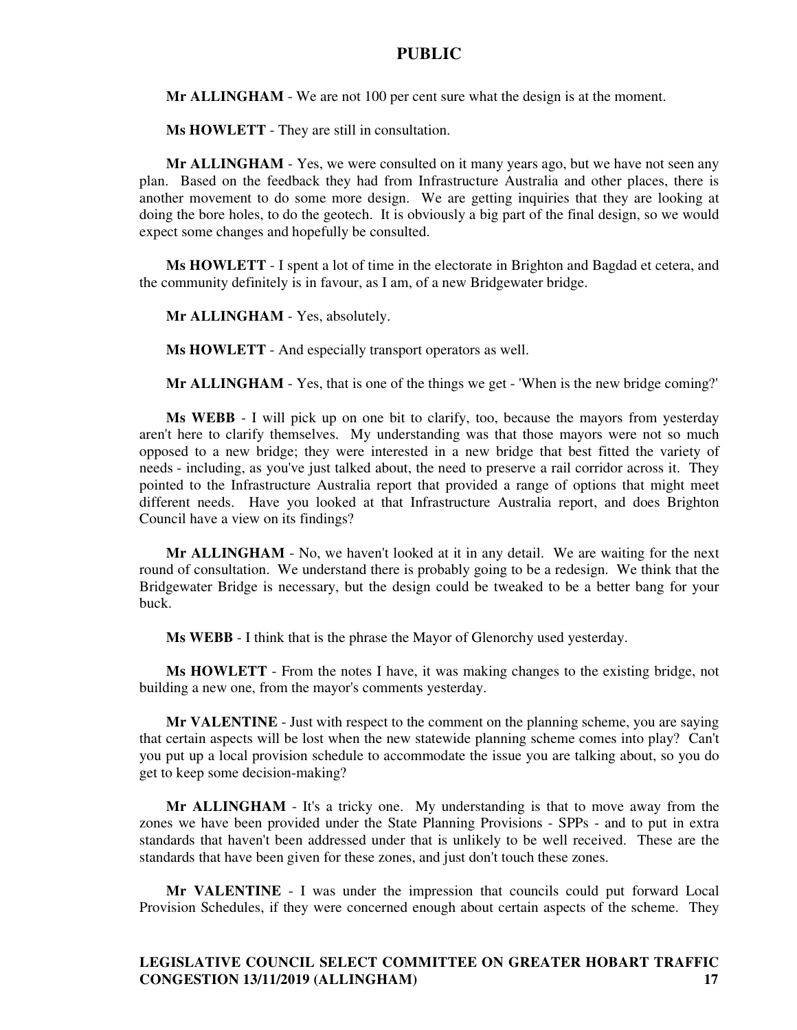**Mr ALLINGHAM** - We are not 100 per cent sure what the design is at the moment.

**Ms HOWLETT** - They are still in consultation.

**Mr ALLINGHAM** - Yes, we were consulted on it many years ago, but we have not seen any plan. Based on the feedback they had from Infrastructure Australia and other places, there is another movement to do some more design. We are getting inquiries that they are looking at doing the bore holes, to do the geotech. It is obviously a big part of the final design, so we would expect some changes and hopefully be consulted.

**Ms HOWLETT** - I spent a lot of time in the electorate in Brighton and Bagdad et cetera, and the community definitely is in favour, as I am, of a new Bridgewater bridge.

**Mr ALLINGHAM** - Yes, absolutely.

**Ms HOWLETT** - And especially transport operators as well.

**Mr ALLINGHAM** - Yes, that is one of the things we get - 'When is the new bridge coming?'

**Ms WEBB** - I will pick up on one bit to clarify, too, because the mayors from yesterday aren't here to clarify themselves. My understanding was that those mayors were not so much opposed to a new bridge; they were interested in a new bridge that best fitted the variety of needs - including, as you've just talked about, the need to preserve a rail corridor across it. They pointed to the Infrastructure Australia report that provided a range of options that might meet different needs. Have you looked at that Infrastructure Australia report, and does Brighton Council have a view on its findings?

**Mr ALLINGHAM** - No, we haven't looked at it in any detail. We are waiting for the next round of consultation. We understand there is probably going to be a redesign. We think that the Bridgewater Bridge is necessary, but the design could be tweaked to be a better bang for your buck.

**Ms WEBB** - I think that is the phrase the Mayor of Glenorchy used yesterday.

**Ms HOWLETT** - From the notes I have, it was making changes to the existing bridge, not building a new one, from the mayor's comments yesterday.

**Mr VALENTINE** - Just with respect to the comment on the planning scheme, you are saying that certain aspects will be lost when the new statewide planning scheme comes into play? Can't you put up a local provision schedule to accommodate the issue you are talking about, so you do get to keep some decision-making?

**Mr ALLINGHAM** - It's a tricky one. My understanding is that to move away from the zones we have been provided under the State Planning Provisions - SPPs - and to put in extra standards that haven't been addressed under that is unlikely to be well received. These are the standards that have been given for these zones, and just don't touch these zones.

**Mr VALENTINE** - I was under the impression that councils could put forward Local Provision Schedules, if they were concerned enough about certain aspects of the scheme. They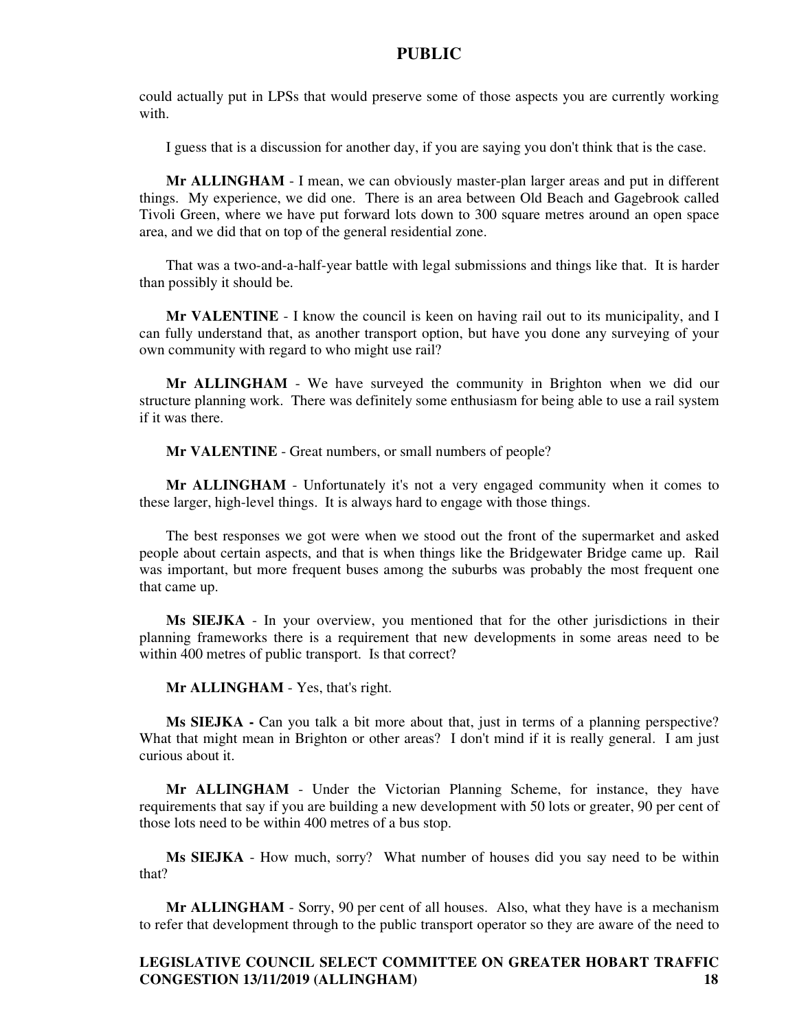could actually put in LPSs that would preserve some of those aspects you are currently working with.

I guess that is a discussion for another day, if you are saying you don't think that is the case.

**Mr ALLINGHAM** - I mean, we can obviously master-plan larger areas and put in different things. My experience, we did one. There is an area between Old Beach and Gagebrook called Tivoli Green, where we have put forward lots down to 300 square metres around an open space area, and we did that on top of the general residential zone.

That was a two-and-a-half-year battle with legal submissions and things like that. It is harder than possibly it should be.

**Mr VALENTINE** - I know the council is keen on having rail out to its municipality, and I can fully understand that, as another transport option, but have you done any surveying of your own community with regard to who might use rail?

**Mr ALLINGHAM** - We have surveyed the community in Brighton when we did our structure planning work. There was definitely some enthusiasm for being able to use a rail system if it was there.

**Mr VALENTINE** - Great numbers, or small numbers of people?

**Mr ALLINGHAM** - Unfortunately it's not a very engaged community when it comes to these larger, high-level things. It is always hard to engage with those things.

The best responses we got were when we stood out the front of the supermarket and asked people about certain aspects, and that is when things like the Bridgewater Bridge came up. Rail was important, but more frequent buses among the suburbs was probably the most frequent one that came up.

**Ms SIEJKA** - In your overview, you mentioned that for the other jurisdictions in their planning frameworks there is a requirement that new developments in some areas need to be within 400 metres of public transport. Is that correct?

**Mr ALLINGHAM** - Yes, that's right.

**Ms SIEJKA -** Can you talk a bit more about that, just in terms of a planning perspective? What that might mean in Brighton or other areas? I don't mind if it is really general. I am just curious about it.

**Mr ALLINGHAM** - Under the Victorian Planning Scheme, for instance, they have requirements that say if you are building a new development with 50 lots or greater, 90 per cent of those lots need to be within 400 metres of a bus stop.

**Ms SIEJKA** - How much, sorry? What number of houses did you say need to be within that?

**Mr ALLINGHAM** - Sorry, 90 per cent of all houses. Also, what they have is a mechanism to refer that development through to the public transport operator so they are aware of the need to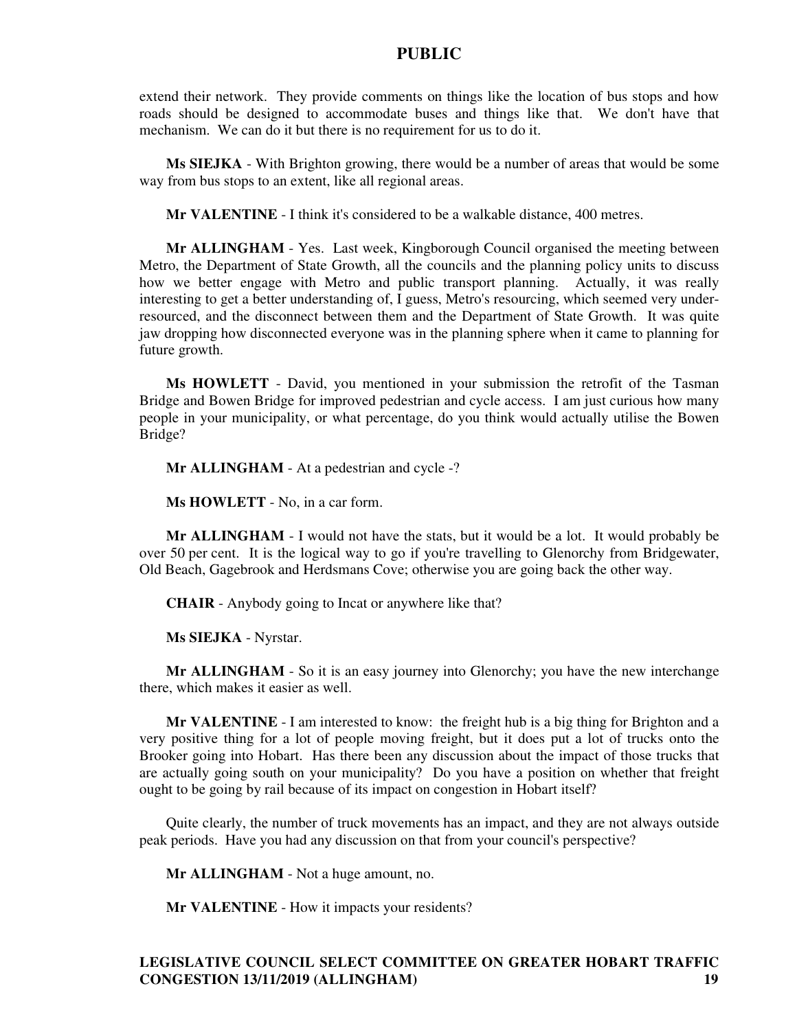extend their network. They provide comments on things like the location of bus stops and how roads should be designed to accommodate buses and things like that. We don't have that mechanism. We can do it but there is no requirement for us to do it.

**Ms SIEJKA** - With Brighton growing, there would be a number of areas that would be some way from bus stops to an extent, like all regional areas.

**Mr VALENTINE** - I think it's considered to be a walkable distance, 400 metres.

**Mr ALLINGHAM** - Yes. Last week, Kingborough Council organised the meeting between Metro, the Department of State Growth, all the councils and the planning policy units to discuss how we better engage with Metro and public transport planning. Actually, it was really interesting to get a better understanding of, I guess, Metro's resourcing, which seemed very underresourced, and the disconnect between them and the Department of State Growth. It was quite jaw dropping how disconnected everyone was in the planning sphere when it came to planning for future growth.

**Ms HOWLETT** - David, you mentioned in your submission the retrofit of the Tasman Bridge and Bowen Bridge for improved pedestrian and cycle access. I am just curious how many people in your municipality, or what percentage, do you think would actually utilise the Bowen Bridge?

**Mr ALLINGHAM** - At a pedestrian and cycle -?

**Ms HOWLETT** - No, in a car form.

**Mr ALLINGHAM** - I would not have the stats, but it would be a lot. It would probably be over 50 per cent. It is the logical way to go if you're travelling to Glenorchy from Bridgewater, Old Beach, Gagebrook and Herdsmans Cove; otherwise you are going back the other way.

**CHAIR** - Anybody going to Incat or anywhere like that?

**Ms SIEJKA** - Nyrstar.

**Mr ALLINGHAM** - So it is an easy journey into Glenorchy; you have the new interchange there, which makes it easier as well.

**Mr VALENTINE** - I am interested to know: the freight hub is a big thing for Brighton and a very positive thing for a lot of people moving freight, but it does put a lot of trucks onto the Brooker going into Hobart. Has there been any discussion about the impact of those trucks that are actually going south on your municipality? Do you have a position on whether that freight ought to be going by rail because of its impact on congestion in Hobart itself?

Quite clearly, the number of truck movements has an impact, and they are not always outside peak periods. Have you had any discussion on that from your council's perspective?

**Mr ALLINGHAM** - Not a huge amount, no.

**Mr VALENTINE** - How it impacts your residents?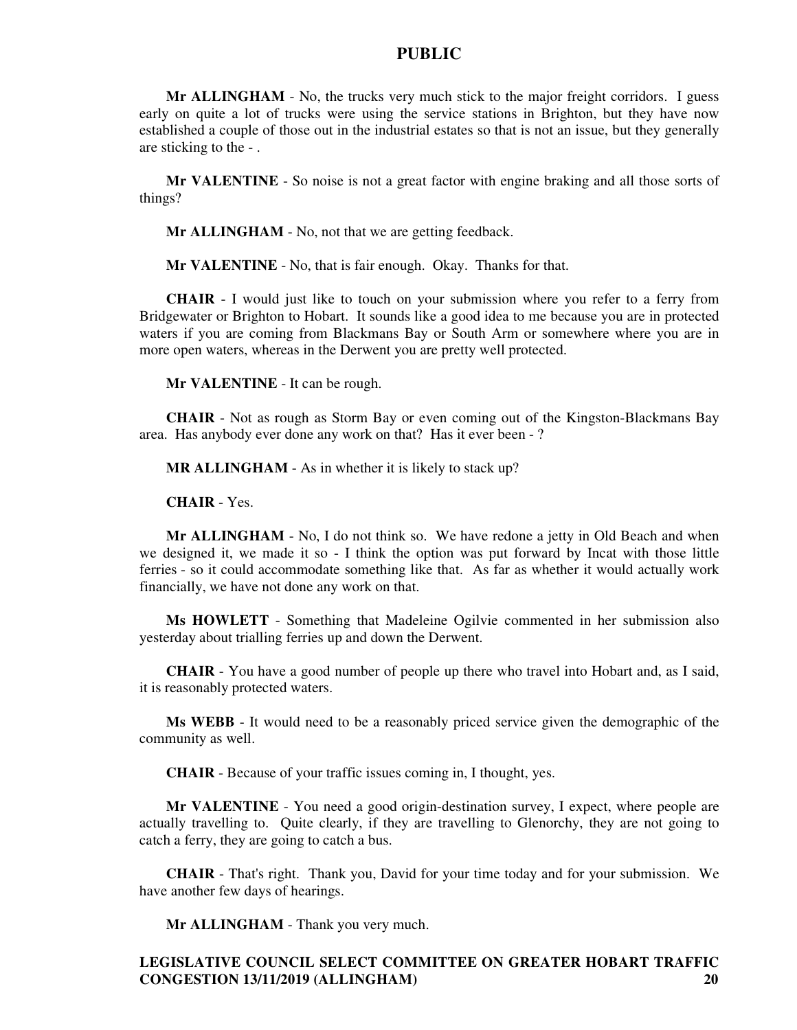**Mr ALLINGHAM** - No, the trucks very much stick to the major freight corridors. I guess early on quite a lot of trucks were using the service stations in Brighton, but they have now established a couple of those out in the industrial estates so that is not an issue, but they generally are sticking to the - .

**Mr VALENTINE** - So noise is not a great factor with engine braking and all those sorts of things?

**Mr ALLINGHAM** - No, not that we are getting feedback.

**Mr VALENTINE** - No, that is fair enough. Okay. Thanks for that.

**CHAIR** - I would just like to touch on your submission where you refer to a ferry from Bridgewater or Brighton to Hobart. It sounds like a good idea to me because you are in protected waters if you are coming from Blackmans Bay or South Arm or somewhere where you are in more open waters, whereas in the Derwent you are pretty well protected.

**Mr VALENTINE** - It can be rough.

**CHAIR** - Not as rough as Storm Bay or even coming out of the Kingston-Blackmans Bay area. Has anybody ever done any work on that? Has it ever been - ?

**MR ALLINGHAM** - As in whether it is likely to stack up?

**CHAIR** - Yes.

**Mr ALLINGHAM** - No, I do not think so. We have redone a jetty in Old Beach and when we designed it, we made it so - I think the option was put forward by Incat with those little ferries - so it could accommodate something like that. As far as whether it would actually work financially, we have not done any work on that.

**Ms HOWLETT** - Something that Madeleine Ogilvie commented in her submission also yesterday about trialling ferries up and down the Derwent.

**CHAIR** - You have a good number of people up there who travel into Hobart and, as I said, it is reasonably protected waters.

**Ms WEBB** - It would need to be a reasonably priced service given the demographic of the community as well.

**CHAIR** - Because of your traffic issues coming in, I thought, yes.

**Mr VALENTINE** - You need a good origin-destination survey, I expect, where people are actually travelling to. Quite clearly, if they are travelling to Glenorchy, they are not going to catch a ferry, they are going to catch a bus.

**CHAIR** - That's right. Thank you, David for your time today and for your submission. We have another few days of hearings.

**Mr ALLINGHAM** - Thank you very much.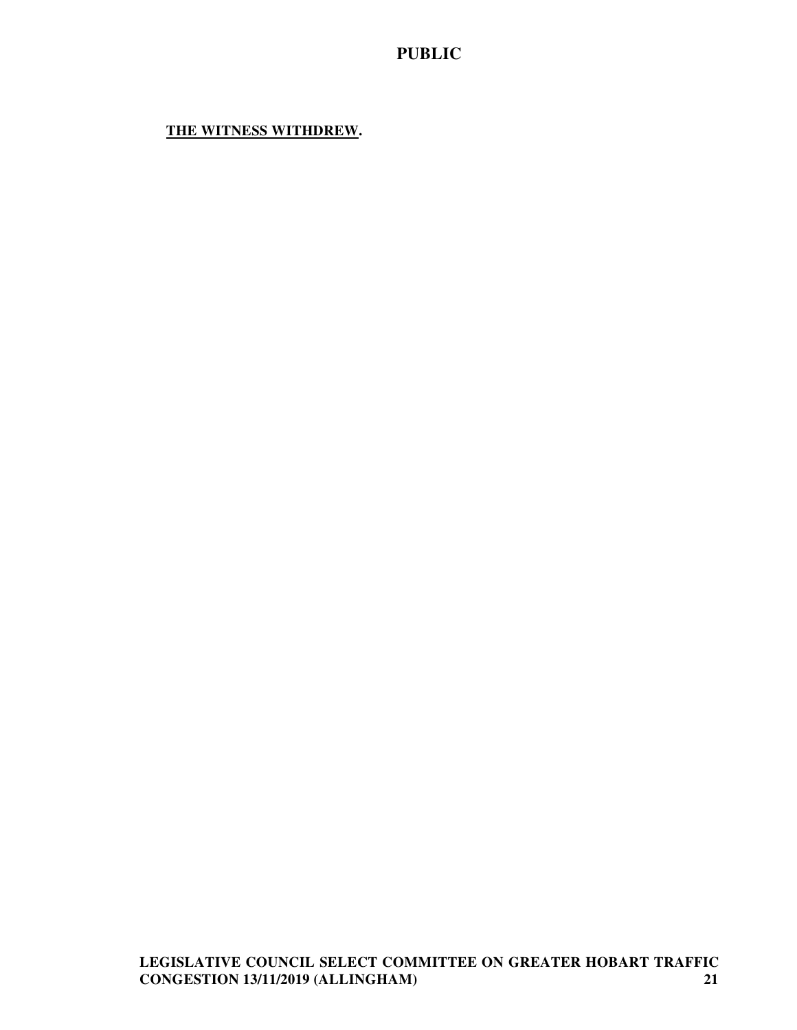# **THE WITNESS WITHDREW.**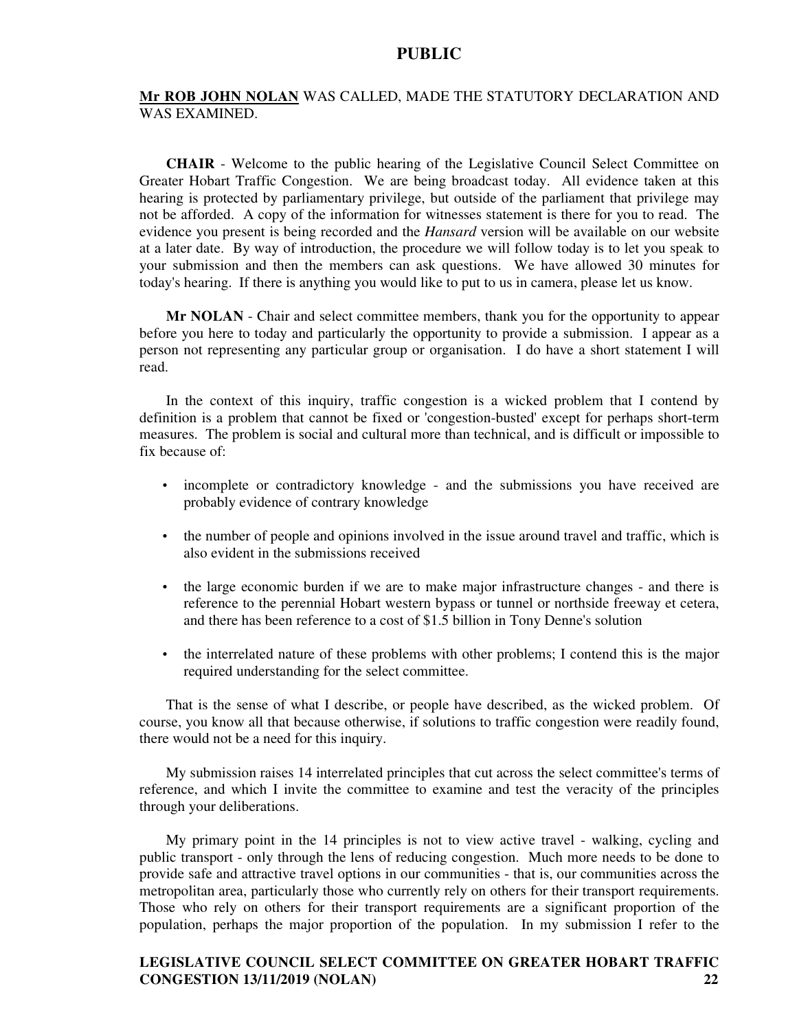#### **Mr ROB JOHN NOLAN** WAS CALLED, MADE THE STATUTORY DECLARATION AND WAS EXAMINED.

**CHAIR** - Welcome to the public hearing of the Legislative Council Select Committee on Greater Hobart Traffic Congestion. We are being broadcast today. All evidence taken at this hearing is protected by parliamentary privilege, but outside of the parliament that privilege may not be afforded. A copy of the information for witnesses statement is there for you to read. The evidence you present is being recorded and the *Hansard* version will be available on our website at a later date. By way of introduction, the procedure we will follow today is to let you speak to your submission and then the members can ask questions. We have allowed 30 minutes for today's hearing. If there is anything you would like to put to us in camera, please let us know.

**Mr NOLAN** - Chair and select committee members, thank you for the opportunity to appear before you here to today and particularly the opportunity to provide a submission. I appear as a person not representing any particular group or organisation. I do have a short statement I will read.

In the context of this inquiry, traffic congestion is a wicked problem that I contend by definition is a problem that cannot be fixed or 'congestion-busted' except for perhaps short-term measures. The problem is social and cultural more than technical, and is difficult or impossible to fix because of:

- incomplete or contradictory knowledge and the submissions you have received are probably evidence of contrary knowledge
- the number of people and opinions involved in the issue around travel and traffic, which is also evident in the submissions received
- the large economic burden if we are to make major infrastructure changes and there is reference to the perennial Hobart western bypass or tunnel or northside freeway et cetera, and there has been reference to a cost of \$1.5 billion in Tony Denne's solution
- the interrelated nature of these problems with other problems; I contend this is the major required understanding for the select committee.

That is the sense of what I describe, or people have described, as the wicked problem. Of course, you know all that because otherwise, if solutions to traffic congestion were readily found, there would not be a need for this inquiry.

My submission raises 14 interrelated principles that cut across the select committee's terms of reference, and which I invite the committee to examine and test the veracity of the principles through your deliberations.

My primary point in the 14 principles is not to view active travel - walking, cycling and public transport - only through the lens of reducing congestion. Much more needs to be done to provide safe and attractive travel options in our communities - that is, our communities across the metropolitan area, particularly those who currently rely on others for their transport requirements. Those who rely on others for their transport requirements are a significant proportion of the population, perhaps the major proportion of the population. In my submission I refer to the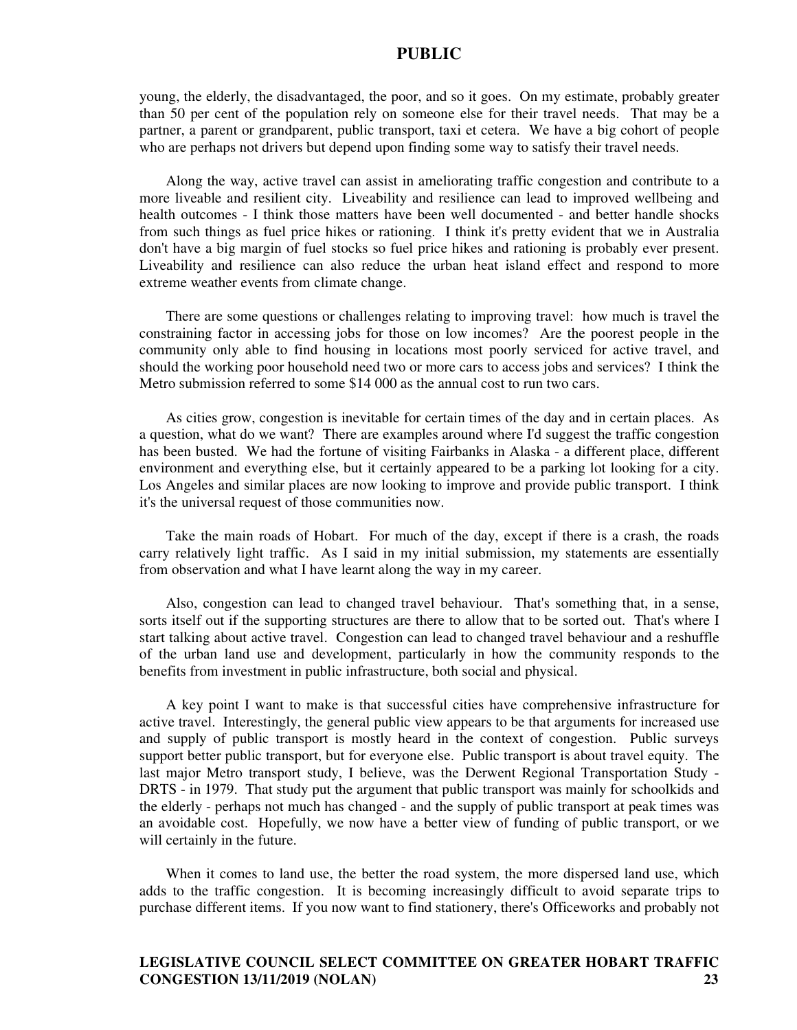young, the elderly, the disadvantaged, the poor, and so it goes. On my estimate, probably greater than 50 per cent of the population rely on someone else for their travel needs. That may be a partner, a parent or grandparent, public transport, taxi et cetera. We have a big cohort of people who are perhaps not drivers but depend upon finding some way to satisfy their travel needs.

Along the way, active travel can assist in ameliorating traffic congestion and contribute to a more liveable and resilient city. Liveability and resilience can lead to improved wellbeing and health outcomes - I think those matters have been well documented - and better handle shocks from such things as fuel price hikes or rationing. I think it's pretty evident that we in Australia don't have a big margin of fuel stocks so fuel price hikes and rationing is probably ever present. Liveability and resilience can also reduce the urban heat island effect and respond to more extreme weather events from climate change.

There are some questions or challenges relating to improving travel: how much is travel the constraining factor in accessing jobs for those on low incomes? Are the poorest people in the community only able to find housing in locations most poorly serviced for active travel, and should the working poor household need two or more cars to access jobs and services? I think the Metro submission referred to some \$14 000 as the annual cost to run two cars.

As cities grow, congestion is inevitable for certain times of the day and in certain places. As a question, what do we want? There are examples around where I'd suggest the traffic congestion has been busted. We had the fortune of visiting Fairbanks in Alaska - a different place, different environment and everything else, but it certainly appeared to be a parking lot looking for a city. Los Angeles and similar places are now looking to improve and provide public transport. I think it's the universal request of those communities now.

Take the main roads of Hobart. For much of the day, except if there is a crash, the roads carry relatively light traffic. As I said in my initial submission, my statements are essentially from observation and what I have learnt along the way in my career.

Also, congestion can lead to changed travel behaviour. That's something that, in a sense, sorts itself out if the supporting structures are there to allow that to be sorted out. That's where I start talking about active travel. Congestion can lead to changed travel behaviour and a reshuffle of the urban land use and development, particularly in how the community responds to the benefits from investment in public infrastructure, both social and physical.

A key point I want to make is that successful cities have comprehensive infrastructure for active travel. Interestingly, the general public view appears to be that arguments for increased use and supply of public transport is mostly heard in the context of congestion. Public surveys support better public transport, but for everyone else. Public transport is about travel equity. The last major Metro transport study, I believe, was the Derwent Regional Transportation Study - DRTS - in 1979. That study put the argument that public transport was mainly for schoolkids and the elderly - perhaps not much has changed - and the supply of public transport at peak times was an avoidable cost. Hopefully, we now have a better view of funding of public transport, or we will certainly in the future.

When it comes to land use, the better the road system, the more dispersed land use, which adds to the traffic congestion. It is becoming increasingly difficult to avoid separate trips to purchase different items. If you now want to find stationery, there's Officeworks and probably not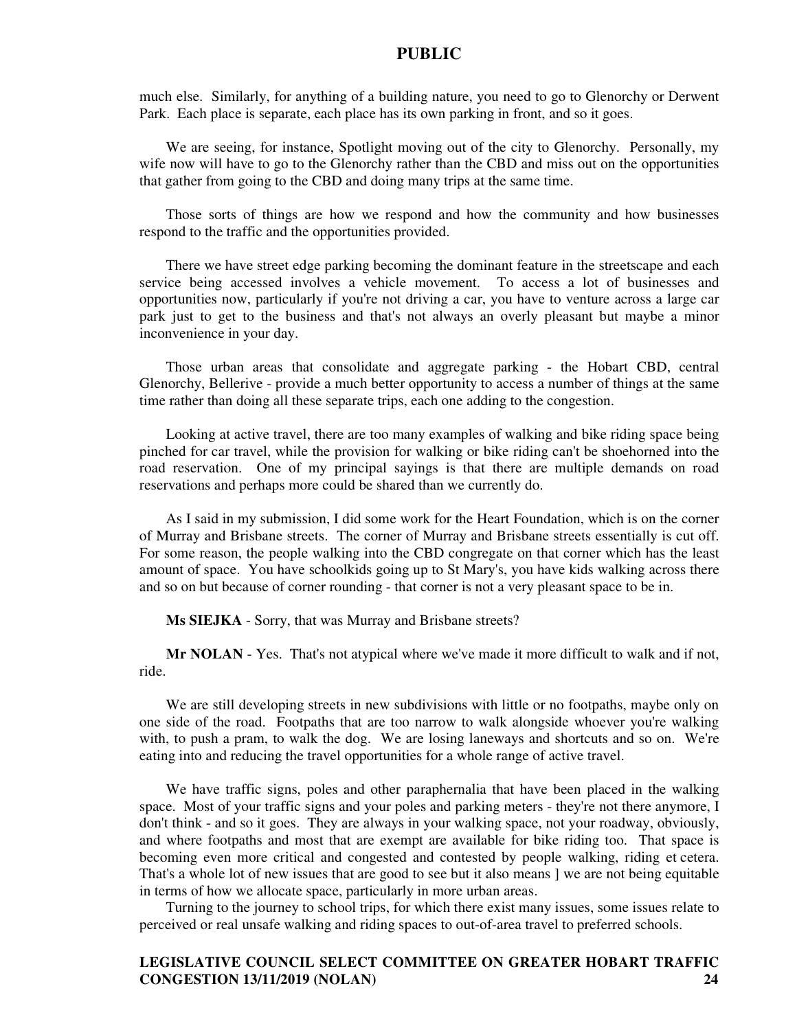much else. Similarly, for anything of a building nature, you need to go to Glenorchy or Derwent Park. Each place is separate, each place has its own parking in front, and so it goes.

We are seeing, for instance, Spotlight moving out of the city to Glenorchy. Personally, my wife now will have to go to the Glenorchy rather than the CBD and miss out on the opportunities that gather from going to the CBD and doing many trips at the same time.

Those sorts of things are how we respond and how the community and how businesses respond to the traffic and the opportunities provided.

There we have street edge parking becoming the dominant feature in the streetscape and each service being accessed involves a vehicle movement. To access a lot of businesses and opportunities now, particularly if you're not driving a car, you have to venture across a large car park just to get to the business and that's not always an overly pleasant but maybe a minor inconvenience in your day.

Those urban areas that consolidate and aggregate parking - the Hobart CBD, central Glenorchy, Bellerive - provide a much better opportunity to access a number of things at the same time rather than doing all these separate trips, each one adding to the congestion.

Looking at active travel, there are too many examples of walking and bike riding space being pinched for car travel, while the provision for walking or bike riding can't be shoehorned into the road reservation. One of my principal sayings is that there are multiple demands on road reservations and perhaps more could be shared than we currently do.

As I said in my submission, I did some work for the Heart Foundation, which is on the corner of Murray and Brisbane streets. The corner of Murray and Brisbane streets essentially is cut off. For some reason, the people walking into the CBD congregate on that corner which has the least amount of space. You have schoolkids going up to St Mary's, you have kids walking across there and so on but because of corner rounding - that corner is not a very pleasant space to be in.

**Ms SIEJKA** - Sorry, that was Murray and Brisbane streets?

**Mr NOLAN** - Yes. That's not atypical where we've made it more difficult to walk and if not, ride.

We are still developing streets in new subdivisions with little or no footpaths, maybe only on one side of the road. Footpaths that are too narrow to walk alongside whoever you're walking with, to push a pram, to walk the dog. We are losing laneways and shortcuts and so on. We're eating into and reducing the travel opportunities for a whole range of active travel.

We have traffic signs, poles and other paraphernalia that have been placed in the walking space. Most of your traffic signs and your poles and parking meters - they're not there anymore, I don't think - and so it goes. They are always in your walking space, not your roadway, obviously, and where footpaths and most that are exempt are available for bike riding too. That space is becoming even more critical and congested and contested by people walking, riding et cetera. That's a whole lot of new issues that are good to see but it also means ] we are not being equitable in terms of how we allocate space, particularly in more urban areas.

Turning to the journey to school trips, for which there exist many issues, some issues relate to perceived or real unsafe walking and riding spaces to out-of-area travel to preferred schools.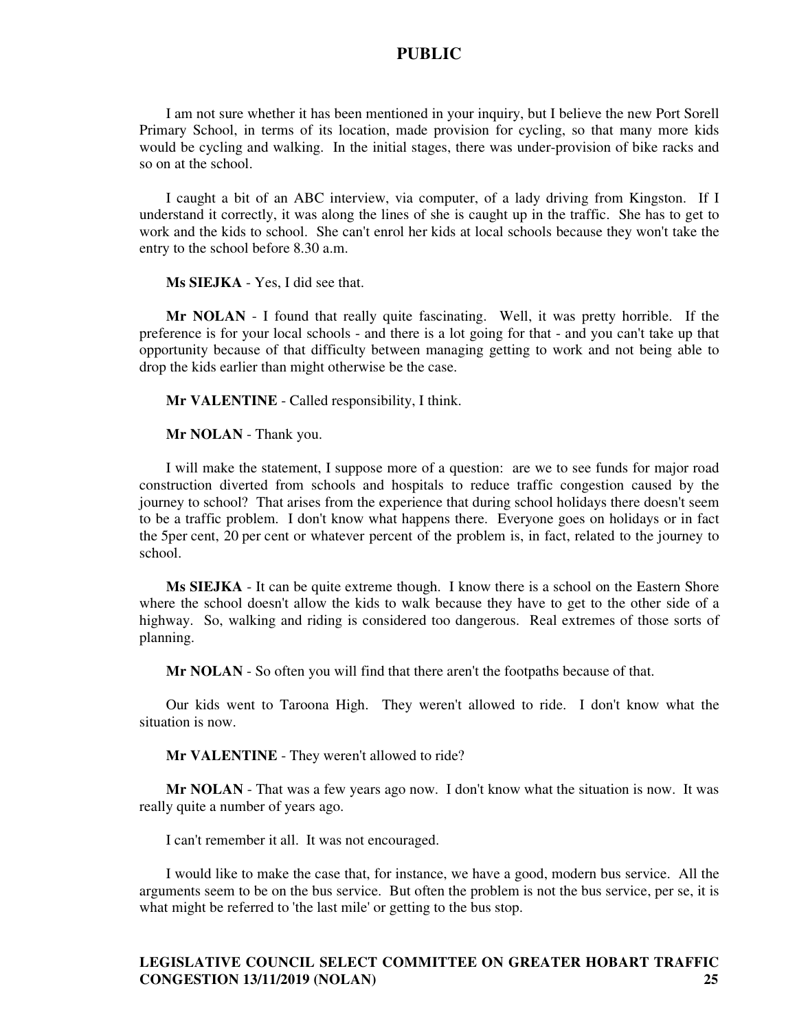I am not sure whether it has been mentioned in your inquiry, but I believe the new Port Sorell Primary School, in terms of its location, made provision for cycling, so that many more kids would be cycling and walking. In the initial stages, there was under-provision of bike racks and so on at the school.

I caught a bit of an ABC interview, via computer, of a lady driving from Kingston. If I understand it correctly, it was along the lines of she is caught up in the traffic. She has to get to work and the kids to school. She can't enrol her kids at local schools because they won't take the entry to the school before 8.30 a.m.

**Ms SIEJKA** - Yes, I did see that.

**Mr NOLAN** - I found that really quite fascinating. Well, it was pretty horrible. If the preference is for your local schools - and there is a lot going for that - and you can't take up that opportunity because of that difficulty between managing getting to work and not being able to drop the kids earlier than might otherwise be the case.

**Mr VALENTINE** - Called responsibility, I think.

**Mr NOLAN** - Thank you.

I will make the statement, I suppose more of a question: are we to see funds for major road construction diverted from schools and hospitals to reduce traffic congestion caused by the journey to school? That arises from the experience that during school holidays there doesn't seem to be a traffic problem. I don't know what happens there. Everyone goes on holidays or in fact the 5per cent, 20 per cent or whatever percent of the problem is, in fact, related to the journey to school.

**Ms SIEJKA** - It can be quite extreme though. I know there is a school on the Eastern Shore where the school doesn't allow the kids to walk because they have to get to the other side of a highway. So, walking and riding is considered too dangerous. Real extremes of those sorts of planning.

**Mr NOLAN** - So often you will find that there aren't the footpaths because of that.

Our kids went to Taroona High. They weren't allowed to ride. I don't know what the situation is now.

**Mr VALENTINE** - They weren't allowed to ride?

**Mr NOLAN** - That was a few years ago now. I don't know what the situation is now. It was really quite a number of years ago.

I can't remember it all. It was not encouraged.

I would like to make the case that, for instance, we have a good, modern bus service. All the arguments seem to be on the bus service. But often the problem is not the bus service, per se, it is what might be referred to 'the last mile' or getting to the bus stop.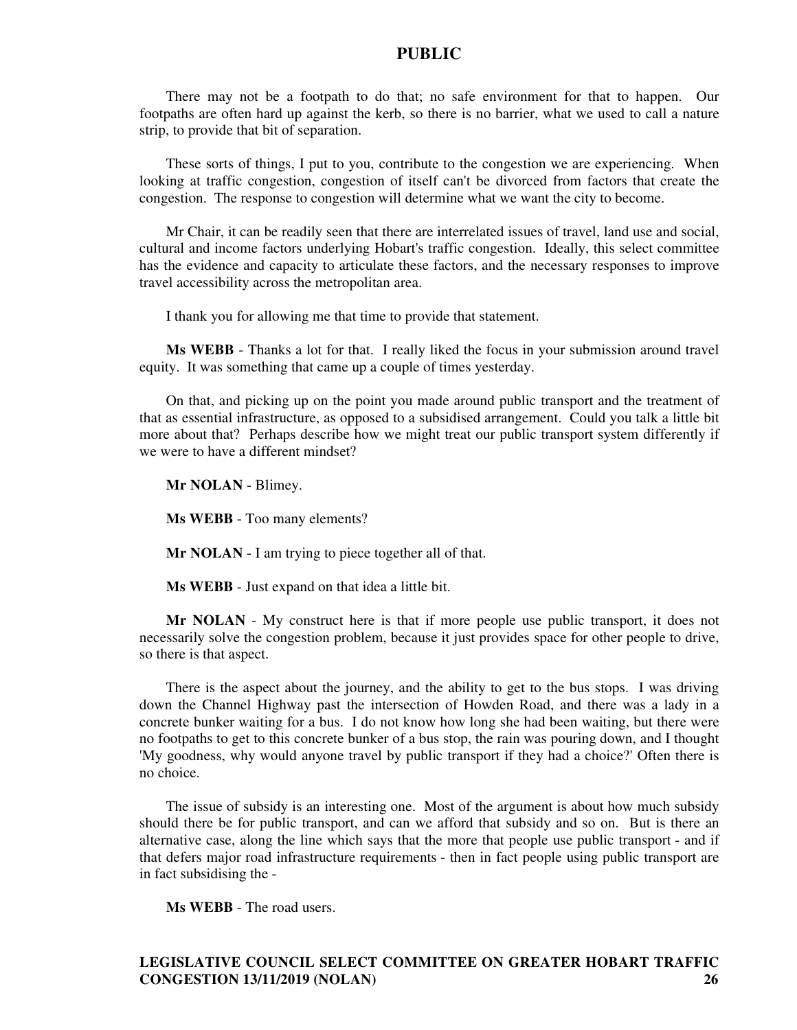There may not be a footpath to do that; no safe environment for that to happen. Our footpaths are often hard up against the kerb, so there is no barrier, what we used to call a nature strip, to provide that bit of separation.

These sorts of things, I put to you, contribute to the congestion we are experiencing. When looking at traffic congestion, congestion of itself can't be divorced from factors that create the congestion. The response to congestion will determine what we want the city to become.

Mr Chair, it can be readily seen that there are interrelated issues of travel, land use and social, cultural and income factors underlying Hobart's traffic congestion. Ideally, this select committee has the evidence and capacity to articulate these factors, and the necessary responses to improve travel accessibility across the metropolitan area.

I thank you for allowing me that time to provide that statement.

**Ms WEBB** - Thanks a lot for that. I really liked the focus in your submission around travel equity. It was something that came up a couple of times yesterday.

On that, and picking up on the point you made around public transport and the treatment of that as essential infrastructure, as opposed to a subsidised arrangement. Could you talk a little bit more about that? Perhaps describe how we might treat our public transport system differently if we were to have a different mindset?

**Mr NOLAN** - Blimey.

**Ms WEBB** - Too many elements?

**Mr NOLAN** - I am trying to piece together all of that.

**Ms WEBB** - Just expand on that idea a little bit.

**Mr NOLAN** - My construct here is that if more people use public transport, it does not necessarily solve the congestion problem, because it just provides space for other people to drive, so there is that aspect.

There is the aspect about the journey, and the ability to get to the bus stops. I was driving down the Channel Highway past the intersection of Howden Road, and there was a lady in a concrete bunker waiting for a bus. I do not know how long she had been waiting, but there were no footpaths to get to this concrete bunker of a bus stop, the rain was pouring down, and I thought 'My goodness, why would anyone travel by public transport if they had a choice?' Often there is no choice.

The issue of subsidy is an interesting one. Most of the argument is about how much subsidy should there be for public transport, and can we afford that subsidy and so on. But is there an alternative case, along the line which says that the more that people use public transport - and if that defers major road infrastructure requirements - then in fact people using public transport are in fact subsidising the -

**Ms WEBB** - The road users.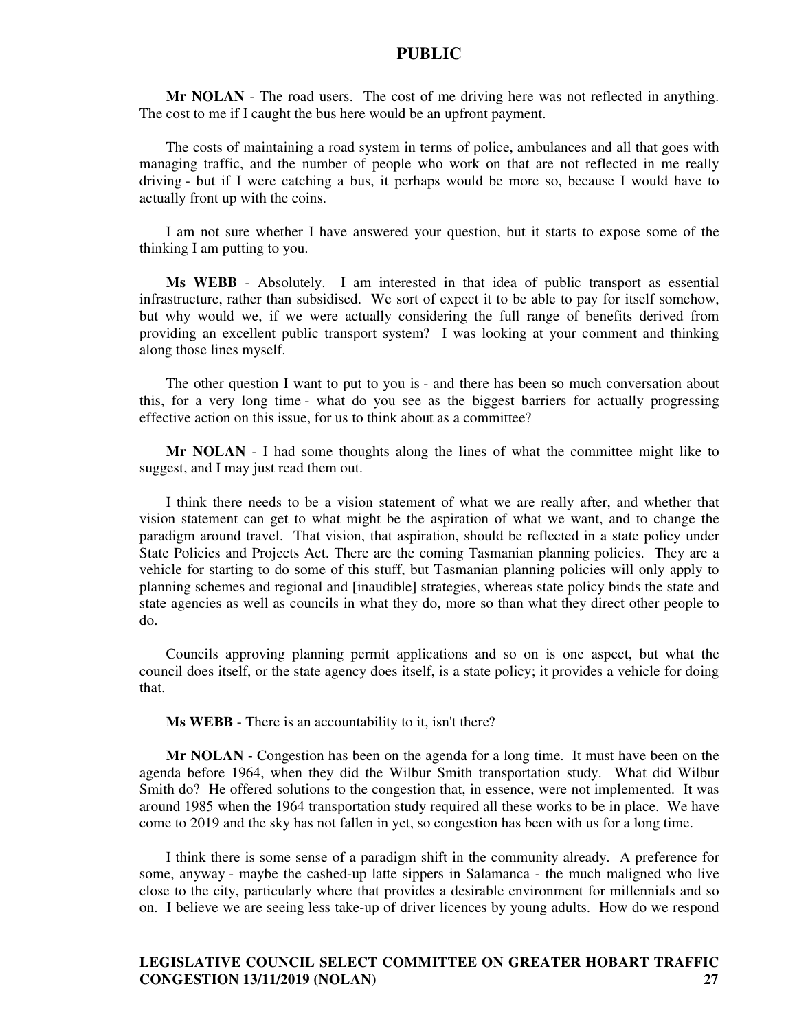**Mr NOLAN** - The road users. The cost of me driving here was not reflected in anything. The cost to me if I caught the bus here would be an upfront payment.

The costs of maintaining a road system in terms of police, ambulances and all that goes with managing traffic, and the number of people who work on that are not reflected in me really driving - but if I were catching a bus, it perhaps would be more so, because I would have to actually front up with the coins.

I am not sure whether I have answered your question, but it starts to expose some of the thinking I am putting to you.

**Ms WEBB** - Absolutely. I am interested in that idea of public transport as essential infrastructure, rather than subsidised. We sort of expect it to be able to pay for itself somehow, but why would we, if we were actually considering the full range of benefits derived from providing an excellent public transport system? I was looking at your comment and thinking along those lines myself.

The other question I want to put to you is - and there has been so much conversation about this, for a very long time - what do you see as the biggest barriers for actually progressing effective action on this issue, for us to think about as a committee?

**Mr NOLAN** - I had some thoughts along the lines of what the committee might like to suggest, and I may just read them out.

I think there needs to be a vision statement of what we are really after, and whether that vision statement can get to what might be the aspiration of what we want, and to change the paradigm around travel. That vision, that aspiration, should be reflected in a state policy under State Policies and Projects Act. There are the coming Tasmanian planning policies. They are a vehicle for starting to do some of this stuff, but Tasmanian planning policies will only apply to planning schemes and regional and [inaudible] strategies, whereas state policy binds the state and state agencies as well as councils in what they do, more so than what they direct other people to do.

Councils approving planning permit applications and so on is one aspect, but what the council does itself, or the state agency does itself, is a state policy; it provides a vehicle for doing that.

**Ms WEBB** - There is an accountability to it, isn't there?

**Mr NOLAN -** Congestion has been on the agenda for a long time. It must have been on the agenda before 1964, when they did the Wilbur Smith transportation study. What did Wilbur Smith do? He offered solutions to the congestion that, in essence, were not implemented. It was around 1985 when the 1964 transportation study required all these works to be in place. We have come to 2019 and the sky has not fallen in yet, so congestion has been with us for a long time.

I think there is some sense of a paradigm shift in the community already. A preference for some, anyway - maybe the cashed-up latte sippers in Salamanca - the much maligned who live close to the city, particularly where that provides a desirable environment for millennials and so on. I believe we are seeing less take-up of driver licences by young adults. How do we respond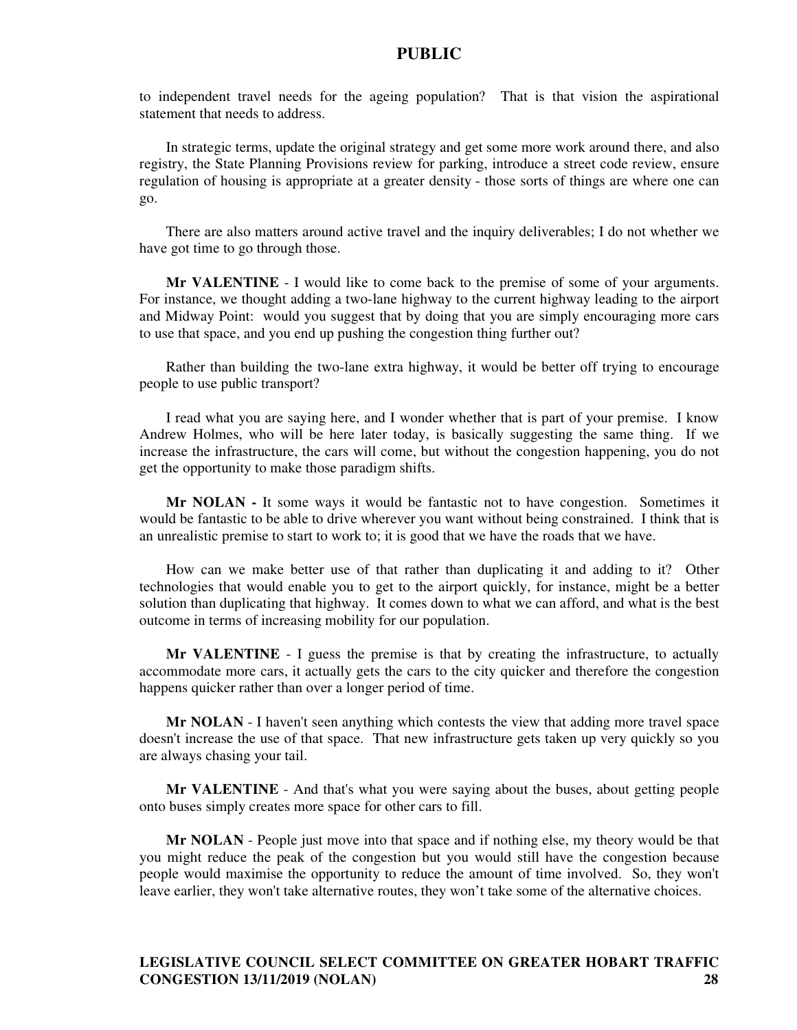to independent travel needs for the ageing population? That is that vision the aspirational statement that needs to address.

In strategic terms, update the original strategy and get some more work around there, and also registry, the State Planning Provisions review for parking, introduce a street code review, ensure regulation of housing is appropriate at a greater density - those sorts of things are where one can go.

There are also matters around active travel and the inquiry deliverables; I do not whether we have got time to go through those.

**Mr VALENTINE** - I would like to come back to the premise of some of your arguments. For instance, we thought adding a two-lane highway to the current highway leading to the airport and Midway Point: would you suggest that by doing that you are simply encouraging more cars to use that space, and you end up pushing the congestion thing further out?

Rather than building the two-lane extra highway, it would be better off trying to encourage people to use public transport?

I read what you are saying here, and I wonder whether that is part of your premise. I know Andrew Holmes, who will be here later today, is basically suggesting the same thing. If we increase the infrastructure, the cars will come, but without the congestion happening, you do not get the opportunity to make those paradigm shifts.

**Mr NOLAN -** It some ways it would be fantastic not to have congestion. Sometimes it would be fantastic to be able to drive wherever you want without being constrained. I think that is an unrealistic premise to start to work to; it is good that we have the roads that we have.

How can we make better use of that rather than duplicating it and adding to it? Other technologies that would enable you to get to the airport quickly, for instance, might be a better solution than duplicating that highway. It comes down to what we can afford, and what is the best outcome in terms of increasing mobility for our population.

**Mr VALENTINE** - I guess the premise is that by creating the infrastructure, to actually accommodate more cars, it actually gets the cars to the city quicker and therefore the congestion happens quicker rather than over a longer period of time.

**Mr NOLAN** - I haven't seen anything which contests the view that adding more travel space doesn't increase the use of that space. That new infrastructure gets taken up very quickly so you are always chasing your tail.

**Mr VALENTINE** - And that's what you were saying about the buses, about getting people onto buses simply creates more space for other cars to fill.

**Mr NOLAN** - People just move into that space and if nothing else, my theory would be that you might reduce the peak of the congestion but you would still have the congestion because people would maximise the opportunity to reduce the amount of time involved. So, they won't leave earlier, they won't take alternative routes, they won't take some of the alternative choices.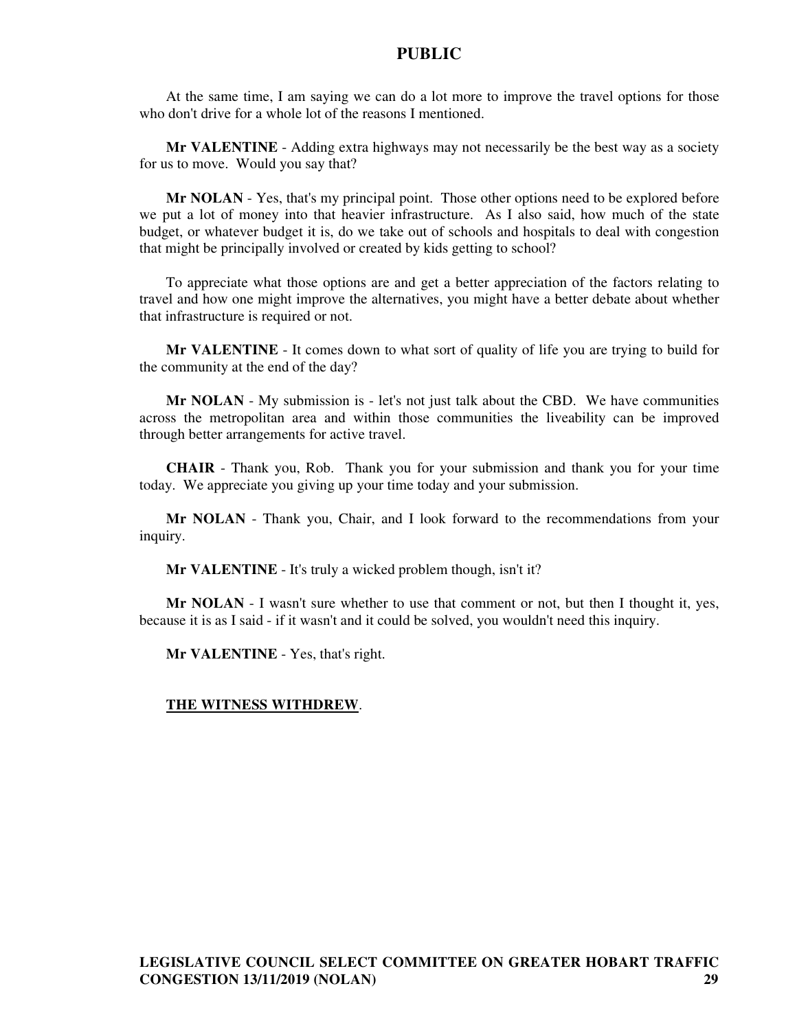At the same time, I am saying we can do a lot more to improve the travel options for those who don't drive for a whole lot of the reasons I mentioned.

**Mr VALENTINE** - Adding extra highways may not necessarily be the best way as a society for us to move. Would you say that?

**Mr NOLAN** - Yes, that's my principal point. Those other options need to be explored before we put a lot of money into that heavier infrastructure. As I also said, how much of the state budget, or whatever budget it is, do we take out of schools and hospitals to deal with congestion that might be principally involved or created by kids getting to school?

To appreciate what those options are and get a better appreciation of the factors relating to travel and how one might improve the alternatives, you might have a better debate about whether that infrastructure is required or not.

**Mr VALENTINE** - It comes down to what sort of quality of life you are trying to build for the community at the end of the day?

**Mr NOLAN** - My submission is - let's not just talk about the CBD. We have communities across the metropolitan area and within those communities the liveability can be improved through better arrangements for active travel.

**CHAIR** - Thank you, Rob. Thank you for your submission and thank you for your time today. We appreciate you giving up your time today and your submission.

**Mr NOLAN** - Thank you, Chair, and I look forward to the recommendations from your inquiry.

**Mr VALENTINE** - It's truly a wicked problem though, isn't it?

**Mr NOLAN** - I wasn't sure whether to use that comment or not, but then I thought it, yes, because it is as I said - if it wasn't and it could be solved, you wouldn't need this inquiry.

**Mr VALENTINE** - Yes, that's right.

#### **THE WITNESS WITHDREW**.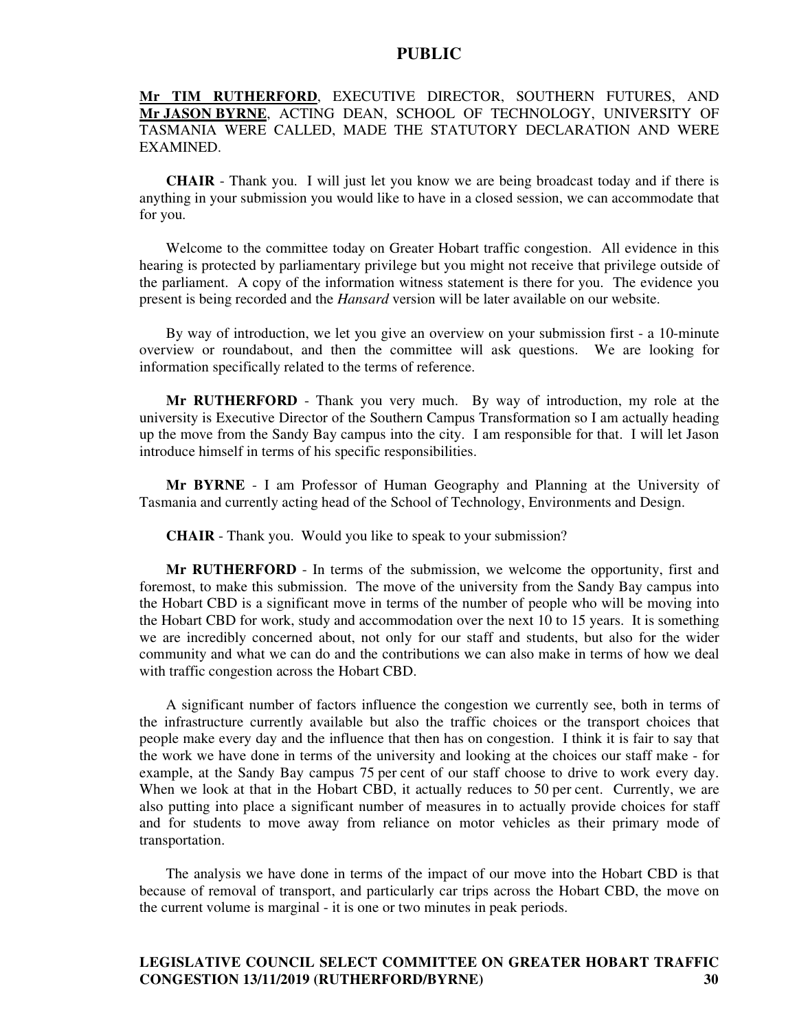# **Mr TIM RUTHERFORD**, EXECUTIVE DIRECTOR, SOUTHERN FUTURES, AND **Mr JASON BYRNE**, ACTING DEAN, SCHOOL OF TECHNOLOGY, UNIVERSITY OF TASMANIA WERE CALLED, MADE THE STATUTORY DECLARATION AND WERE EXAMINED.

**CHAIR** - Thank you. I will just let you know we are being broadcast today and if there is anything in your submission you would like to have in a closed session, we can accommodate that for you.

Welcome to the committee today on Greater Hobart traffic congestion. All evidence in this hearing is protected by parliamentary privilege but you might not receive that privilege outside of the parliament. A copy of the information witness statement is there for you. The evidence you present is being recorded and the *Hansard* version will be later available on our website.

By way of introduction, we let you give an overview on your submission first - a 10-minute overview or roundabout, and then the committee will ask questions. We are looking for information specifically related to the terms of reference.

**Mr RUTHERFORD** - Thank you very much. By way of introduction, my role at the university is Executive Director of the Southern Campus Transformation so I am actually heading up the move from the Sandy Bay campus into the city. I am responsible for that. I will let Jason introduce himself in terms of his specific responsibilities.

**Mr BYRNE** - I am Professor of Human Geography and Planning at the University of Tasmania and currently acting head of the School of Technology, Environments and Design.

**CHAIR** - Thank you. Would you like to speak to your submission?

**Mr RUTHERFORD** - In terms of the submission, we welcome the opportunity, first and foremost, to make this submission. The move of the university from the Sandy Bay campus into the Hobart CBD is a significant move in terms of the number of people who will be moving into the Hobart CBD for work, study and accommodation over the next 10 to 15 years. It is something we are incredibly concerned about, not only for our staff and students, but also for the wider community and what we can do and the contributions we can also make in terms of how we deal with traffic congestion across the Hobart CBD.

A significant number of factors influence the congestion we currently see, both in terms of the infrastructure currently available but also the traffic choices or the transport choices that people make every day and the influence that then has on congestion. I think it is fair to say that the work we have done in terms of the university and looking at the choices our staff make - for example, at the Sandy Bay campus 75 per cent of our staff choose to drive to work every day. When we look at that in the Hobart CBD, it actually reduces to 50 per cent. Currently, we are also putting into place a significant number of measures in to actually provide choices for staff and for students to move away from reliance on motor vehicles as their primary mode of transportation.

The analysis we have done in terms of the impact of our move into the Hobart CBD is that because of removal of transport, and particularly car trips across the Hobart CBD, the move on the current volume is marginal - it is one or two minutes in peak periods.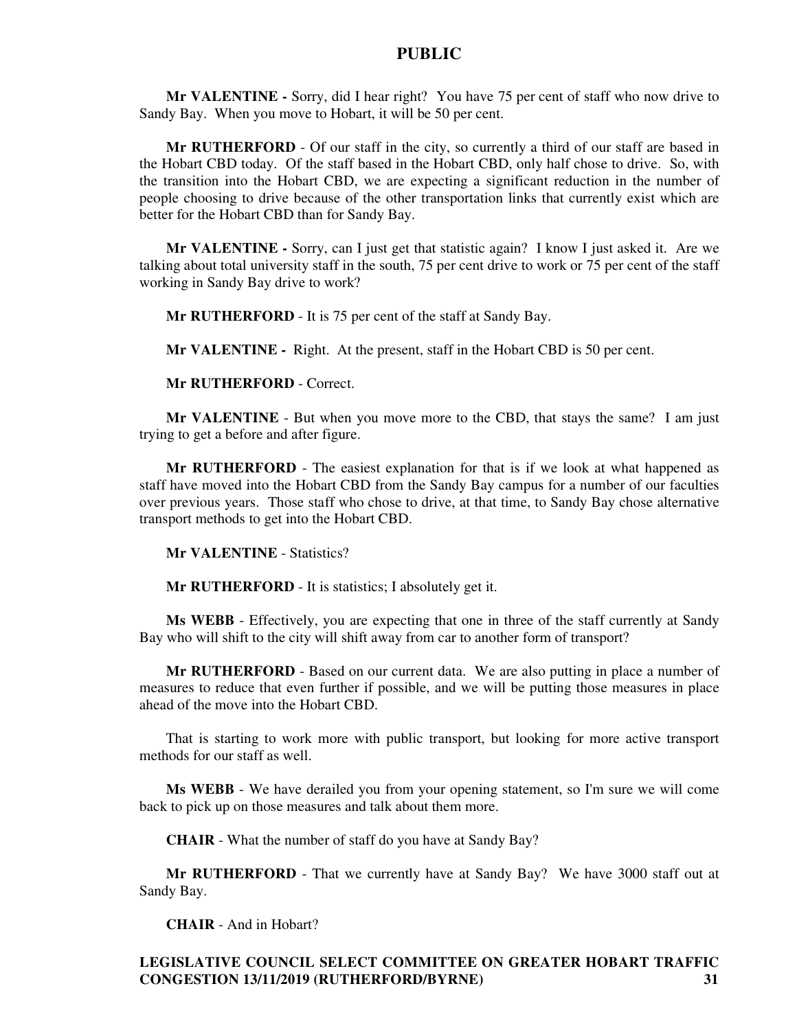**Mr VALENTINE -** Sorry, did I hear right? You have 75 per cent of staff who now drive to Sandy Bay. When you move to Hobart, it will be 50 per cent.

**Mr RUTHERFORD** - Of our staff in the city, so currently a third of our staff are based in the Hobart CBD today. Of the staff based in the Hobart CBD, only half chose to drive. So, with the transition into the Hobart CBD, we are expecting a significant reduction in the number of people choosing to drive because of the other transportation links that currently exist which are better for the Hobart CBD than for Sandy Bay.

**Mr VALENTINE -** Sorry, can I just get that statistic again? I know I just asked it. Are we talking about total university staff in the south, 75 per cent drive to work or 75 per cent of the staff working in Sandy Bay drive to work?

**Mr RUTHERFORD** - It is 75 per cent of the staff at Sandy Bay.

**Mr VALENTINE -** Right. At the present, staff in the Hobart CBD is 50 per cent.

**Mr RUTHERFORD** - Correct.

**Mr VALENTINE** - But when you move more to the CBD, that stays the same? I am just trying to get a before and after figure.

**Mr RUTHERFORD** - The easiest explanation for that is if we look at what happened as staff have moved into the Hobart CBD from the Sandy Bay campus for a number of our faculties over previous years. Those staff who chose to drive, at that time, to Sandy Bay chose alternative transport methods to get into the Hobart CBD.

**Mr VALENTINE** - Statistics?

**Mr RUTHERFORD** - It is statistics; I absolutely get it.

**Ms WEBB** - Effectively, you are expecting that one in three of the staff currently at Sandy Bay who will shift to the city will shift away from car to another form of transport?

**Mr RUTHERFORD** - Based on our current data. We are also putting in place a number of measures to reduce that even further if possible, and we will be putting those measures in place ahead of the move into the Hobart CBD.

That is starting to work more with public transport, but looking for more active transport methods for our staff as well.

**Ms WEBB** - We have derailed you from your opening statement, so I'm sure we will come back to pick up on those measures and talk about them more.

**CHAIR** - What the number of staff do you have at Sandy Bay?

**Mr RUTHERFORD** - That we currently have at Sandy Bay? We have 3000 staff out at Sandy Bay.

**CHAIR** - And in Hobart?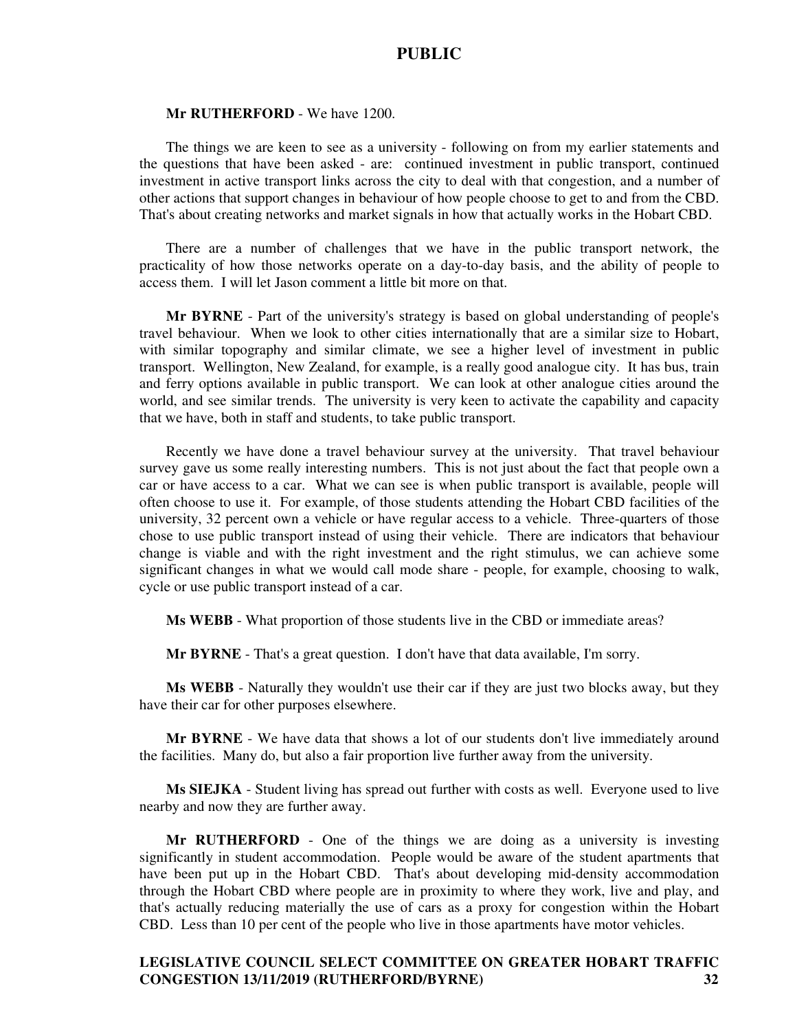#### **Mr RUTHERFORD** - We have 1200.

The things we are keen to see as a university - following on from my earlier statements and the questions that have been asked - are: continued investment in public transport, continued investment in active transport links across the city to deal with that congestion, and a number of other actions that support changes in behaviour of how people choose to get to and from the CBD. That's about creating networks and market signals in how that actually works in the Hobart CBD.

There are a number of challenges that we have in the public transport network, the practicality of how those networks operate on a day-to-day basis, and the ability of people to access them. I will let Jason comment a little bit more on that.

**Mr BYRNE** - Part of the university's strategy is based on global understanding of people's travel behaviour. When we look to other cities internationally that are a similar size to Hobart, with similar topography and similar climate, we see a higher level of investment in public transport. Wellington, New Zealand, for example, is a really good analogue city. It has bus, train and ferry options available in public transport. We can look at other analogue cities around the world, and see similar trends. The university is very keen to activate the capability and capacity that we have, both in staff and students, to take public transport.

Recently we have done a travel behaviour survey at the university. That travel behaviour survey gave us some really interesting numbers. This is not just about the fact that people own a car or have access to a car. What we can see is when public transport is available, people will often choose to use it. For example, of those students attending the Hobart CBD facilities of the university, 32 percent own a vehicle or have regular access to a vehicle. Three-quarters of those chose to use public transport instead of using their vehicle. There are indicators that behaviour change is viable and with the right investment and the right stimulus, we can achieve some significant changes in what we would call mode share - people, for example, choosing to walk, cycle or use public transport instead of a car.

**Ms WEBB** - What proportion of those students live in the CBD or immediate areas?

**Mr BYRNE** - That's a great question. I don't have that data available, I'm sorry.

**Ms WEBB** - Naturally they wouldn't use their car if they are just two blocks away, but they have their car for other purposes elsewhere.

**Mr BYRNE** - We have data that shows a lot of our students don't live immediately around the facilities. Many do, but also a fair proportion live further away from the university.

**Ms SIEJKA** - Student living has spread out further with costs as well. Everyone used to live nearby and now they are further away.

**Mr RUTHERFORD** - One of the things we are doing as a university is investing significantly in student accommodation. People would be aware of the student apartments that have been put up in the Hobart CBD. That's about developing mid-density accommodation through the Hobart CBD where people are in proximity to where they work, live and play, and that's actually reducing materially the use of cars as a proxy for congestion within the Hobart CBD. Less than 10 per cent of the people who live in those apartments have motor vehicles.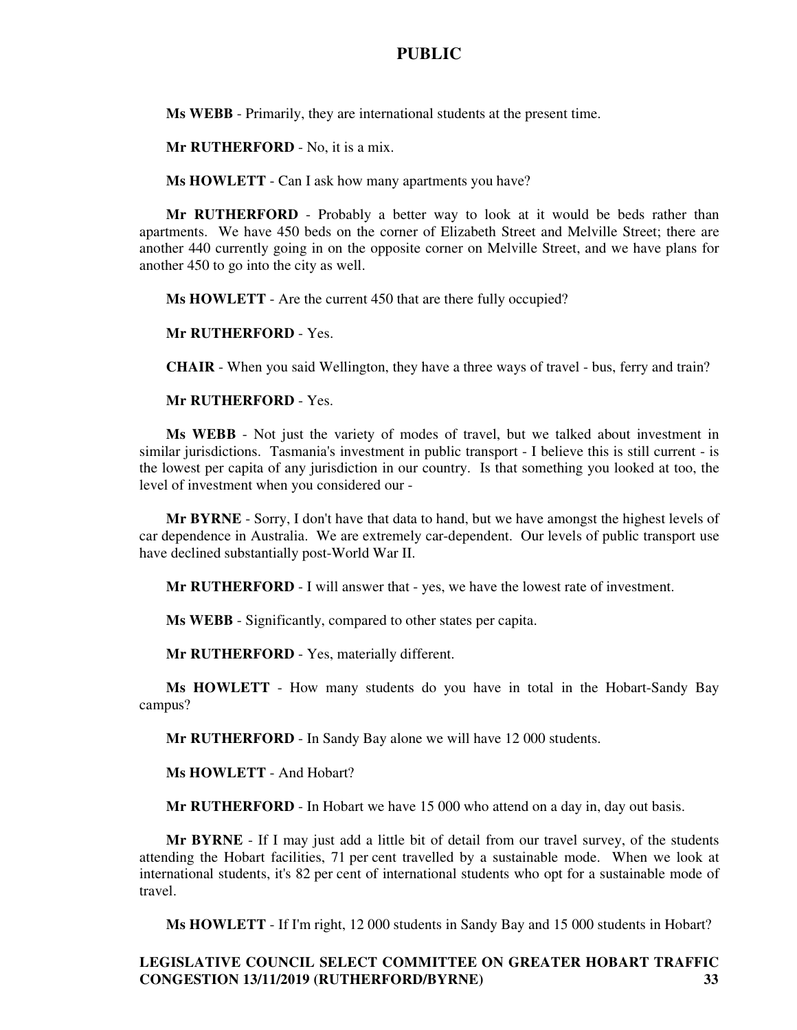**Ms WEBB** - Primarily, they are international students at the present time.

**Mr RUTHERFORD** - No, it is a mix.

**Ms HOWLETT** - Can I ask how many apartments you have?

**Mr RUTHERFORD** - Probably a better way to look at it would be beds rather than apartments. We have 450 beds on the corner of Elizabeth Street and Melville Street; there are another 440 currently going in on the opposite corner on Melville Street, and we have plans for another 450 to go into the city as well.

**Ms HOWLETT** - Are the current 450 that are there fully occupied?

**Mr RUTHERFORD** - Yes.

**CHAIR** - When you said Wellington, they have a three ways of travel - bus, ferry and train?

#### **Mr RUTHERFORD** - Yes.

**Ms WEBB** - Not just the variety of modes of travel, but we talked about investment in similar jurisdictions. Tasmania's investment in public transport - I believe this is still current - is the lowest per capita of any jurisdiction in our country. Is that something you looked at too, the level of investment when you considered our -

**Mr BYRNE** - Sorry, I don't have that data to hand, but we have amongst the highest levels of car dependence in Australia. We are extremely car-dependent. Our levels of public transport use have declined substantially post-World War II.

**Mr RUTHERFORD** - I will answer that - yes, we have the lowest rate of investment.

**Ms WEBB** - Significantly, compared to other states per capita.

**Mr RUTHERFORD** - Yes, materially different.

**Ms HOWLETT** - How many students do you have in total in the Hobart-Sandy Bay campus?

**Mr RUTHERFORD** - In Sandy Bay alone we will have 12 000 students.

**Ms HOWLETT** - And Hobart?

**Mr RUTHERFORD** - In Hobart we have 15 000 who attend on a day in, day out basis.

**Mr BYRNE** - If I may just add a little bit of detail from our travel survey, of the students attending the Hobart facilities, 71 per cent travelled by a sustainable mode. When we look at international students, it's 82 per cent of international students who opt for a sustainable mode of travel.

**Ms HOWLETT** - If I'm right, 12 000 students in Sandy Bay and 15 000 students in Hobart?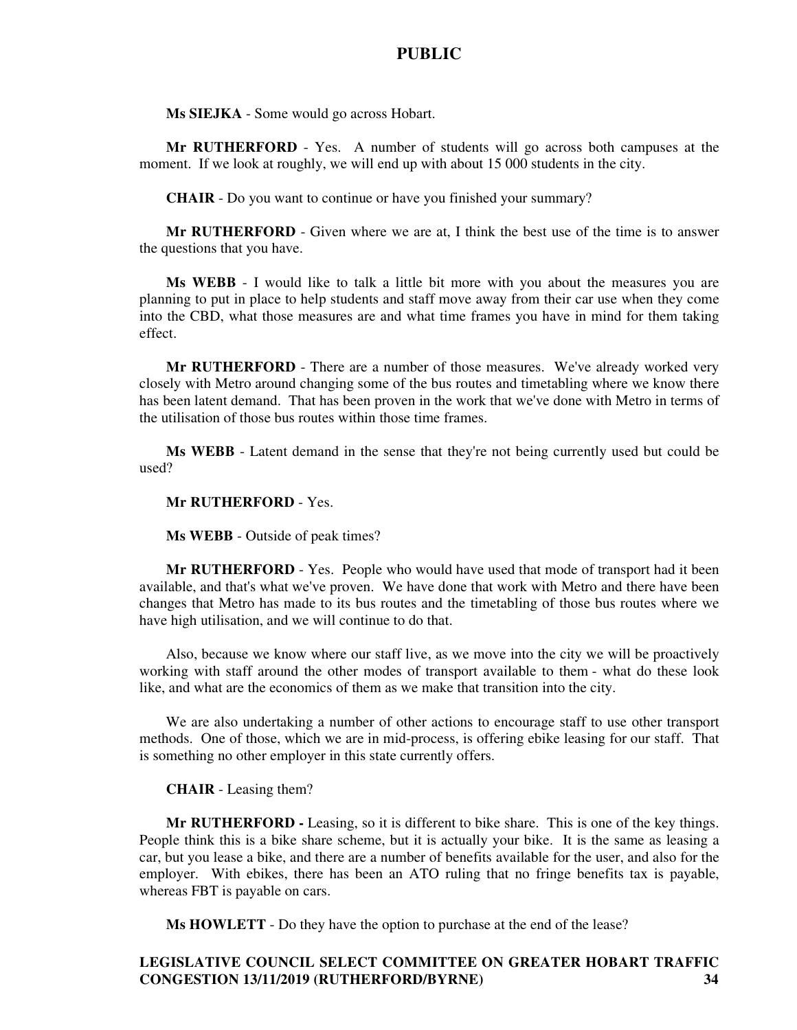**Ms SIEJKA** - Some would go across Hobart.

**Mr RUTHERFORD** - Yes. A number of students will go across both campuses at the moment. If we look at roughly, we will end up with about 15 000 students in the city.

**CHAIR** - Do you want to continue or have you finished your summary?

**Mr RUTHERFORD** - Given where we are at, I think the best use of the time is to answer the questions that you have.

**Ms WEBB** - I would like to talk a little bit more with you about the measures you are planning to put in place to help students and staff move away from their car use when they come into the CBD, what those measures are and what time frames you have in mind for them taking effect.

**Mr RUTHERFORD** - There are a number of those measures. We've already worked very closely with Metro around changing some of the bus routes and timetabling where we know there has been latent demand. That has been proven in the work that we've done with Metro in terms of the utilisation of those bus routes within those time frames.

**Ms WEBB** - Latent demand in the sense that they're not being currently used but could be used?

#### **Mr RUTHERFORD** - Yes.

**Ms WEBB** - Outside of peak times?

**Mr RUTHERFORD** - Yes. People who would have used that mode of transport had it been available, and that's what we've proven. We have done that work with Metro and there have been changes that Metro has made to its bus routes and the timetabling of those bus routes where we have high utilisation, and we will continue to do that.

Also, because we know where our staff live, as we move into the city we will be proactively working with staff around the other modes of transport available to them - what do these look like, and what are the economics of them as we make that transition into the city.

We are also undertaking a number of other actions to encourage staff to use other transport methods. One of those, which we are in mid-process, is offering ebike leasing for our staff. That is something no other employer in this state currently offers.

#### **CHAIR** - Leasing them?

**Mr RUTHERFORD -** Leasing, so it is different to bike share. This is one of the key things. People think this is a bike share scheme, but it is actually your bike. It is the same as leasing a car, but you lease a bike, and there are a number of benefits available for the user, and also for the employer. With ebikes, there has been an ATO ruling that no fringe benefits tax is payable, whereas FBT is payable on cars.

**Ms HOWLETT** - Do they have the option to purchase at the end of the lease?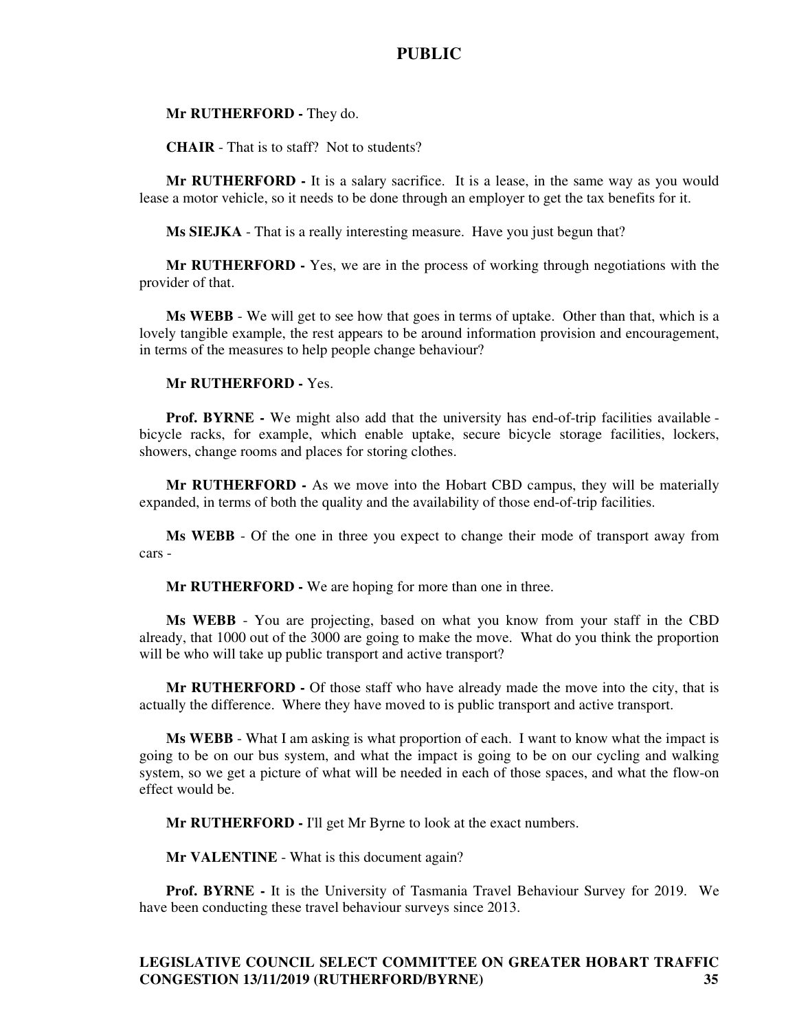#### **Mr RUTHERFORD -** They do.

**CHAIR** - That is to staff? Not to students?

**Mr RUTHERFORD -** It is a salary sacrifice. It is a lease, in the same way as you would lease a motor vehicle, so it needs to be done through an employer to get the tax benefits for it.

**Ms SIEJKA** - That is a really interesting measure. Have you just begun that?

**Mr RUTHERFORD -** Yes, we are in the process of working through negotiations with the provider of that.

**Ms WEBB** - We will get to see how that goes in terms of uptake. Other than that, which is a lovely tangible example, the rest appears to be around information provision and encouragement, in terms of the measures to help people change behaviour?

#### **Mr RUTHERFORD -** Yes.

**Prof. BYRNE -** We might also add that the university has end-of-trip facilities available bicycle racks, for example, which enable uptake, secure bicycle storage facilities, lockers, showers, change rooms and places for storing clothes.

**Mr RUTHERFORD -** As we move into the Hobart CBD campus, they will be materially expanded, in terms of both the quality and the availability of those end-of-trip facilities.

**Ms WEBB** - Of the one in three you expect to change their mode of transport away from cars -

**Mr RUTHERFORD -** We are hoping for more than one in three.

**Ms WEBB** - You are projecting, based on what you know from your staff in the CBD already, that 1000 out of the 3000 are going to make the move. What do you think the proportion will be who will take up public transport and active transport?

**Mr RUTHERFORD -** Of those staff who have already made the move into the city, that is actually the difference. Where they have moved to is public transport and active transport.

**Ms WEBB** - What I am asking is what proportion of each. I want to know what the impact is going to be on our bus system, and what the impact is going to be on our cycling and walking system, so we get a picture of what will be needed in each of those spaces, and what the flow-on effect would be.

**Mr RUTHERFORD -** I'll get Mr Byrne to look at the exact numbers.

**Mr VALENTINE** - What is this document again?

**Prof. BYRNE -** It is the University of Tasmania Travel Behaviour Survey for 2019. We have been conducting these travel behaviour surveys since 2013.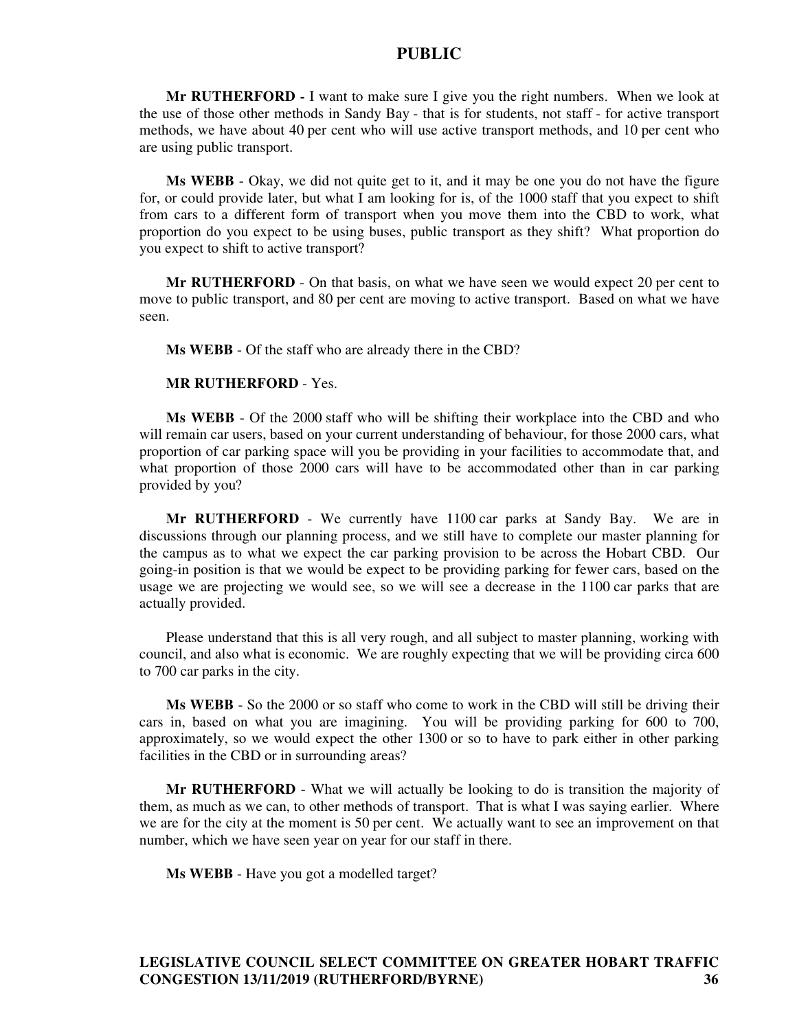**Mr RUTHERFORD -** I want to make sure I give you the right numbers. When we look at the use of those other methods in Sandy Bay - that is for students, not staff - for active transport methods, we have about 40 per cent who will use active transport methods, and 10 per cent who are using public transport.

**Ms WEBB** - Okay, we did not quite get to it, and it may be one you do not have the figure for, or could provide later, but what I am looking for is, of the 1000 staff that you expect to shift from cars to a different form of transport when you move them into the CBD to work, what proportion do you expect to be using buses, public transport as they shift? What proportion do you expect to shift to active transport?

**Mr RUTHERFORD** - On that basis, on what we have seen we would expect 20 per cent to move to public transport, and 80 per cent are moving to active transport. Based on what we have seen.

**Ms WEBB** - Of the staff who are already there in the CBD?

#### **MR RUTHERFORD** - Yes.

**Ms WEBB** - Of the 2000 staff who will be shifting their workplace into the CBD and who will remain car users, based on your current understanding of behaviour, for those 2000 cars, what proportion of car parking space will you be providing in your facilities to accommodate that, and what proportion of those 2000 cars will have to be accommodated other than in car parking provided by you?

**Mr RUTHERFORD** - We currently have 1100 car parks at Sandy Bay. We are in discussions through our planning process, and we still have to complete our master planning for the campus as to what we expect the car parking provision to be across the Hobart CBD. Our going-in position is that we would be expect to be providing parking for fewer cars, based on the usage we are projecting we would see, so we will see a decrease in the 1100 car parks that are actually provided.

Please understand that this is all very rough, and all subject to master planning, working with council, and also what is economic. We are roughly expecting that we will be providing circa 600 to 700 car parks in the city.

**Ms WEBB** - So the 2000 or so staff who come to work in the CBD will still be driving their cars in, based on what you are imagining. You will be providing parking for 600 to 700, approximately, so we would expect the other 1300 or so to have to park either in other parking facilities in the CBD or in surrounding areas?

**Mr RUTHERFORD** - What we will actually be looking to do is transition the majority of them, as much as we can, to other methods of transport. That is what I was saying earlier. Where we are for the city at the moment is 50 per cent. We actually want to see an improvement on that number, which we have seen year on year for our staff in there.

**Ms WEBB** - Have you got a modelled target?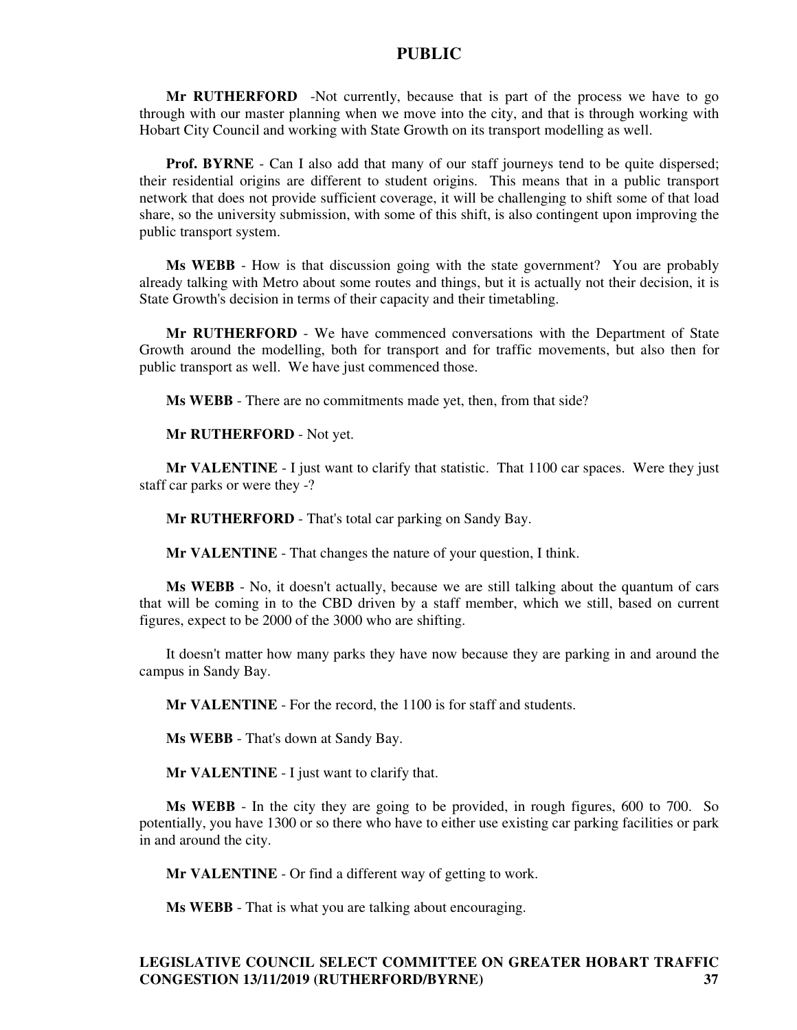**Mr RUTHERFORD** -Not currently, because that is part of the process we have to go through with our master planning when we move into the city, and that is through working with Hobart City Council and working with State Growth on its transport modelling as well.

**Prof. BYRNE** - Can I also add that many of our staff journeys tend to be quite dispersed; their residential origins are different to student origins. This means that in a public transport network that does not provide sufficient coverage, it will be challenging to shift some of that load share, so the university submission, with some of this shift, is also contingent upon improving the public transport system.

**Ms WEBB** - How is that discussion going with the state government? You are probably already talking with Metro about some routes and things, but it is actually not their decision, it is State Growth's decision in terms of their capacity and their timetabling.

**Mr RUTHERFORD** - We have commenced conversations with the Department of State Growth around the modelling, both for transport and for traffic movements, but also then for public transport as well. We have just commenced those.

**Ms WEBB** - There are no commitments made yet, then, from that side?

#### **Mr RUTHERFORD** - Not yet.

**Mr VALENTINE** - I just want to clarify that statistic. That 1100 car spaces. Were they just staff car parks or were they -?

**Mr RUTHERFORD** - That's total car parking on Sandy Bay.

**Mr VALENTINE** - That changes the nature of your question, I think.

**Ms WEBB** - No, it doesn't actually, because we are still talking about the quantum of cars that will be coming in to the CBD driven by a staff member, which we still, based on current figures, expect to be 2000 of the 3000 who are shifting.

It doesn't matter how many parks they have now because they are parking in and around the campus in Sandy Bay.

**Mr VALENTINE** - For the record, the 1100 is for staff and students.

**Ms WEBB** - That's down at Sandy Bay.

**Mr VALENTINE** - I just want to clarify that.

**Ms WEBB** - In the city they are going to be provided, in rough figures, 600 to 700. So potentially, you have 1300 or so there who have to either use existing car parking facilities or park in and around the city.

**Mr VALENTINE** - Or find a different way of getting to work.

**Ms WEBB** - That is what you are talking about encouraging.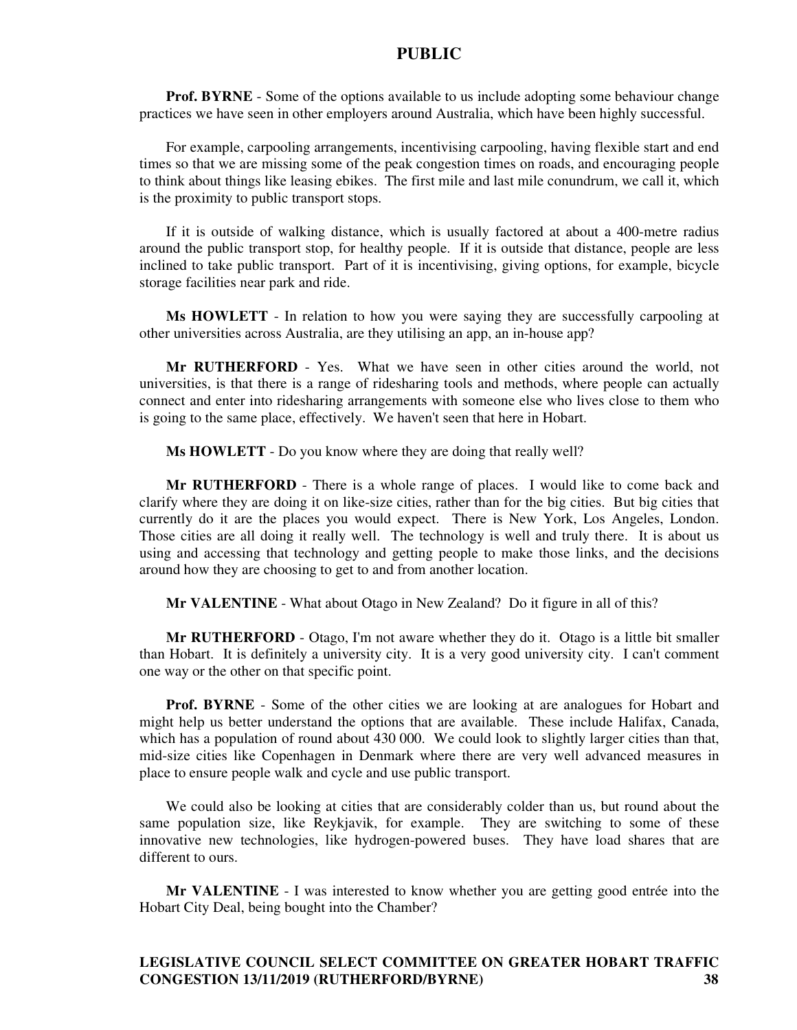**Prof. BYRNE** - Some of the options available to us include adopting some behaviour change practices we have seen in other employers around Australia, which have been highly successful.

For example, carpooling arrangements, incentivising carpooling, having flexible start and end times so that we are missing some of the peak congestion times on roads, and encouraging people to think about things like leasing ebikes. The first mile and last mile conundrum, we call it, which is the proximity to public transport stops.

If it is outside of walking distance, which is usually factored at about a 400-metre radius around the public transport stop, for healthy people. If it is outside that distance, people are less inclined to take public transport. Part of it is incentivising, giving options, for example, bicycle storage facilities near park and ride.

**Ms HOWLETT** - In relation to how you were saying they are successfully carpooling at other universities across Australia, are they utilising an app, an in-house app?

**Mr RUTHERFORD** - Yes. What we have seen in other cities around the world, not universities, is that there is a range of ridesharing tools and methods, where people can actually connect and enter into ridesharing arrangements with someone else who lives close to them who is going to the same place, effectively. We haven't seen that here in Hobart.

**Ms HOWLETT** - Do you know where they are doing that really well?

**Mr RUTHERFORD** - There is a whole range of places. I would like to come back and clarify where they are doing it on like-size cities, rather than for the big cities. But big cities that currently do it are the places you would expect. There is New York, Los Angeles, London. Those cities are all doing it really well. The technology is well and truly there. It is about us using and accessing that technology and getting people to make those links, and the decisions around how they are choosing to get to and from another location.

**Mr VALENTINE** - What about Otago in New Zealand? Do it figure in all of this?

**Mr RUTHERFORD** - Otago, I'm not aware whether they do it. Otago is a little bit smaller than Hobart. It is definitely a university city. It is a very good university city. I can't comment one way or the other on that specific point.

**Prof. BYRNE** - Some of the other cities we are looking at are analogues for Hobart and might help us better understand the options that are available. These include Halifax, Canada, which has a population of round about 430 000. We could look to slightly larger cities than that, mid-size cities like Copenhagen in Denmark where there are very well advanced measures in place to ensure people walk and cycle and use public transport.

We could also be looking at cities that are considerably colder than us, but round about the same population size, like Reykjavik, for example. They are switching to some of these innovative new technologies, like hydrogen-powered buses. They have load shares that are different to ours.

**Mr VALENTINE** - I was interested to know whether you are getting good entrée into the Hobart City Deal, being bought into the Chamber?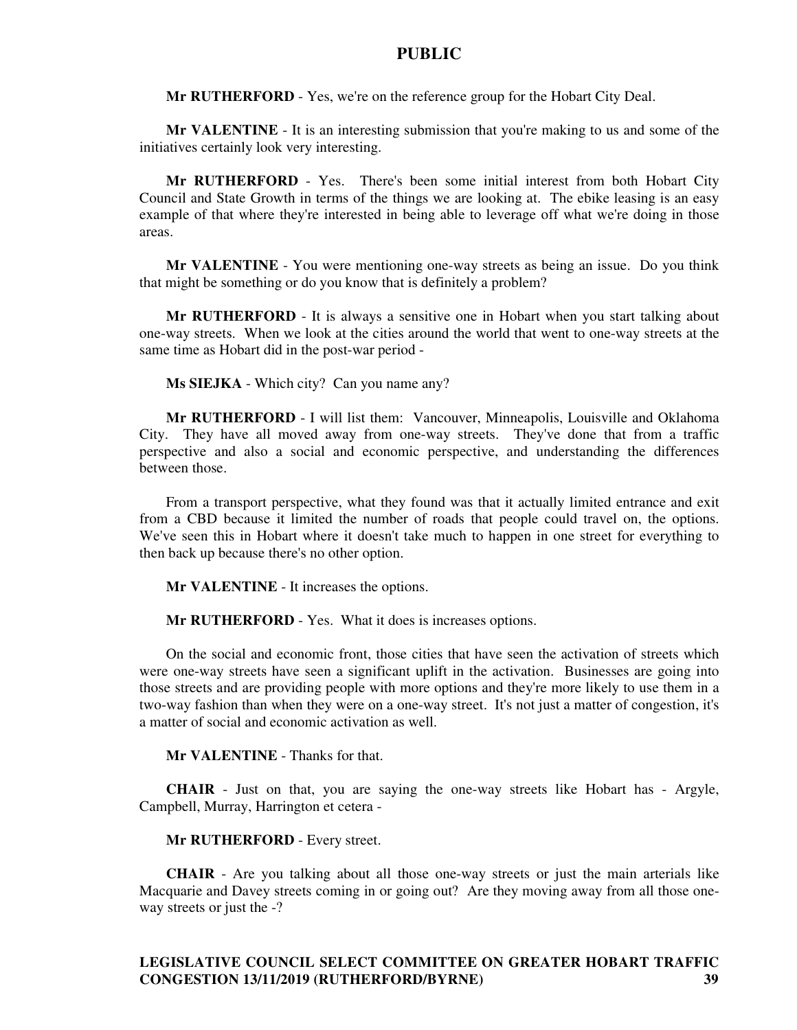**Mr RUTHERFORD** - Yes, we're on the reference group for the Hobart City Deal.

**Mr VALENTINE** - It is an interesting submission that you're making to us and some of the initiatives certainly look very interesting.

**Mr RUTHERFORD** - Yes. There's been some initial interest from both Hobart City Council and State Growth in terms of the things we are looking at. The ebike leasing is an easy example of that where they're interested in being able to leverage off what we're doing in those areas.

**Mr VALENTINE** - You were mentioning one-way streets as being an issue. Do you think that might be something or do you know that is definitely a problem?

**Mr RUTHERFORD** - It is always a sensitive one in Hobart when you start talking about one-way streets. When we look at the cities around the world that went to one-way streets at the same time as Hobart did in the post-war period -

**Ms SIEJKA** - Which city? Can you name any?

**Mr RUTHERFORD** - I will list them: Vancouver, Minneapolis, Louisville and Oklahoma City. They have all moved away from one-way streets. They've done that from a traffic perspective and also a social and economic perspective, and understanding the differences between those.

From a transport perspective, what they found was that it actually limited entrance and exit from a CBD because it limited the number of roads that people could travel on, the options. We've seen this in Hobart where it doesn't take much to happen in one street for everything to then back up because there's no other option.

**Mr VALENTINE** - It increases the options.

**Mr RUTHERFORD** - Yes. What it does is increases options.

On the social and economic front, those cities that have seen the activation of streets which were one-way streets have seen a significant uplift in the activation. Businesses are going into those streets and are providing people with more options and they're more likely to use them in a two-way fashion than when they were on a one-way street. It's not just a matter of congestion, it's a matter of social and economic activation as well.

**Mr VALENTINE** - Thanks for that.

**CHAIR** - Just on that, you are saying the one-way streets like Hobart has - Argyle, Campbell, Murray, Harrington et cetera -

#### **Mr RUTHERFORD** - Every street.

**CHAIR** - Are you talking about all those one-way streets or just the main arterials like Macquarie and Davey streets coming in or going out? Are they moving away from all those oneway streets or just the -?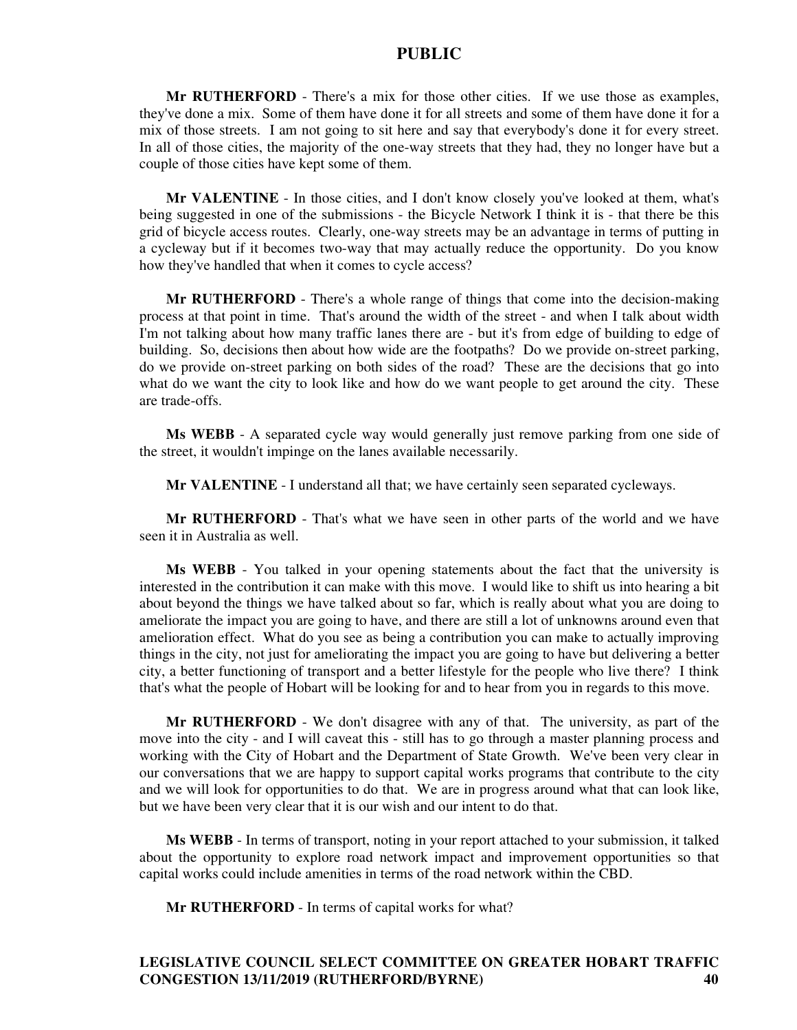**Mr RUTHERFORD** - There's a mix for those other cities. If we use those as examples, they've done a mix. Some of them have done it for all streets and some of them have done it for a mix of those streets. I am not going to sit here and say that everybody's done it for every street. In all of those cities, the majority of the one-way streets that they had, they no longer have but a couple of those cities have kept some of them.

**Mr VALENTINE** - In those cities, and I don't know closely you've looked at them, what's being suggested in one of the submissions - the Bicycle Network I think it is - that there be this grid of bicycle access routes. Clearly, one-way streets may be an advantage in terms of putting in a cycleway but if it becomes two-way that may actually reduce the opportunity. Do you know how they've handled that when it comes to cycle access?

**Mr RUTHERFORD** - There's a whole range of things that come into the decision-making process at that point in time. That's around the width of the street - and when I talk about width I'm not talking about how many traffic lanes there are - but it's from edge of building to edge of building. So, decisions then about how wide are the footpaths? Do we provide on-street parking, do we provide on-street parking on both sides of the road? These are the decisions that go into what do we want the city to look like and how do we want people to get around the city. These are trade-offs.

**Ms WEBB** - A separated cycle way would generally just remove parking from one side of the street, it wouldn't impinge on the lanes available necessarily.

**Mr VALENTINE** - I understand all that; we have certainly seen separated cycleways.

**Mr RUTHERFORD** - That's what we have seen in other parts of the world and we have seen it in Australia as well.

**Ms WEBB** - You talked in your opening statements about the fact that the university is interested in the contribution it can make with this move. I would like to shift us into hearing a bit about beyond the things we have talked about so far, which is really about what you are doing to ameliorate the impact you are going to have, and there are still a lot of unknowns around even that amelioration effect. What do you see as being a contribution you can make to actually improving things in the city, not just for ameliorating the impact you are going to have but delivering a better city, a better functioning of transport and a better lifestyle for the people who live there? I think that's what the people of Hobart will be looking for and to hear from you in regards to this move.

**Mr RUTHERFORD** - We don't disagree with any of that. The university, as part of the move into the city - and I will caveat this - still has to go through a master planning process and working with the City of Hobart and the Department of State Growth. We've been very clear in our conversations that we are happy to support capital works programs that contribute to the city and we will look for opportunities to do that. We are in progress around what that can look like, but we have been very clear that it is our wish and our intent to do that.

**Ms WEBB** - In terms of transport, noting in your report attached to your submission, it talked about the opportunity to explore road network impact and improvement opportunities so that capital works could include amenities in terms of the road network within the CBD.

**Mr RUTHERFORD** - In terms of capital works for what?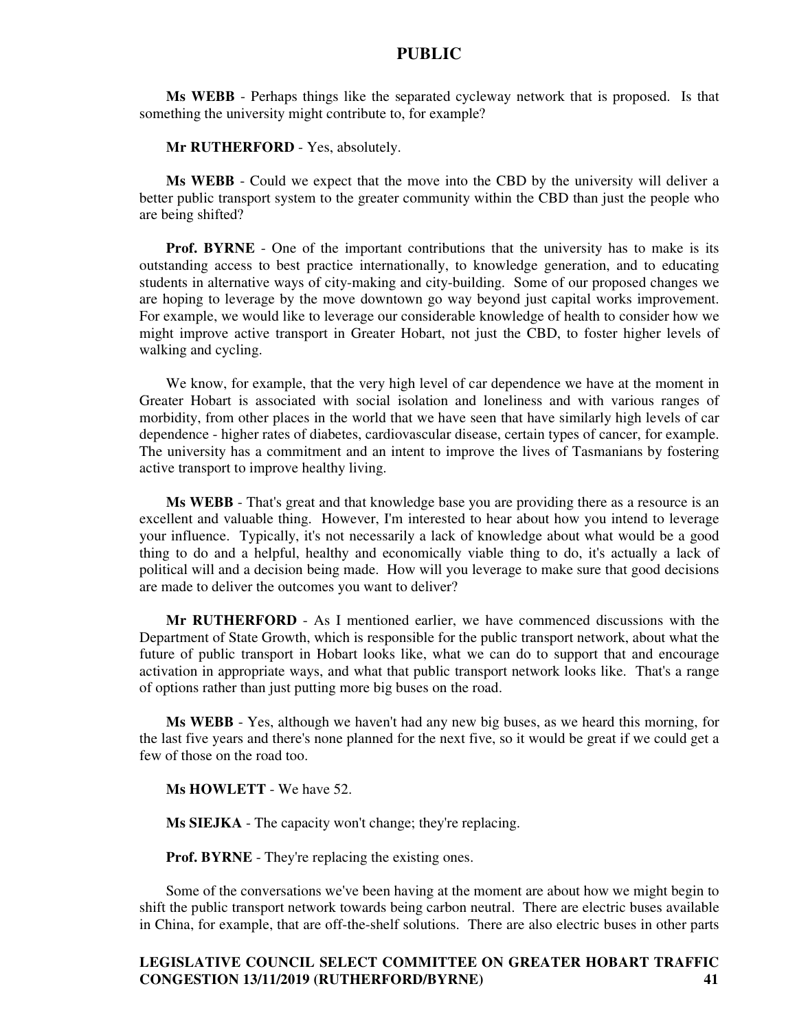**Ms WEBB** - Perhaps things like the separated cycleway network that is proposed. Is that something the university might contribute to, for example?

#### **Mr RUTHERFORD** - Yes, absolutely.

**Ms WEBB** - Could we expect that the move into the CBD by the university will deliver a better public transport system to the greater community within the CBD than just the people who are being shifted?

**Prof. BYRNE** - One of the important contributions that the university has to make is its outstanding access to best practice internationally, to knowledge generation, and to educating students in alternative ways of city-making and city-building. Some of our proposed changes we are hoping to leverage by the move downtown go way beyond just capital works improvement. For example, we would like to leverage our considerable knowledge of health to consider how we might improve active transport in Greater Hobart, not just the CBD, to foster higher levels of walking and cycling.

We know, for example, that the very high level of car dependence we have at the moment in Greater Hobart is associated with social isolation and loneliness and with various ranges of morbidity, from other places in the world that we have seen that have similarly high levels of car dependence - higher rates of diabetes, cardiovascular disease, certain types of cancer, for example. The university has a commitment and an intent to improve the lives of Tasmanians by fostering active transport to improve healthy living.

**Ms WEBB** - That's great and that knowledge base you are providing there as a resource is an excellent and valuable thing. However, I'm interested to hear about how you intend to leverage your influence. Typically, it's not necessarily a lack of knowledge about what would be a good thing to do and a helpful, healthy and economically viable thing to do, it's actually a lack of political will and a decision being made. How will you leverage to make sure that good decisions are made to deliver the outcomes you want to deliver?

**Mr RUTHERFORD** - As I mentioned earlier, we have commenced discussions with the Department of State Growth, which is responsible for the public transport network, about what the future of public transport in Hobart looks like, what we can do to support that and encourage activation in appropriate ways, and what that public transport network looks like. That's a range of options rather than just putting more big buses on the road.

**Ms WEBB** - Yes, although we haven't had any new big buses, as we heard this morning, for the last five years and there's none planned for the next five, so it would be great if we could get a few of those on the road too.

**Ms HOWLETT** - We have 52.

**Ms SIEJKA** - The capacity won't change; they're replacing.

**Prof. BYRNE** - They're replacing the existing ones.

Some of the conversations we've been having at the moment are about how we might begin to shift the public transport network towards being carbon neutral. There are electric buses available in China, for example, that are off-the-shelf solutions. There are also electric buses in other parts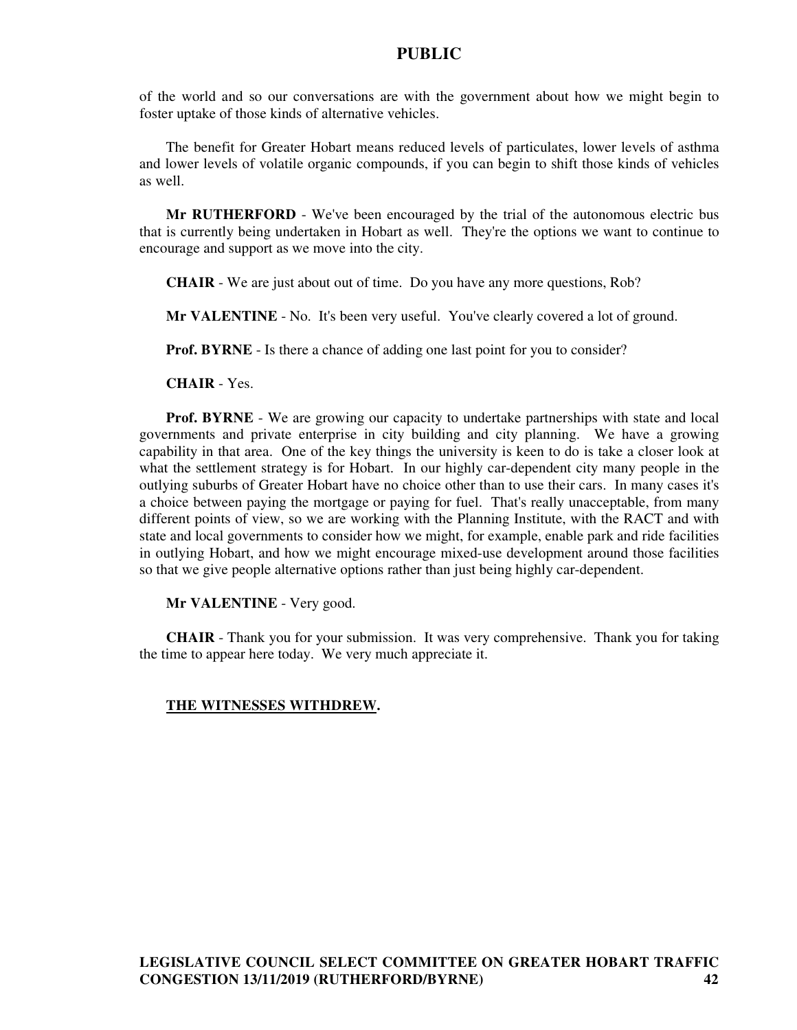of the world and so our conversations are with the government about how we might begin to foster uptake of those kinds of alternative vehicles.

The benefit for Greater Hobart means reduced levels of particulates, lower levels of asthma and lower levels of volatile organic compounds, if you can begin to shift those kinds of vehicles as well.

**Mr RUTHERFORD** - We've been encouraged by the trial of the autonomous electric bus that is currently being undertaken in Hobart as well. They're the options we want to continue to encourage and support as we move into the city.

**CHAIR** - We are just about out of time. Do you have any more questions, Rob?

**Mr VALENTINE** - No. It's been very useful. You've clearly covered a lot of ground.

**Prof. BYRNE** - Is there a chance of adding one last point for you to consider?

**CHAIR** - Yes.

**Prof. BYRNE** - We are growing our capacity to undertake partnerships with state and local governments and private enterprise in city building and city planning. We have a growing capability in that area. One of the key things the university is keen to do is take a closer look at what the settlement strategy is for Hobart. In our highly car-dependent city many people in the outlying suburbs of Greater Hobart have no choice other than to use their cars. In many cases it's a choice between paying the mortgage or paying for fuel. That's really unacceptable, from many different points of view, so we are working with the Planning Institute, with the RACT and with state and local governments to consider how we might, for example, enable park and ride facilities in outlying Hobart, and how we might encourage mixed-use development around those facilities so that we give people alternative options rather than just being highly car-dependent.

**Mr VALENTINE** - Very good.

**CHAIR** - Thank you for your submission. It was very comprehensive. Thank you for taking the time to appear here today. We very much appreciate it.

#### **THE WITNESSES WITHDREW.**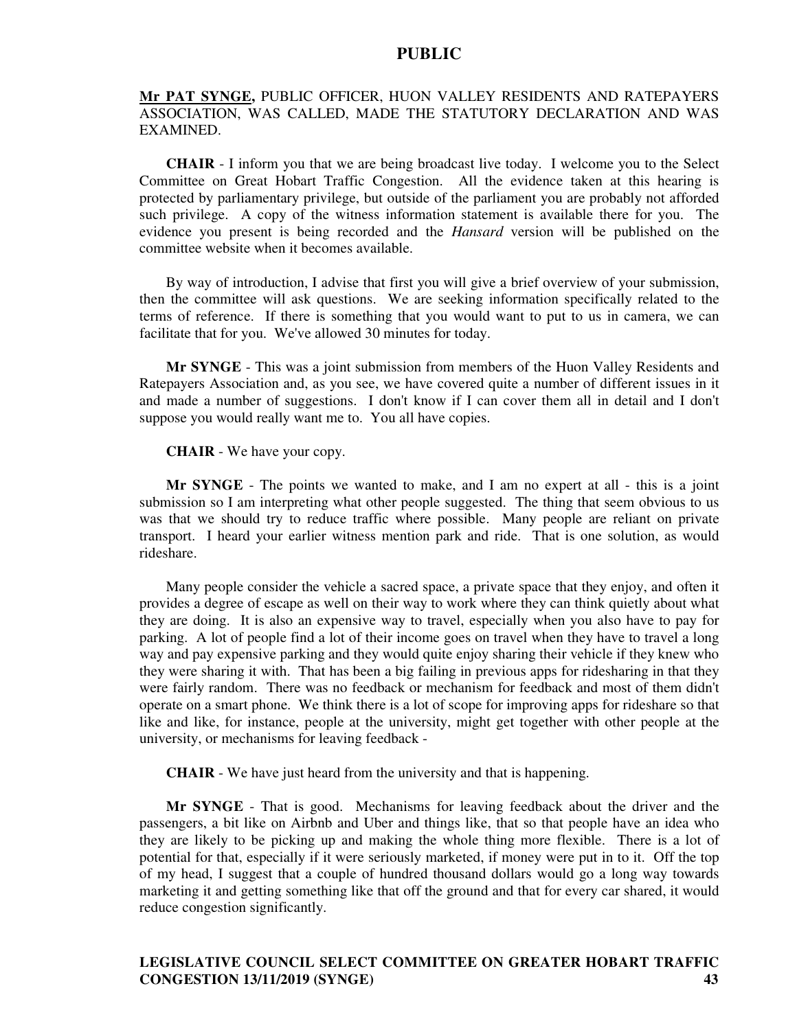#### **Mr PAT SYNGE,** PUBLIC OFFICER, HUON VALLEY RESIDENTS AND RATEPAYERS ASSOCIATION, WAS CALLED, MADE THE STATUTORY DECLARATION AND WAS EXAMINED.

**CHAIR** - I inform you that we are being broadcast live today. I welcome you to the Select Committee on Great Hobart Traffic Congestion. All the evidence taken at this hearing is protected by parliamentary privilege, but outside of the parliament you are probably not afforded such privilege. A copy of the witness information statement is available there for you. The evidence you present is being recorded and the *Hansard* version will be published on the committee website when it becomes available.

By way of introduction, I advise that first you will give a brief overview of your submission, then the committee will ask questions. We are seeking information specifically related to the terms of reference. If there is something that you would want to put to us in camera, we can facilitate that for you. We've allowed 30 minutes for today.

**Mr SYNGE** - This was a joint submission from members of the Huon Valley Residents and Ratepayers Association and, as you see, we have covered quite a number of different issues in it and made a number of suggestions. I don't know if I can cover them all in detail and I don't suppose you would really want me to. You all have copies.

**CHAIR** - We have your copy.

**Mr SYNGE** - The points we wanted to make, and I am no expert at all - this is a joint submission so I am interpreting what other people suggested. The thing that seem obvious to us was that we should try to reduce traffic where possible. Many people are reliant on private transport. I heard your earlier witness mention park and ride. That is one solution, as would rideshare.

Many people consider the vehicle a sacred space, a private space that they enjoy, and often it provides a degree of escape as well on their way to work where they can think quietly about what they are doing. It is also an expensive way to travel, especially when you also have to pay for parking. A lot of people find a lot of their income goes on travel when they have to travel a long way and pay expensive parking and they would quite enjoy sharing their vehicle if they knew who they were sharing it with. That has been a big failing in previous apps for ridesharing in that they were fairly random. There was no feedback or mechanism for feedback and most of them didn't operate on a smart phone. We think there is a lot of scope for improving apps for rideshare so that like and like, for instance, people at the university, might get together with other people at the university, or mechanisms for leaving feedback -

**CHAIR** - We have just heard from the university and that is happening.

**Mr SYNGE** - That is good. Mechanisms for leaving feedback about the driver and the passengers, a bit like on Airbnb and Uber and things like, that so that people have an idea who they are likely to be picking up and making the whole thing more flexible. There is a lot of potential for that, especially if it were seriously marketed, if money were put in to it. Off the top of my head, I suggest that a couple of hundred thousand dollars would go a long way towards marketing it and getting something like that off the ground and that for every car shared, it would reduce congestion significantly.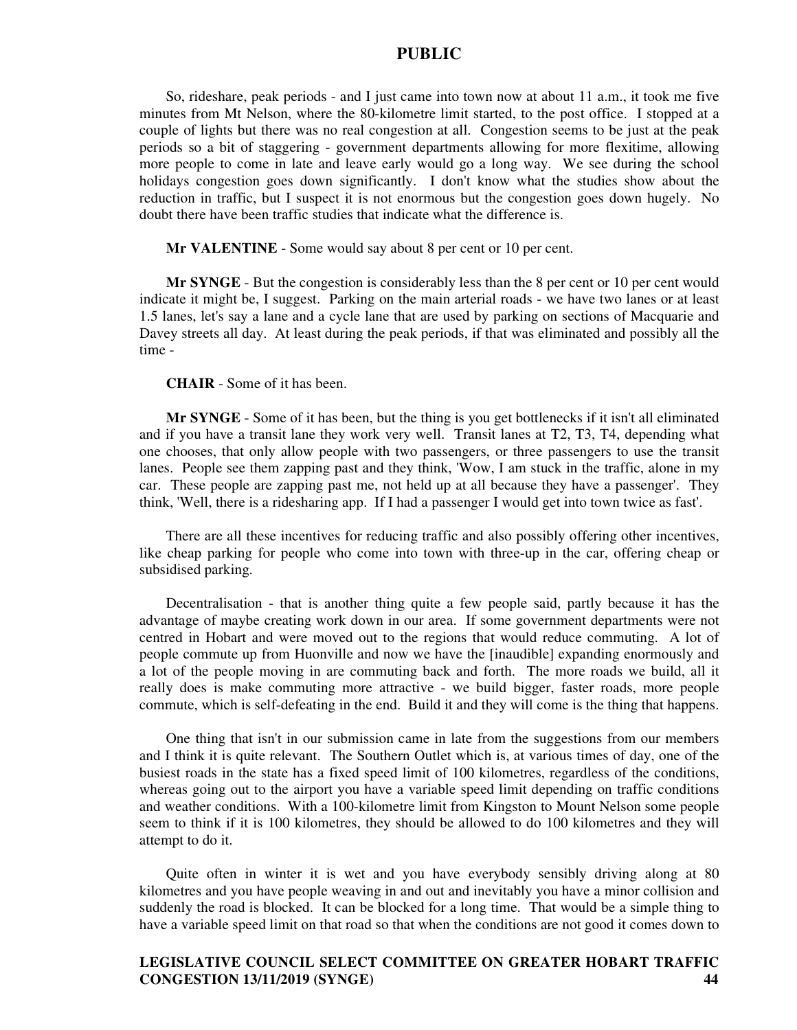So, rideshare, peak periods - and I just came into town now at about 11 a.m., it took me five minutes from Mt Nelson, where the 80-kilometre limit started, to the post office. I stopped at a couple of lights but there was no real congestion at all. Congestion seems to be just at the peak periods so a bit of staggering - government departments allowing for more flexitime, allowing more people to come in late and leave early would go a long way. We see during the school holidays congestion goes down significantly. I don't know what the studies show about the reduction in traffic, but I suspect it is not enormous but the congestion goes down hugely. No doubt there have been traffic studies that indicate what the difference is.

**Mr VALENTINE** - Some would say about 8 per cent or 10 per cent.

**Mr SYNGE** - But the congestion is considerably less than the 8 per cent or 10 per cent would indicate it might be, I suggest. Parking on the main arterial roads - we have two lanes or at least 1.5 lanes, let's say a lane and a cycle lane that are used by parking on sections of Macquarie and Davey streets all day. At least during the peak periods, if that was eliminated and possibly all the time -

#### **CHAIR** - Some of it has been.

**Mr SYNGE** - Some of it has been, but the thing is you get bottlenecks if it isn't all eliminated and if you have a transit lane they work very well. Transit lanes at T2, T3, T4, depending what one chooses, that only allow people with two passengers, or three passengers to use the transit lanes. People see them zapping past and they think, 'Wow, I am stuck in the traffic, alone in my car. These people are zapping past me, not held up at all because they have a passenger'. They think, 'Well, there is a ridesharing app. If I had a passenger I would get into town twice as fast'.

There are all these incentives for reducing traffic and also possibly offering other incentives, like cheap parking for people who come into town with three-up in the car, offering cheap or subsidised parking.

Decentralisation - that is another thing quite a few people said, partly because it has the advantage of maybe creating work down in our area. If some government departments were not centred in Hobart and were moved out to the regions that would reduce commuting. A lot of people commute up from Huonville and now we have the [inaudible] expanding enormously and a lot of the people moving in are commuting back and forth. The more roads we build, all it really does is make commuting more attractive - we build bigger, faster roads, more people commute, which is self-defeating in the end. Build it and they will come is the thing that happens.

One thing that isn't in our submission came in late from the suggestions from our members and I think it is quite relevant. The Southern Outlet which is, at various times of day, one of the busiest roads in the state has a fixed speed limit of 100 kilometres, regardless of the conditions, whereas going out to the airport you have a variable speed limit depending on traffic conditions and weather conditions. With a 100-kilometre limit from Kingston to Mount Nelson some people seem to think if it is 100 kilometres, they should be allowed to do 100 kilometres and they will attempt to do it.

Quite often in winter it is wet and you have everybody sensibly driving along at 80 kilometres and you have people weaving in and out and inevitably you have a minor collision and suddenly the road is blocked. It can be blocked for a long time. That would be a simple thing to have a variable speed limit on that road so that when the conditions are not good it comes down to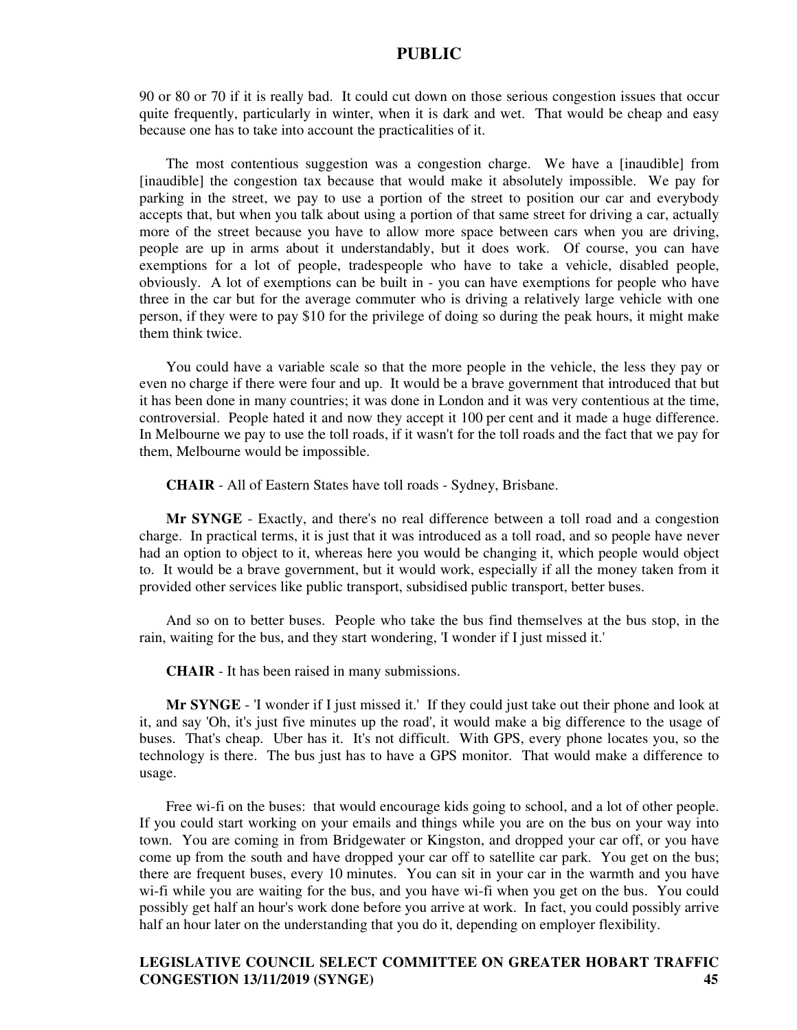90 or 80 or 70 if it is really bad. It could cut down on those serious congestion issues that occur quite frequently, particularly in winter, when it is dark and wet. That would be cheap and easy because one has to take into account the practicalities of it.

The most contentious suggestion was a congestion charge. We have a [inaudible] from [inaudible] the congestion tax because that would make it absolutely impossible. We pay for parking in the street, we pay to use a portion of the street to position our car and everybody accepts that, but when you talk about using a portion of that same street for driving a car, actually more of the street because you have to allow more space between cars when you are driving, people are up in arms about it understandably, but it does work. Of course, you can have exemptions for a lot of people, tradespeople who have to take a vehicle, disabled people, obviously. A lot of exemptions can be built in - you can have exemptions for people who have three in the car but for the average commuter who is driving a relatively large vehicle with one person, if they were to pay \$10 for the privilege of doing so during the peak hours, it might make them think twice.

You could have a variable scale so that the more people in the vehicle, the less they pay or even no charge if there were four and up. It would be a brave government that introduced that but it has been done in many countries; it was done in London and it was very contentious at the time, controversial. People hated it and now they accept it 100 per cent and it made a huge difference. In Melbourne we pay to use the toll roads, if it wasn't for the toll roads and the fact that we pay for them, Melbourne would be impossible.

**CHAIR** - All of Eastern States have toll roads - Sydney, Brisbane.

**Mr SYNGE** - Exactly, and there's no real difference between a toll road and a congestion charge. In practical terms, it is just that it was introduced as a toll road, and so people have never had an option to object to it, whereas here you would be changing it, which people would object to. It would be a brave government, but it would work, especially if all the money taken from it provided other services like public transport, subsidised public transport, better buses.

And so on to better buses. People who take the bus find themselves at the bus stop, in the rain, waiting for the bus, and they start wondering, 'I wonder if I just missed it.'

**CHAIR** - It has been raised in many submissions.

**Mr SYNGE** - 'I wonder if I just missed it.' If they could just take out their phone and look at it, and say 'Oh, it's just five minutes up the road', it would make a big difference to the usage of buses. That's cheap. Uber has it. It's not difficult. With GPS, every phone locates you, so the technology is there. The bus just has to have a GPS monitor. That would make a difference to usage.

Free wi-fi on the buses: that would encourage kids going to school, and a lot of other people. If you could start working on your emails and things while you are on the bus on your way into town. You are coming in from Bridgewater or Kingston, and dropped your car off, or you have come up from the south and have dropped your car off to satellite car park. You get on the bus; there are frequent buses, every 10 minutes. You can sit in your car in the warmth and you have wi-fi while you are waiting for the bus, and you have wi-fi when you get on the bus. You could possibly get half an hour's work done before you arrive at work. In fact, you could possibly arrive half an hour later on the understanding that you do it, depending on employer flexibility.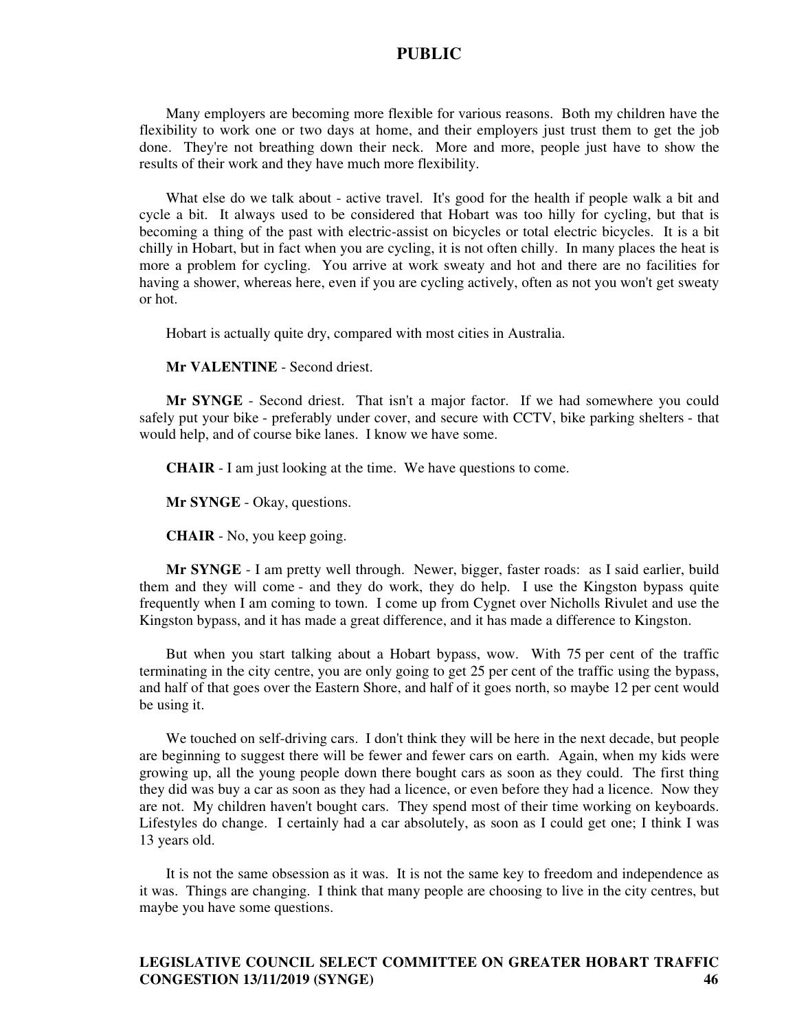Many employers are becoming more flexible for various reasons. Both my children have the flexibility to work one or two days at home, and their employers just trust them to get the job done. They're not breathing down their neck. More and more, people just have to show the results of their work and they have much more flexibility.

What else do we talk about - active travel. It's good for the health if people walk a bit and cycle a bit. It always used to be considered that Hobart was too hilly for cycling, but that is becoming a thing of the past with electric-assist on bicycles or total electric bicycles. It is a bit chilly in Hobart, but in fact when you are cycling, it is not often chilly. In many places the heat is more a problem for cycling. You arrive at work sweaty and hot and there are no facilities for having a shower, whereas here, even if you are cycling actively, often as not you won't get sweaty or hot.

Hobart is actually quite dry, compared with most cities in Australia.

**Mr VALENTINE** - Second driest.

**Mr SYNGE** - Second driest. That isn't a major factor. If we had somewhere you could safely put your bike - preferably under cover, and secure with CCTV, bike parking shelters - that would help, and of course bike lanes. I know we have some.

**CHAIR** - I am just looking at the time. We have questions to come.

**Mr SYNGE** - Okay, questions.

**CHAIR** - No, you keep going.

**Mr SYNGE** - I am pretty well through. Newer, bigger, faster roads: as I said earlier, build them and they will come - and they do work, they do help. I use the Kingston bypass quite frequently when I am coming to town. I come up from Cygnet over Nicholls Rivulet and use the Kingston bypass, and it has made a great difference, and it has made a difference to Kingston.

But when you start talking about a Hobart bypass, wow. With 75 per cent of the traffic terminating in the city centre, you are only going to get 25 per cent of the traffic using the bypass, and half of that goes over the Eastern Shore, and half of it goes north, so maybe 12 per cent would be using it.

We touched on self-driving cars. I don't think they will be here in the next decade, but people are beginning to suggest there will be fewer and fewer cars on earth. Again, when my kids were growing up, all the young people down there bought cars as soon as they could. The first thing they did was buy a car as soon as they had a licence, or even before they had a licence. Now they are not. My children haven't bought cars. They spend most of their time working on keyboards. Lifestyles do change. I certainly had a car absolutely, as soon as I could get one; I think I was 13 years old.

It is not the same obsession as it was. It is not the same key to freedom and independence as it was. Things are changing. I think that many people are choosing to live in the city centres, but maybe you have some questions.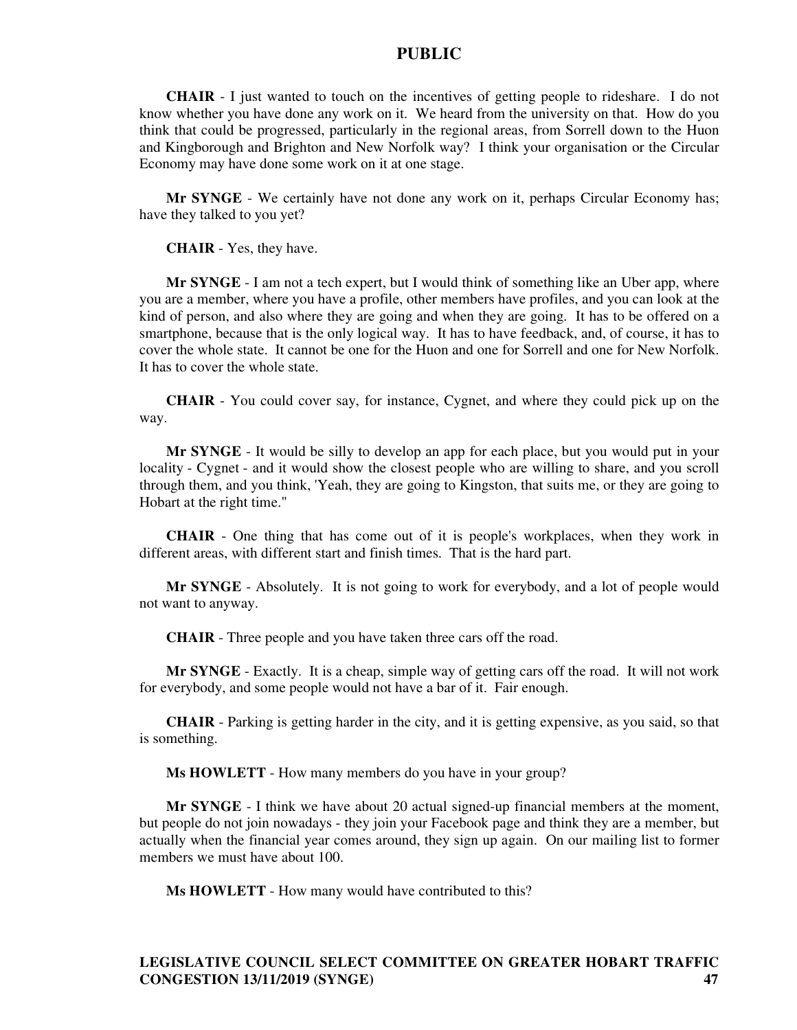**CHAIR** - I just wanted to touch on the incentives of getting people to rideshare. I do not know whether you have done any work on it. We heard from the university on that. How do you think that could be progressed, particularly in the regional areas, from Sorrell down to the Huon and Kingborough and Brighton and New Norfolk way? I think your organisation or the Circular Economy may have done some work on it at one stage.

**Mr SYNGE** - We certainly have not done any work on it, perhaps Circular Economy has; have they talked to you yet?

**CHAIR** - Yes, they have.

**Mr SYNGE** - I am not a tech expert, but I would think of something like an Uber app, where you are a member, where you have a profile, other members have profiles, and you can look at the kind of person, and also where they are going and when they are going. It has to be offered on a smartphone, because that is the only logical way. It has to have feedback, and, of course, it has to cover the whole state. It cannot be one for the Huon and one for Sorrell and one for New Norfolk. It has to cover the whole state.

**CHAIR** - You could cover say, for instance, Cygnet, and where they could pick up on the way.

**Mr SYNGE** - It would be silly to develop an app for each place, but you would put in your locality - Cygnet - and it would show the closest people who are willing to share, and you scroll through them, and you think, 'Yeah, they are going to Kingston, that suits me, or they are going to Hobart at the right time."

**CHAIR** - One thing that has come out of it is people's workplaces, when they work in different areas, with different start and finish times. That is the hard part.

**Mr SYNGE** - Absolutely. It is not going to work for everybody, and a lot of people would not want to anyway.

**CHAIR** - Three people and you have taken three cars off the road.

**Mr SYNGE** - Exactly. It is a cheap, simple way of getting cars off the road. It will not work for everybody, and some people would not have a bar of it. Fair enough.

**CHAIR** - Parking is getting harder in the city, and it is getting expensive, as you said, so that is something.

**Ms HOWLETT** - How many members do you have in your group?

**Mr SYNGE** - I think we have about 20 actual signed-up financial members at the moment, but people do not join nowadays - they join your Facebook page and think they are a member, but actually when the financial year comes around, they sign up again. On our mailing list to former members we must have about 100.

**Ms HOWLETT** - How many would have contributed to this?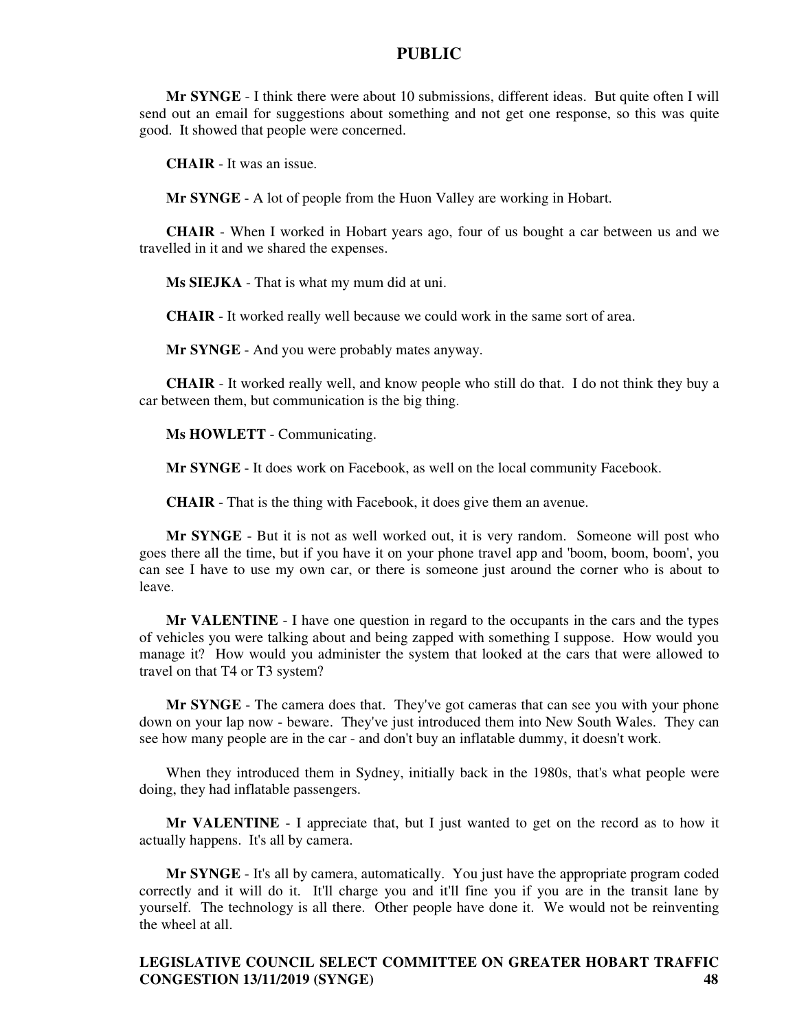**Mr SYNGE** - I think there were about 10 submissions, different ideas. But quite often I will send out an email for suggestions about something and not get one response, so this was quite good. It showed that people were concerned.

**CHAIR** - It was an issue.

**Mr SYNGE** - A lot of people from the Huon Valley are working in Hobart.

**CHAIR** - When I worked in Hobart years ago, four of us bought a car between us and we travelled in it and we shared the expenses.

**Ms SIEJKA** - That is what my mum did at uni.

**CHAIR** - It worked really well because we could work in the same sort of area.

**Mr SYNGE** - And you were probably mates anyway.

**CHAIR** - It worked really well, and know people who still do that. I do not think they buy a car between them, but communication is the big thing.

**Ms HOWLETT** - Communicating.

**Mr SYNGE** - It does work on Facebook, as well on the local community Facebook.

**CHAIR** - That is the thing with Facebook, it does give them an avenue.

**Mr SYNGE** - But it is not as well worked out, it is very random. Someone will post who goes there all the time, but if you have it on your phone travel app and 'boom, boom, boom', you can see I have to use my own car, or there is someone just around the corner who is about to leave.

**Mr VALENTINE** - I have one question in regard to the occupants in the cars and the types of vehicles you were talking about and being zapped with something I suppose. How would you manage it? How would you administer the system that looked at the cars that were allowed to travel on that T4 or T3 system?

**Mr SYNGE** - The camera does that. They've got cameras that can see you with your phone down on your lap now - beware. They've just introduced them into New South Wales. They can see how many people are in the car - and don't buy an inflatable dummy, it doesn't work.

When they introduced them in Sydney, initially back in the 1980s, that's what people were doing, they had inflatable passengers.

**Mr VALENTINE** - I appreciate that, but I just wanted to get on the record as to how it actually happens. It's all by camera.

**Mr SYNGE** - It's all by camera, automatically. You just have the appropriate program coded correctly and it will do it. It'll charge you and it'll fine you if you are in the transit lane by yourself. The technology is all there. Other people have done it. We would not be reinventing the wheel at all.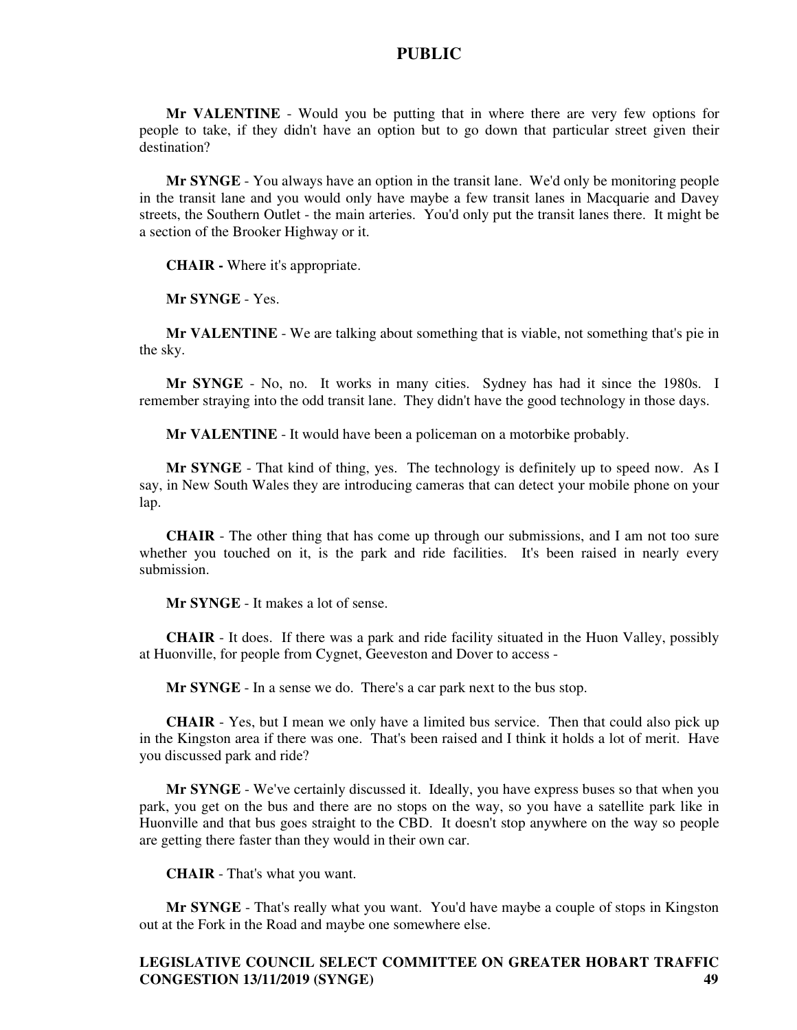**Mr VALENTINE** - Would you be putting that in where there are very few options for people to take, if they didn't have an option but to go down that particular street given their destination?

**Mr SYNGE** - You always have an option in the transit lane. We'd only be monitoring people in the transit lane and you would only have maybe a few transit lanes in Macquarie and Davey streets, the Southern Outlet - the main arteries. You'd only put the transit lanes there. It might be a section of the Brooker Highway or it.

**CHAIR -** Where it's appropriate.

**Mr SYNGE** - Yes.

**Mr VALENTINE** - We are talking about something that is viable, not something that's pie in the sky.

**Mr SYNGE** - No, no. It works in many cities. Sydney has had it since the 1980s. I remember straying into the odd transit lane. They didn't have the good technology in those days.

**Mr VALENTINE** - It would have been a policeman on a motorbike probably.

**Mr SYNGE** - That kind of thing, yes. The technology is definitely up to speed now. As I say, in New South Wales they are introducing cameras that can detect your mobile phone on your lap.

**CHAIR** - The other thing that has come up through our submissions, and I am not too sure whether you touched on it, is the park and ride facilities. It's been raised in nearly every submission.

**Mr SYNGE** - It makes a lot of sense.

**CHAIR** - It does. If there was a park and ride facility situated in the Huon Valley, possibly at Huonville, for people from Cygnet, Geeveston and Dover to access -

**Mr SYNGE** - In a sense we do. There's a car park next to the bus stop.

**CHAIR** - Yes, but I mean we only have a limited bus service. Then that could also pick up in the Kingston area if there was one. That's been raised and I think it holds a lot of merit. Have you discussed park and ride?

**Mr SYNGE** - We've certainly discussed it. Ideally, you have express buses so that when you park, you get on the bus and there are no stops on the way, so you have a satellite park like in Huonville and that bus goes straight to the CBD. It doesn't stop anywhere on the way so people are getting there faster than they would in their own car.

**CHAIR** - That's what you want.

**Mr SYNGE** - That's really what you want. You'd have maybe a couple of stops in Kingston out at the Fork in the Road and maybe one somewhere else.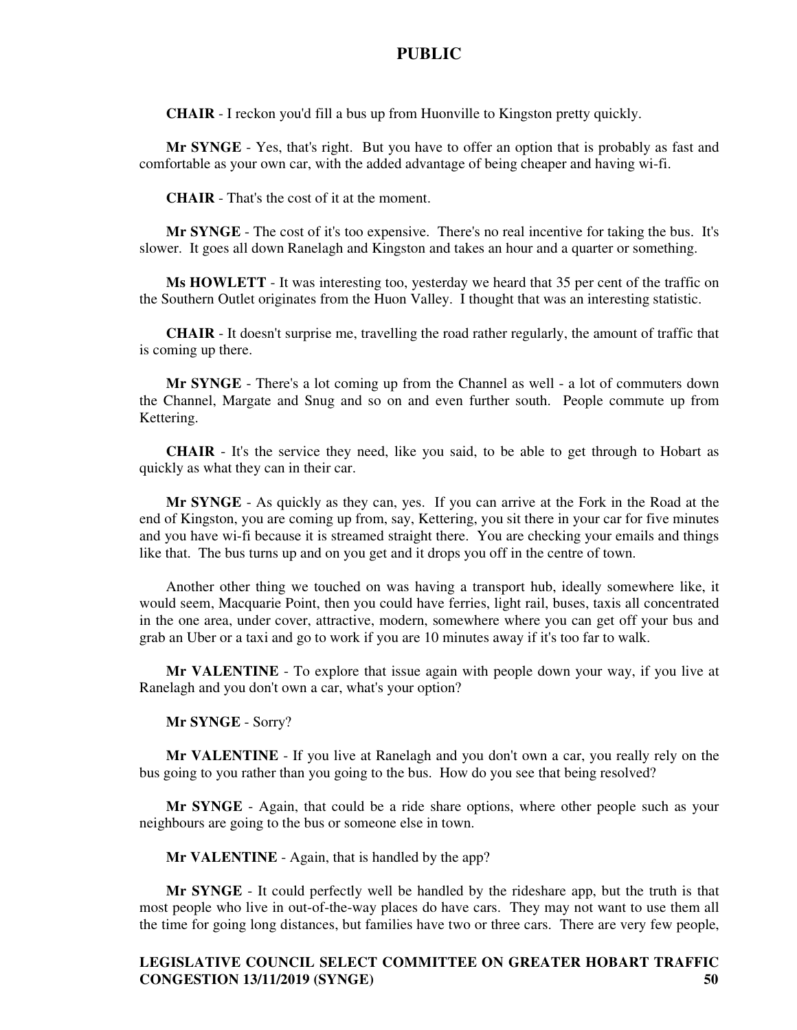**CHAIR** - I reckon you'd fill a bus up from Huonville to Kingston pretty quickly.

**Mr SYNGE** - Yes, that's right. But you have to offer an option that is probably as fast and comfortable as your own car, with the added advantage of being cheaper and having wi-fi.

**CHAIR** - That's the cost of it at the moment.

**Mr SYNGE** - The cost of it's too expensive. There's no real incentive for taking the bus. It's slower. It goes all down Ranelagh and Kingston and takes an hour and a quarter or something.

**Ms HOWLETT** - It was interesting too, yesterday we heard that 35 per cent of the traffic on the Southern Outlet originates from the Huon Valley. I thought that was an interesting statistic.

**CHAIR** - It doesn't surprise me, travelling the road rather regularly, the amount of traffic that is coming up there.

**Mr SYNGE** - There's a lot coming up from the Channel as well - a lot of commuters down the Channel, Margate and Snug and so on and even further south. People commute up from Kettering.

**CHAIR** - It's the service they need, like you said, to be able to get through to Hobart as quickly as what they can in their car.

**Mr SYNGE** - As quickly as they can, yes. If you can arrive at the Fork in the Road at the end of Kingston, you are coming up from, say, Kettering, you sit there in your car for five minutes and you have wi-fi because it is streamed straight there. You are checking your emails and things like that. The bus turns up and on you get and it drops you off in the centre of town.

Another other thing we touched on was having a transport hub, ideally somewhere like, it would seem, Macquarie Point, then you could have ferries, light rail, buses, taxis all concentrated in the one area, under cover, attractive, modern, somewhere where you can get off your bus and grab an Uber or a taxi and go to work if you are 10 minutes away if it's too far to walk.

**Mr VALENTINE** - To explore that issue again with people down your way, if you live at Ranelagh and you don't own a car, what's your option?

**Mr SYNGE** - Sorry?

**Mr VALENTINE** - If you live at Ranelagh and you don't own a car, you really rely on the bus going to you rather than you going to the bus. How do you see that being resolved?

**Mr SYNGE** - Again, that could be a ride share options, where other people such as your neighbours are going to the bus or someone else in town.

**Mr VALENTINE** - Again, that is handled by the app?

**Mr SYNGE** - It could perfectly well be handled by the rideshare app, but the truth is that most people who live in out-of-the-way places do have cars. They may not want to use them all the time for going long distances, but families have two or three cars. There are very few people,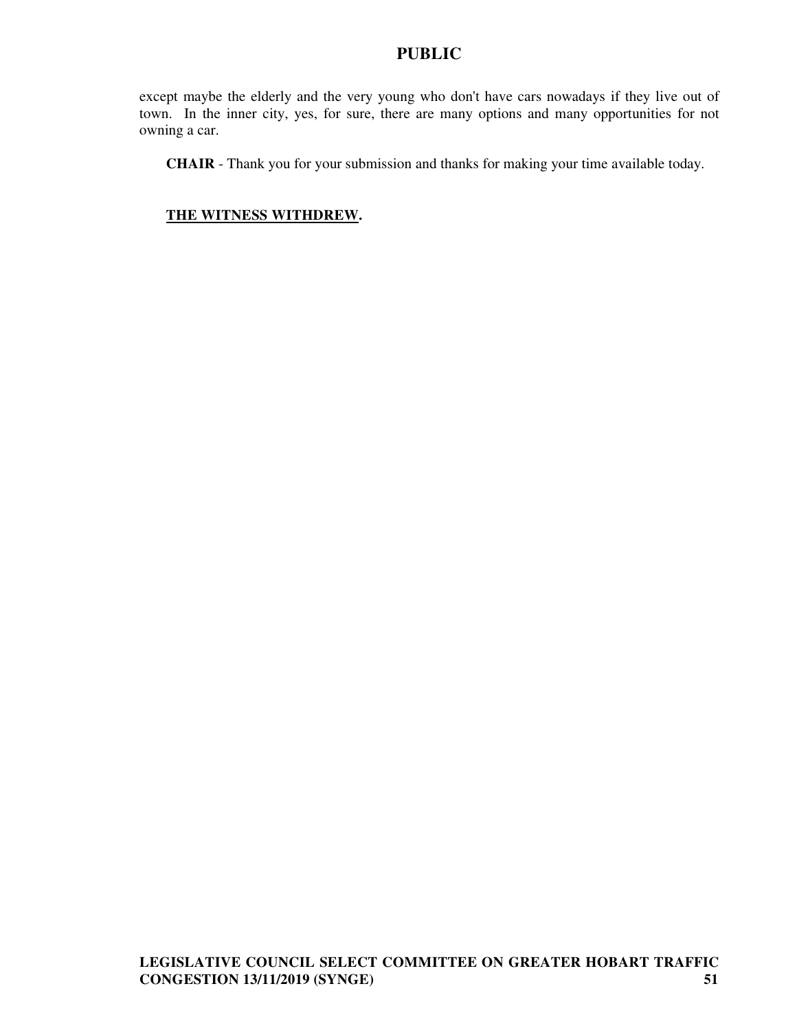except maybe the elderly and the very young who don't have cars nowadays if they live out of town. In the inner city, yes, for sure, there are many options and many opportunities for not owning a car.

**CHAIR** - Thank you for your submission and thanks for making your time available today.

# **THE WITNESS WITHDREW.**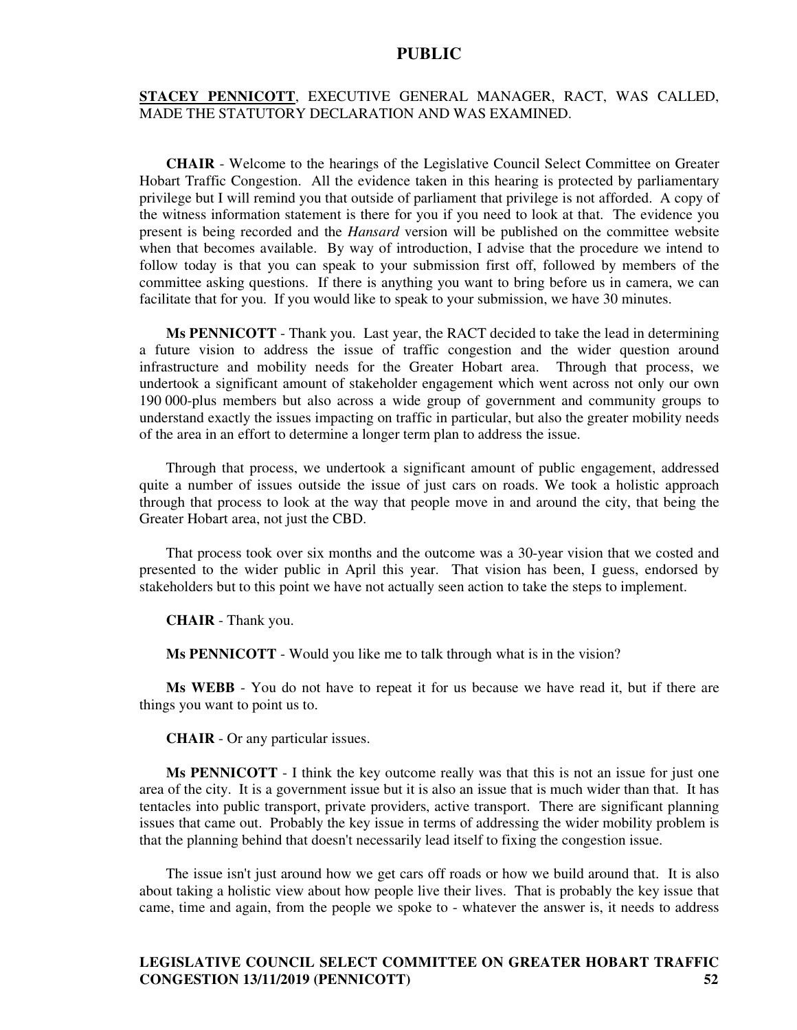#### **STACEY PENNICOTT**, EXECUTIVE GENERAL MANAGER, RACT, WAS CALLED, MADE THE STATUTORY DECLARATION AND WAS EXAMINED.

**CHAIR** - Welcome to the hearings of the Legislative Council Select Committee on Greater Hobart Traffic Congestion. All the evidence taken in this hearing is protected by parliamentary privilege but I will remind you that outside of parliament that privilege is not afforded. A copy of the witness information statement is there for you if you need to look at that. The evidence you present is being recorded and the *Hansard* version will be published on the committee website when that becomes available. By way of introduction, I advise that the procedure we intend to follow today is that you can speak to your submission first off, followed by members of the committee asking questions. If there is anything you want to bring before us in camera, we can facilitate that for you. If you would like to speak to your submission, we have 30 minutes.

**Ms PENNICOTT** - Thank you. Last year, the RACT decided to take the lead in determining a future vision to address the issue of traffic congestion and the wider question around infrastructure and mobility needs for the Greater Hobart area. Through that process, we undertook a significant amount of stakeholder engagement which went across not only our own 190 000-plus members but also across a wide group of government and community groups to understand exactly the issues impacting on traffic in particular, but also the greater mobility needs of the area in an effort to determine a longer term plan to address the issue.

Through that process, we undertook a significant amount of public engagement, addressed quite a number of issues outside the issue of just cars on roads. We took a holistic approach through that process to look at the way that people move in and around the city, that being the Greater Hobart area, not just the CBD.

That process took over six months and the outcome was a 30-year vision that we costed and presented to the wider public in April this year. That vision has been, I guess, endorsed by stakeholders but to this point we have not actually seen action to take the steps to implement.

**CHAIR** - Thank you.

**Ms PENNICOTT** - Would you like me to talk through what is in the vision?

**Ms WEBB** - You do not have to repeat it for us because we have read it, but if there are things you want to point us to.

**CHAIR** - Or any particular issues.

**Ms PENNICOTT** - I think the key outcome really was that this is not an issue for just one area of the city. It is a government issue but it is also an issue that is much wider than that. It has tentacles into public transport, private providers, active transport. There are significant planning issues that came out. Probably the key issue in terms of addressing the wider mobility problem is that the planning behind that doesn't necessarily lead itself to fixing the congestion issue.

The issue isn't just around how we get cars off roads or how we build around that. It is also about taking a holistic view about how people live their lives. That is probably the key issue that came, time and again, from the people we spoke to - whatever the answer is, it needs to address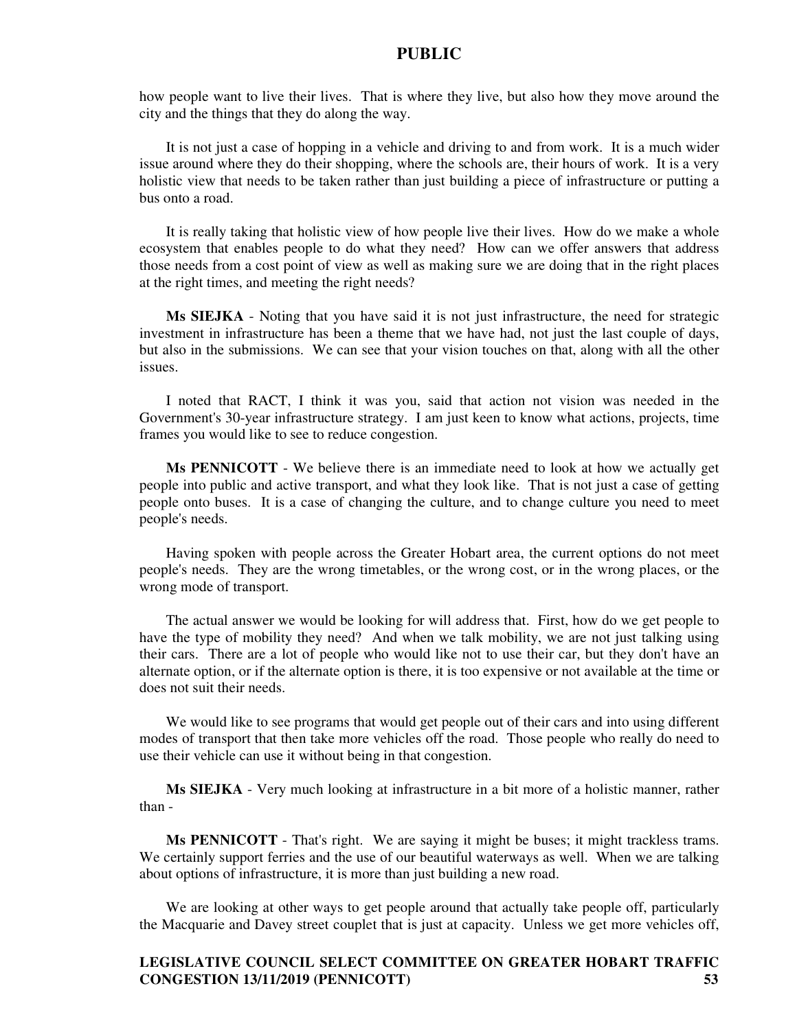how people want to live their lives. That is where they live, but also how they move around the city and the things that they do along the way.

It is not just a case of hopping in a vehicle and driving to and from work. It is a much wider issue around where they do their shopping, where the schools are, their hours of work. It is a very holistic view that needs to be taken rather than just building a piece of infrastructure or putting a bus onto a road.

It is really taking that holistic view of how people live their lives. How do we make a whole ecosystem that enables people to do what they need? How can we offer answers that address those needs from a cost point of view as well as making sure we are doing that in the right places at the right times, and meeting the right needs?

**Ms SIEJKA** - Noting that you have said it is not just infrastructure, the need for strategic investment in infrastructure has been a theme that we have had, not just the last couple of days, but also in the submissions. We can see that your vision touches on that, along with all the other issues.

I noted that RACT, I think it was you, said that action not vision was needed in the Government's 30-year infrastructure strategy. I am just keen to know what actions, projects, time frames you would like to see to reduce congestion.

**Ms PENNICOTT** - We believe there is an immediate need to look at how we actually get people into public and active transport, and what they look like. That is not just a case of getting people onto buses. It is a case of changing the culture, and to change culture you need to meet people's needs.

Having spoken with people across the Greater Hobart area, the current options do not meet people's needs. They are the wrong timetables, or the wrong cost, or in the wrong places, or the wrong mode of transport.

The actual answer we would be looking for will address that. First, how do we get people to have the type of mobility they need? And when we talk mobility, we are not just talking using their cars. There are a lot of people who would like not to use their car, but they don't have an alternate option, or if the alternate option is there, it is too expensive or not available at the time or does not suit their needs.

We would like to see programs that would get people out of their cars and into using different modes of transport that then take more vehicles off the road. Those people who really do need to use their vehicle can use it without being in that congestion.

**Ms SIEJKA** - Very much looking at infrastructure in a bit more of a holistic manner, rather than -

**Ms PENNICOTT** - That's right. We are saying it might be buses; it might trackless trams. We certainly support ferries and the use of our beautiful waterways as well. When we are talking about options of infrastructure, it is more than just building a new road.

We are looking at other ways to get people around that actually take people off, particularly the Macquarie and Davey street couplet that is just at capacity. Unless we get more vehicles off,

### **LEGISLATIVE COUNCIL SELECT COMMITTEE ON GREATER HOBART TRAFFIC CONGESTION 13/11/2019 (PENNICOTT) 53**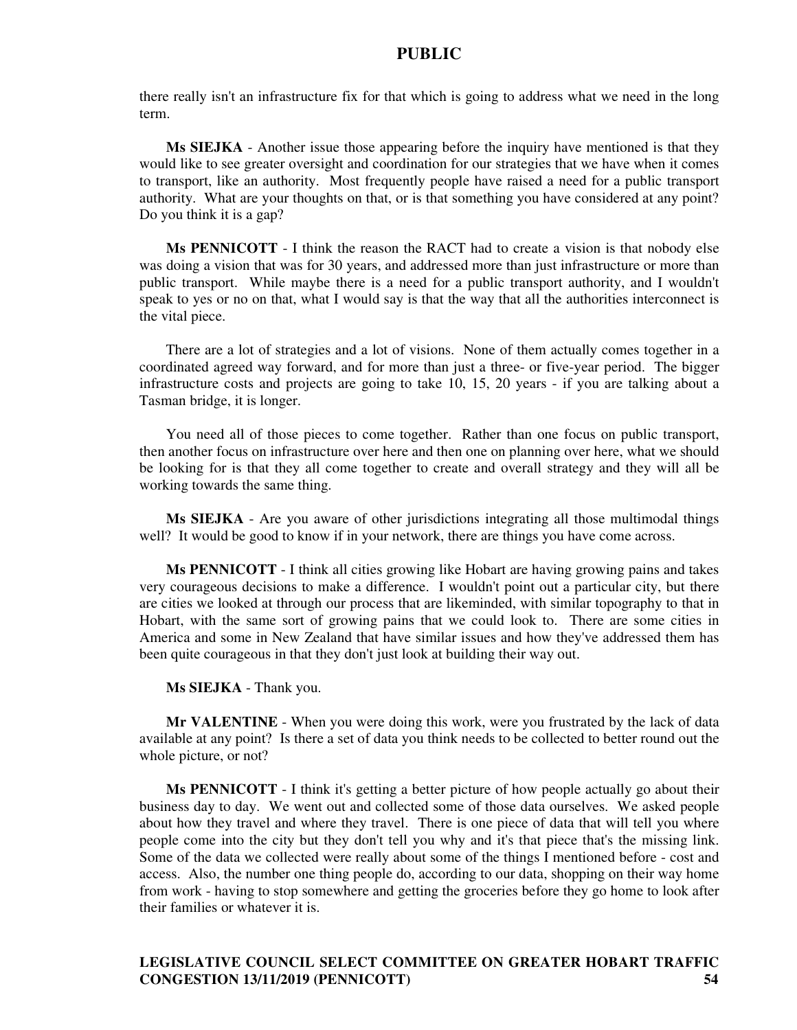there really isn't an infrastructure fix for that which is going to address what we need in the long term.

**Ms SIEJKA** - Another issue those appearing before the inquiry have mentioned is that they would like to see greater oversight and coordination for our strategies that we have when it comes to transport, like an authority. Most frequently people have raised a need for a public transport authority. What are your thoughts on that, or is that something you have considered at any point? Do you think it is a gap?

**Ms PENNICOTT** - I think the reason the RACT had to create a vision is that nobody else was doing a vision that was for 30 years, and addressed more than just infrastructure or more than public transport. While maybe there is a need for a public transport authority, and I wouldn't speak to yes or no on that, what I would say is that the way that all the authorities interconnect is the vital piece.

There are a lot of strategies and a lot of visions. None of them actually comes together in a coordinated agreed way forward, and for more than just a three- or five-year period. The bigger infrastructure costs and projects are going to take 10, 15, 20 years - if you are talking about a Tasman bridge, it is longer.

You need all of those pieces to come together. Rather than one focus on public transport, then another focus on infrastructure over here and then one on planning over here, what we should be looking for is that they all come together to create and overall strategy and they will all be working towards the same thing.

**Ms SIEJKA** - Are you aware of other jurisdictions integrating all those multimodal things well? It would be good to know if in your network, there are things you have come across.

**Ms PENNICOTT** - I think all cities growing like Hobart are having growing pains and takes very courageous decisions to make a difference. I wouldn't point out a particular city, but there are cities we looked at through our process that are likeminded, with similar topography to that in Hobart, with the same sort of growing pains that we could look to. There are some cities in America and some in New Zealand that have similar issues and how they've addressed them has been quite courageous in that they don't just look at building their way out.

**Ms SIEJKA** - Thank you.

**Mr VALENTINE** - When you were doing this work, were you frustrated by the lack of data available at any point? Is there a set of data you think needs to be collected to better round out the whole picture, or not?

**Ms PENNICOTT** - I think it's getting a better picture of how people actually go about their business day to day. We went out and collected some of those data ourselves. We asked people about how they travel and where they travel. There is one piece of data that will tell you where people come into the city but they don't tell you why and it's that piece that's the missing link. Some of the data we collected were really about some of the things I mentioned before - cost and access. Also, the number one thing people do, according to our data, shopping on their way home from work - having to stop somewhere and getting the groceries before they go home to look after their families or whatever it is.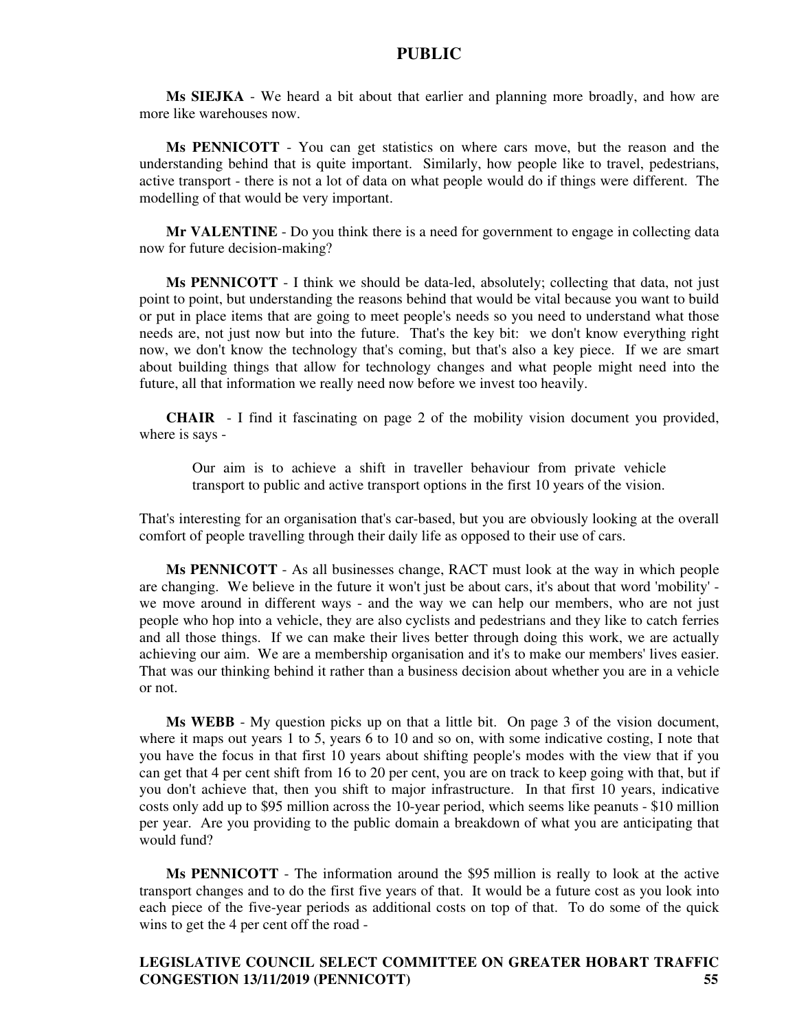**Ms SIEJKA** - We heard a bit about that earlier and planning more broadly, and how are more like warehouses now.

**Ms PENNICOTT** - You can get statistics on where cars move, but the reason and the understanding behind that is quite important. Similarly, how people like to travel, pedestrians, active transport - there is not a lot of data on what people would do if things were different. The modelling of that would be very important.

**Mr VALENTINE** - Do you think there is a need for government to engage in collecting data now for future decision-making?

**Ms PENNICOTT** - I think we should be data-led, absolutely; collecting that data, not just point to point, but understanding the reasons behind that would be vital because you want to build or put in place items that are going to meet people's needs so you need to understand what those needs are, not just now but into the future. That's the key bit: we don't know everything right now, we don't know the technology that's coming, but that's also a key piece. If we are smart about building things that allow for technology changes and what people might need into the future, all that information we really need now before we invest too heavily.

**CHAIR** - I find it fascinating on page 2 of the mobility vision document you provided, where is says -

Our aim is to achieve a shift in traveller behaviour from private vehicle transport to public and active transport options in the first 10 years of the vision.

That's interesting for an organisation that's car-based, but you are obviously looking at the overall comfort of people travelling through their daily life as opposed to their use of cars.

**Ms PENNICOTT** - As all businesses change, RACT must look at the way in which people are changing. We believe in the future it won't just be about cars, it's about that word 'mobility' we move around in different ways - and the way we can help our members, who are not just people who hop into a vehicle, they are also cyclists and pedestrians and they like to catch ferries and all those things. If we can make their lives better through doing this work, we are actually achieving our aim. We are a membership organisation and it's to make our members' lives easier. That was our thinking behind it rather than a business decision about whether you are in a vehicle or not.

**Ms WEBB** - My question picks up on that a little bit. On page 3 of the vision document, where it maps out years 1 to 5, years 6 to 10 and so on, with some indicative costing, I note that you have the focus in that first 10 years about shifting people's modes with the view that if you can get that 4 per cent shift from 16 to 20 per cent, you are on track to keep going with that, but if you don't achieve that, then you shift to major infrastructure. In that first 10 years, indicative costs only add up to \$95 million across the 10-year period, which seems like peanuts - \$10 million per year. Are you providing to the public domain a breakdown of what you are anticipating that would fund?

**Ms PENNICOTT** - The information around the \$95 million is really to look at the active transport changes and to do the first five years of that. It would be a future cost as you look into each piece of the five-year periods as additional costs on top of that. To do some of the quick wins to get the 4 per cent off the road -

# **LEGISLATIVE COUNCIL SELECT COMMITTEE ON GREATER HOBART TRAFFIC CONGESTION 13/11/2019 (PENNICOTT) 55**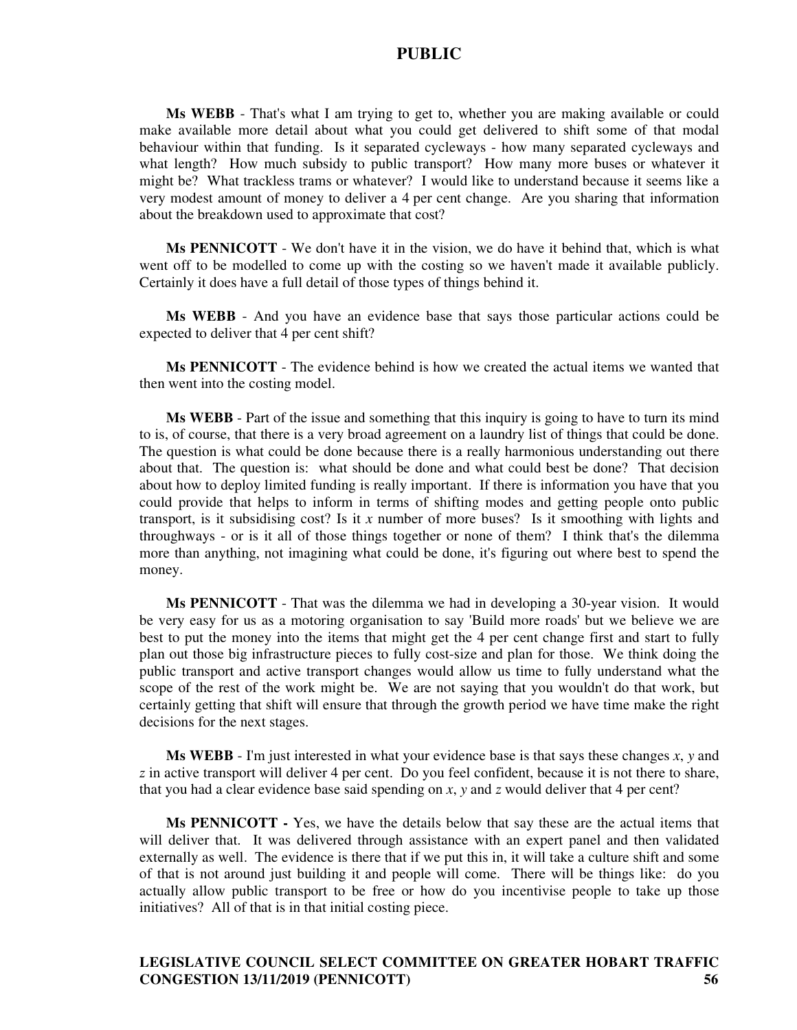**Ms WEBB** - That's what I am trying to get to, whether you are making available or could make available more detail about what you could get delivered to shift some of that modal behaviour within that funding. Is it separated cycleways - how many separated cycleways and what length? How much subsidy to public transport? How many more buses or whatever it might be? What trackless trams or whatever? I would like to understand because it seems like a very modest amount of money to deliver a 4 per cent change. Are you sharing that information about the breakdown used to approximate that cost?

**Ms PENNICOTT** - We don't have it in the vision, we do have it behind that, which is what went off to be modelled to come up with the costing so we haven't made it available publicly. Certainly it does have a full detail of those types of things behind it.

**Ms WEBB** - And you have an evidence base that says those particular actions could be expected to deliver that 4 per cent shift?

**Ms PENNICOTT** - The evidence behind is how we created the actual items we wanted that then went into the costing model.

**Ms WEBB** - Part of the issue and something that this inquiry is going to have to turn its mind to is, of course, that there is a very broad agreement on a laundry list of things that could be done. The question is what could be done because there is a really harmonious understanding out there about that. The question is: what should be done and what could best be done? That decision about how to deploy limited funding is really important. If there is information you have that you could provide that helps to inform in terms of shifting modes and getting people onto public transport, is it subsidising cost? Is it *x* number of more buses? Is it smoothing with lights and throughways - or is it all of those things together or none of them? I think that's the dilemma more than anything, not imagining what could be done, it's figuring out where best to spend the money.

**Ms PENNICOTT** - That was the dilemma we had in developing a 30-year vision. It would be very easy for us as a motoring organisation to say 'Build more roads' but we believe we are best to put the money into the items that might get the 4 per cent change first and start to fully plan out those big infrastructure pieces to fully cost-size and plan for those. We think doing the public transport and active transport changes would allow us time to fully understand what the scope of the rest of the work might be. We are not saying that you wouldn't do that work, but certainly getting that shift will ensure that through the growth period we have time make the right decisions for the next stages.

**Ms WEBB** - I'm just interested in what your evidence base is that says these changes *x*, *y* and *z* in active transport will deliver 4 per cent. Do you feel confident, because it is not there to share, that you had a clear evidence base said spending on *x*, *y* and *z* would deliver that 4 per cent?

**Ms PENNICOTT -** Yes, we have the details below that say these are the actual items that will deliver that. It was delivered through assistance with an expert panel and then validated externally as well. The evidence is there that if we put this in, it will take a culture shift and some of that is not around just building it and people will come. There will be things like: do you actually allow public transport to be free or how do you incentivise people to take up those initiatives? All of that is in that initial costing piece.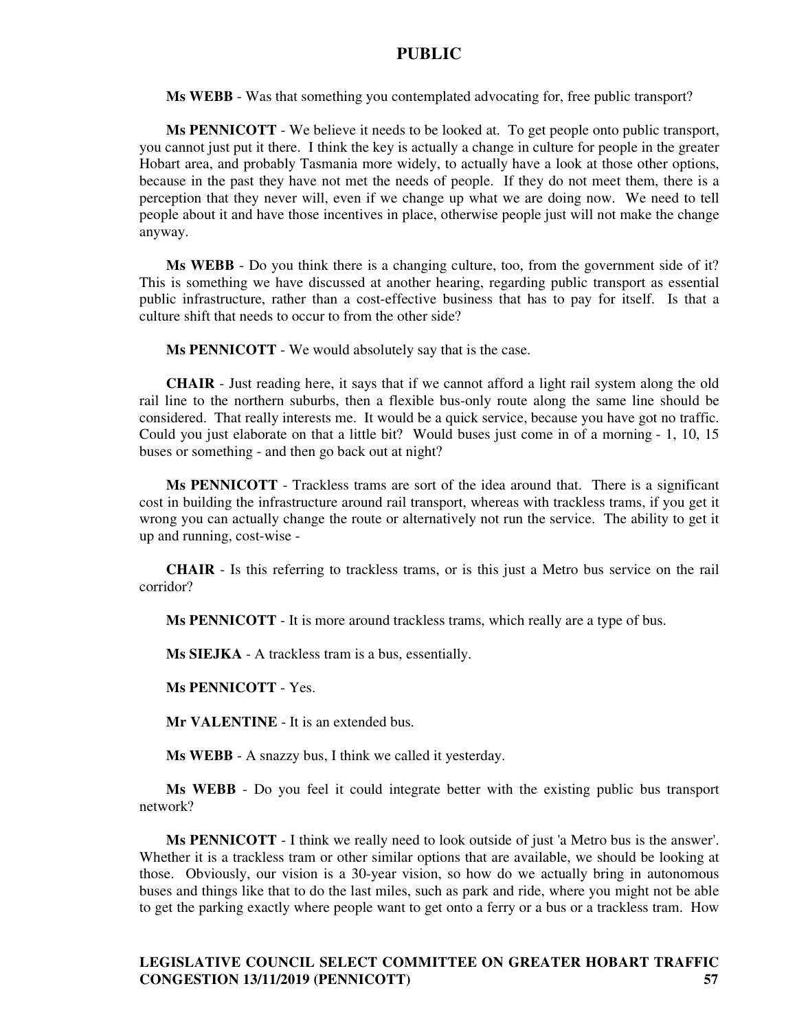**Ms WEBB** - Was that something you contemplated advocating for, free public transport?

**Ms PENNICOTT** - We believe it needs to be looked at. To get people onto public transport, you cannot just put it there. I think the key is actually a change in culture for people in the greater Hobart area, and probably Tasmania more widely, to actually have a look at those other options, because in the past they have not met the needs of people. If they do not meet them, there is a perception that they never will, even if we change up what we are doing now. We need to tell people about it and have those incentives in place, otherwise people just will not make the change anyway.

**Ms WEBB** - Do you think there is a changing culture, too, from the government side of it? This is something we have discussed at another hearing, regarding public transport as essential public infrastructure, rather than a cost-effective business that has to pay for itself. Is that a culture shift that needs to occur to from the other side?

**Ms PENNICOTT** - We would absolutely say that is the case.

**CHAIR** - Just reading here, it says that if we cannot afford a light rail system along the old rail line to the northern suburbs, then a flexible bus-only route along the same line should be considered. That really interests me. It would be a quick service, because you have got no traffic. Could you just elaborate on that a little bit? Would buses just come in of a morning - 1, 10, 15 buses or something - and then go back out at night?

**Ms PENNICOTT** - Trackless trams are sort of the idea around that. There is a significant cost in building the infrastructure around rail transport, whereas with trackless trams, if you get it wrong you can actually change the route or alternatively not run the service. The ability to get it up and running, cost-wise -

**CHAIR** - Is this referring to trackless trams, or is this just a Metro bus service on the rail corridor?

**Ms PENNICOTT** - It is more around trackless trams, which really are a type of bus.

**Ms SIEJKA** - A trackless tram is a bus, essentially.

**Ms PENNICOTT** - Yes.

**Mr VALENTINE** - It is an extended bus.

**Ms WEBB** - A snazzy bus, I think we called it yesterday.

**Ms WEBB** - Do you feel it could integrate better with the existing public bus transport network?

**Ms PENNICOTT** - I think we really need to look outside of just 'a Metro bus is the answer'. Whether it is a trackless tram or other similar options that are available, we should be looking at those. Obviously, our vision is a 30-year vision, so how do we actually bring in autonomous buses and things like that to do the last miles, such as park and ride, where you might not be able to get the parking exactly where people want to get onto a ferry or a bus or a trackless tram. How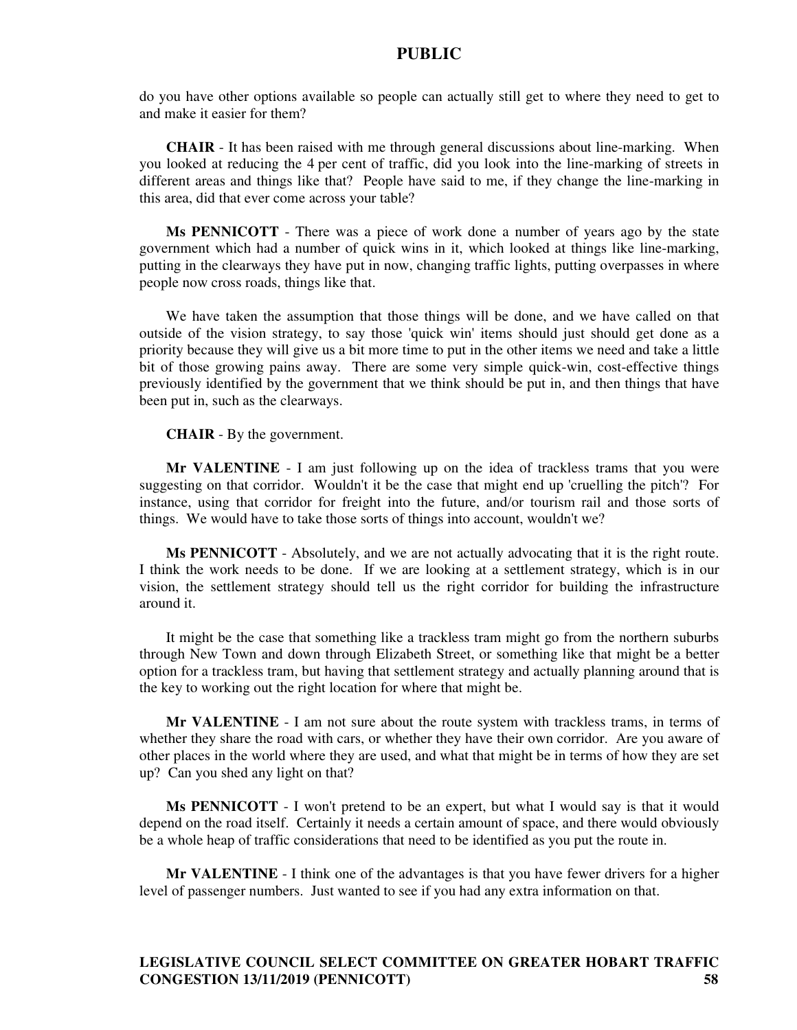do you have other options available so people can actually still get to where they need to get to and make it easier for them?

**CHAIR** - It has been raised with me through general discussions about line-marking. When you looked at reducing the 4 per cent of traffic, did you look into the line-marking of streets in different areas and things like that? People have said to me, if they change the line-marking in this area, did that ever come across your table?

**Ms PENNICOTT** - There was a piece of work done a number of years ago by the state government which had a number of quick wins in it, which looked at things like line-marking, putting in the clearways they have put in now, changing traffic lights, putting overpasses in where people now cross roads, things like that.

We have taken the assumption that those things will be done, and we have called on that outside of the vision strategy, to say those 'quick win' items should just should get done as a priority because they will give us a bit more time to put in the other items we need and take a little bit of those growing pains away. There are some very simple quick-win, cost-effective things previously identified by the government that we think should be put in, and then things that have been put in, such as the clearways.

**CHAIR** - By the government.

**Mr VALENTINE** - I am just following up on the idea of trackless trams that you were suggesting on that corridor. Wouldn't it be the case that might end up 'cruelling the pitch'? For instance, using that corridor for freight into the future, and/or tourism rail and those sorts of things. We would have to take those sorts of things into account, wouldn't we?

**Ms PENNICOTT** - Absolutely, and we are not actually advocating that it is the right route. I think the work needs to be done. If we are looking at a settlement strategy, which is in our vision, the settlement strategy should tell us the right corridor for building the infrastructure around it.

It might be the case that something like a trackless tram might go from the northern suburbs through New Town and down through Elizabeth Street, or something like that might be a better option for a trackless tram, but having that settlement strategy and actually planning around that is the key to working out the right location for where that might be.

**Mr VALENTINE** - I am not sure about the route system with trackless trams, in terms of whether they share the road with cars, or whether they have their own corridor. Are you aware of other places in the world where they are used, and what that might be in terms of how they are set up? Can you shed any light on that?

**Ms PENNICOTT** - I won't pretend to be an expert, but what I would say is that it would depend on the road itself. Certainly it needs a certain amount of space, and there would obviously be a whole heap of traffic considerations that need to be identified as you put the route in.

**Mr VALENTINE** - I think one of the advantages is that you have fewer drivers for a higher level of passenger numbers. Just wanted to see if you had any extra information on that.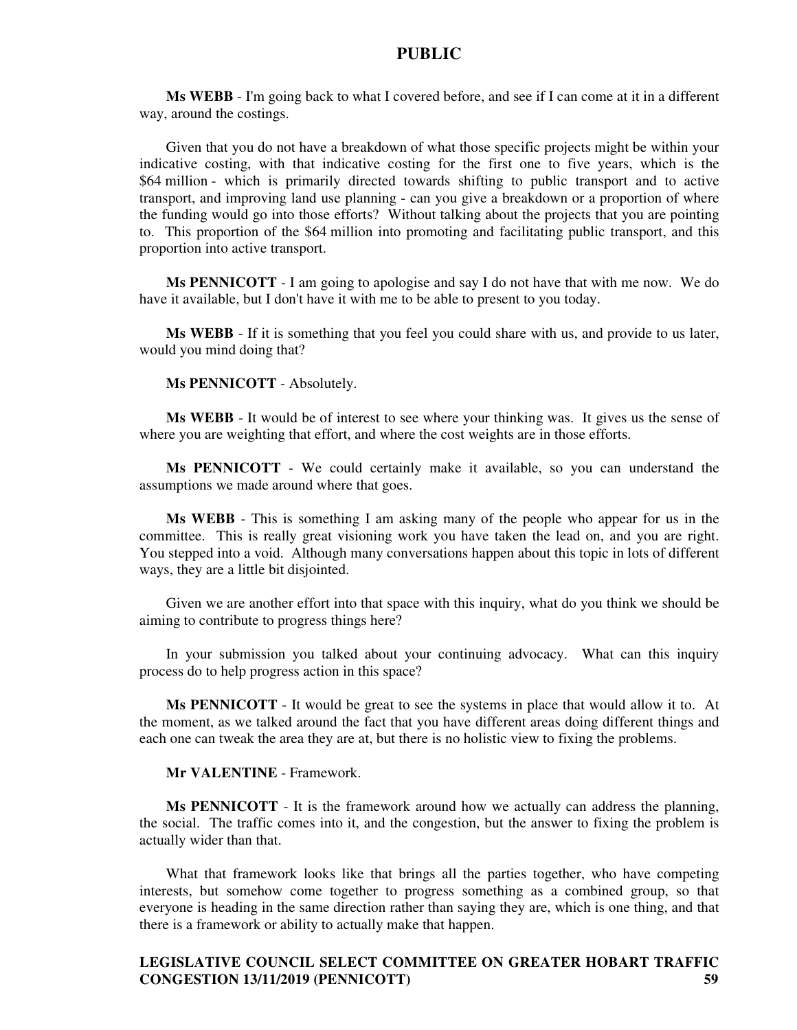**Ms WEBB** - I'm going back to what I covered before, and see if I can come at it in a different way, around the costings.

Given that you do not have a breakdown of what those specific projects might be within your indicative costing, with that indicative costing for the first one to five years, which is the \$64 million - which is primarily directed towards shifting to public transport and to active transport, and improving land use planning - can you give a breakdown or a proportion of where the funding would go into those efforts? Without talking about the projects that you are pointing to. This proportion of the \$64 million into promoting and facilitating public transport, and this proportion into active transport.

**Ms PENNICOTT** - I am going to apologise and say I do not have that with me now. We do have it available, but I don't have it with me to be able to present to you today.

**Ms WEBB** - If it is something that you feel you could share with us, and provide to us later, would you mind doing that?

**Ms PENNICOTT** - Absolutely.

**Ms WEBB** - It would be of interest to see where your thinking was. It gives us the sense of where you are weighting that effort, and where the cost weights are in those efforts.

**Ms PENNICOTT** - We could certainly make it available, so you can understand the assumptions we made around where that goes.

**Ms WEBB** - This is something I am asking many of the people who appear for us in the committee. This is really great visioning work you have taken the lead on, and you are right. You stepped into a void. Although many conversations happen about this topic in lots of different ways, they are a little bit disjointed.

Given we are another effort into that space with this inquiry, what do you think we should be aiming to contribute to progress things here?

In your submission you talked about your continuing advocacy. What can this inquiry process do to help progress action in this space?

**Ms PENNICOTT** - It would be great to see the systems in place that would allow it to. At the moment, as we talked around the fact that you have different areas doing different things and each one can tweak the area they are at, but there is no holistic view to fixing the problems.

**Mr VALENTINE** - Framework.

**Ms PENNICOTT** - It is the framework around how we actually can address the planning, the social. The traffic comes into it, and the congestion, but the answer to fixing the problem is actually wider than that.

What that framework looks like that brings all the parties together, who have competing interests, but somehow come together to progress something as a combined group, so that everyone is heading in the same direction rather than saying they are, which is one thing, and that there is a framework or ability to actually make that happen.

# **LEGISLATIVE COUNCIL SELECT COMMITTEE ON GREATER HOBART TRAFFIC CONGESTION 13/11/2019 (PENNICOTT) 59**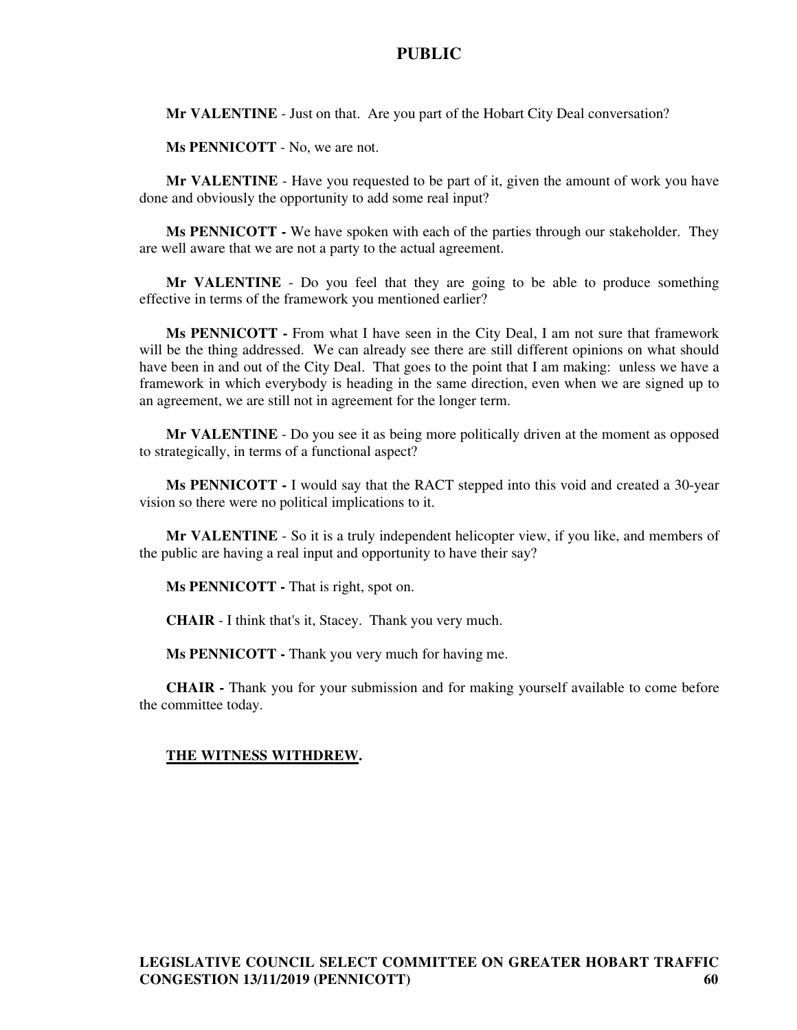**Mr VALENTINE** - Just on that. Are you part of the Hobart City Deal conversation?

**Ms PENNICOTT** - No, we are not.

**Mr VALENTINE** - Have you requested to be part of it, given the amount of work you have done and obviously the opportunity to add some real input?

**Ms PENNICOTT -** We have spoken with each of the parties through our stakeholder. They are well aware that we are not a party to the actual agreement.

**Mr VALENTINE** - Do you feel that they are going to be able to produce something effective in terms of the framework you mentioned earlier?

**Ms PENNICOTT -** From what I have seen in the City Deal, I am not sure that framework will be the thing addressed. We can already see there are still different opinions on what should have been in and out of the City Deal. That goes to the point that I am making: unless we have a framework in which everybody is heading in the same direction, even when we are signed up to an agreement, we are still not in agreement for the longer term.

**Mr VALENTINE** - Do you see it as being more politically driven at the moment as opposed to strategically, in terms of a functional aspect?

**Ms PENNICOTT -** I would say that the RACT stepped into this void and created a 30-year vision so there were no political implications to it.

**Mr VALENTINE** - So it is a truly independent helicopter view, if you like, and members of the public are having a real input and opportunity to have their say?

**Ms PENNICOTT -** That is right, spot on.

**CHAIR** - I think that's it, Stacey. Thank you very much.

**Ms PENNICOTT -** Thank you very much for having me.

**CHAIR -** Thank you for your submission and for making yourself available to come before the committee today.

#### **THE WITNESS WITHDREW.**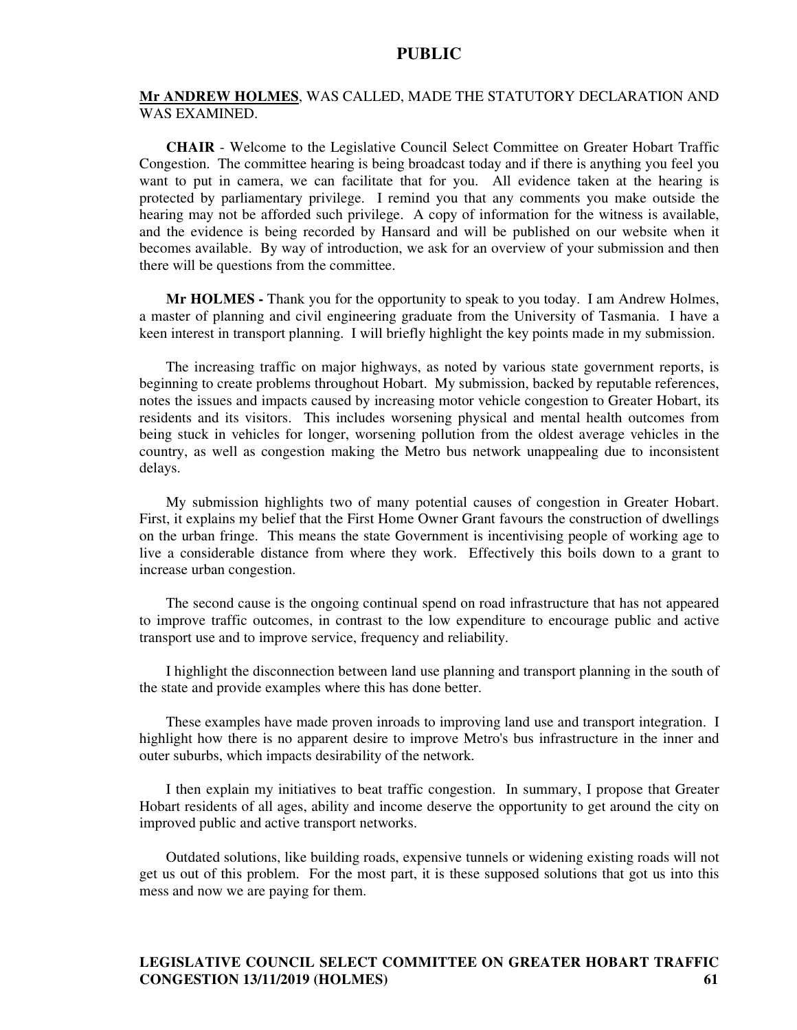#### **Mr ANDREW HOLMES**, WAS CALLED, MADE THE STATUTORY DECLARATION AND WAS EXAMINED.

**CHAIR** - Welcome to the Legislative Council Select Committee on Greater Hobart Traffic Congestion. The committee hearing is being broadcast today and if there is anything you feel you want to put in camera, we can facilitate that for you. All evidence taken at the hearing is protected by parliamentary privilege. I remind you that any comments you make outside the hearing may not be afforded such privilege. A copy of information for the witness is available, and the evidence is being recorded by Hansard and will be published on our website when it becomes available. By way of introduction, we ask for an overview of your submission and then there will be questions from the committee.

**Mr HOLMES -** Thank you for the opportunity to speak to you today. I am Andrew Holmes, a master of planning and civil engineering graduate from the University of Tasmania. I have a keen interest in transport planning. I will briefly highlight the key points made in my submission.

The increasing traffic on major highways, as noted by various state government reports, is beginning to create problems throughout Hobart. My submission, backed by reputable references, notes the issues and impacts caused by increasing motor vehicle congestion to Greater Hobart, its residents and its visitors. This includes worsening physical and mental health outcomes from being stuck in vehicles for longer, worsening pollution from the oldest average vehicles in the country, as well as congestion making the Metro bus network unappealing due to inconsistent delays.

My submission highlights two of many potential causes of congestion in Greater Hobart. First, it explains my belief that the First Home Owner Grant favours the construction of dwellings on the urban fringe. This means the state Government is incentivising people of working age to live a considerable distance from where they work. Effectively this boils down to a grant to increase urban congestion.

The second cause is the ongoing continual spend on road infrastructure that has not appeared to improve traffic outcomes, in contrast to the low expenditure to encourage public and active transport use and to improve service, frequency and reliability.

I highlight the disconnection between land use planning and transport planning in the south of the state and provide examples where this has done better.

These examples have made proven inroads to improving land use and transport integration. I highlight how there is no apparent desire to improve Metro's bus infrastructure in the inner and outer suburbs, which impacts desirability of the network.

I then explain my initiatives to beat traffic congestion. In summary, I propose that Greater Hobart residents of all ages, ability and income deserve the opportunity to get around the city on improved public and active transport networks.

Outdated solutions, like building roads, expensive tunnels or widening existing roads will not get us out of this problem. For the most part, it is these supposed solutions that got us into this mess and now we are paying for them.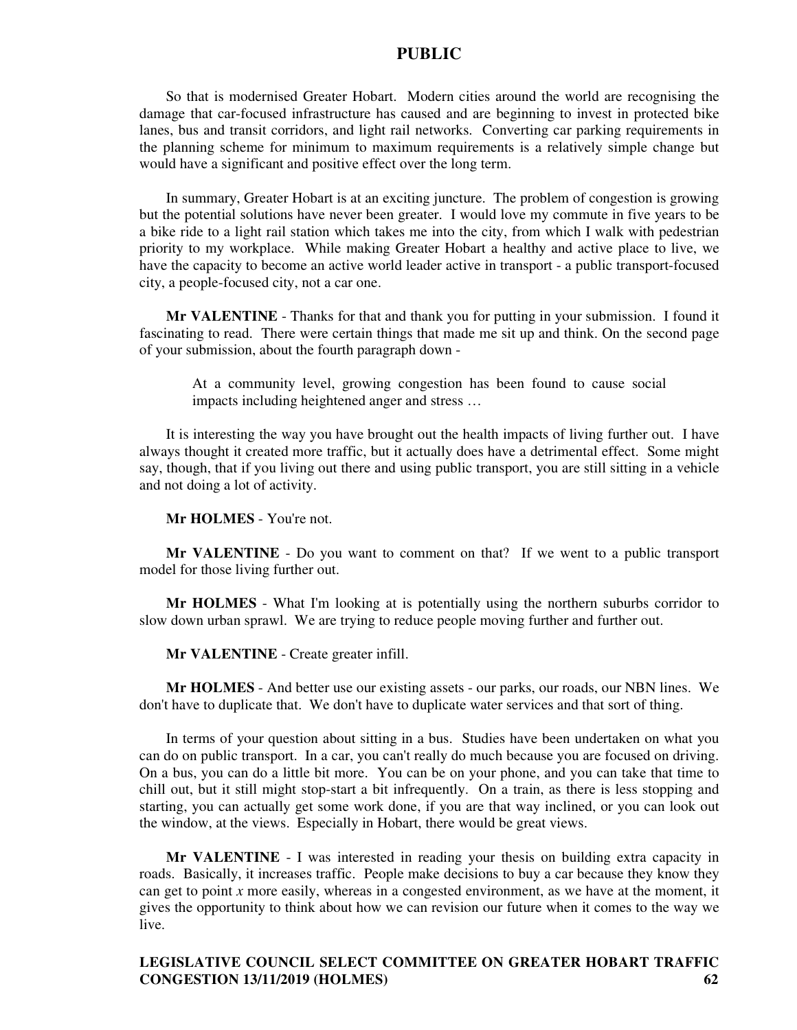So that is modernised Greater Hobart. Modern cities around the world are recognising the damage that car-focused infrastructure has caused and are beginning to invest in protected bike lanes, bus and transit corridors, and light rail networks. Converting car parking requirements in the planning scheme for minimum to maximum requirements is a relatively simple change but would have a significant and positive effect over the long term.

In summary, Greater Hobart is at an exciting juncture. The problem of congestion is growing but the potential solutions have never been greater. I would love my commute in five years to be a bike ride to a light rail station which takes me into the city, from which I walk with pedestrian priority to my workplace. While making Greater Hobart a healthy and active place to live, we have the capacity to become an active world leader active in transport - a public transport-focused city, a people-focused city, not a car one.

**Mr VALENTINE** - Thanks for that and thank you for putting in your submission. I found it fascinating to read. There were certain things that made me sit up and think. On the second page of your submission, about the fourth paragraph down -

At a community level, growing congestion has been found to cause social impacts including heightened anger and stress …

It is interesting the way you have brought out the health impacts of living further out. I have always thought it created more traffic, but it actually does have a detrimental effect. Some might say, though, that if you living out there and using public transport, you are still sitting in a vehicle and not doing a lot of activity.

**Mr HOLMES** - You're not.

**Mr VALENTINE** - Do you want to comment on that? If we went to a public transport model for those living further out.

**Mr HOLMES** - What I'm looking at is potentially using the northern suburbs corridor to slow down urban sprawl. We are trying to reduce people moving further and further out.

**Mr VALENTINE** - Create greater infill.

**Mr HOLMES** - And better use our existing assets - our parks, our roads, our NBN lines. We don't have to duplicate that. We don't have to duplicate water services and that sort of thing.

In terms of your question about sitting in a bus. Studies have been undertaken on what you can do on public transport. In a car, you can't really do much because you are focused on driving. On a bus, you can do a little bit more. You can be on your phone, and you can take that time to chill out, but it still might stop-start a bit infrequently. On a train, as there is less stopping and starting, you can actually get some work done, if you are that way inclined, or you can look out the window, at the views. Especially in Hobart, there would be great views.

**Mr VALENTINE** - I was interested in reading your thesis on building extra capacity in roads. Basically, it increases traffic. People make decisions to buy a car because they know they can get to point *x* more easily, whereas in a congested environment, as we have at the moment, it gives the opportunity to think about how we can revision our future when it comes to the way we live.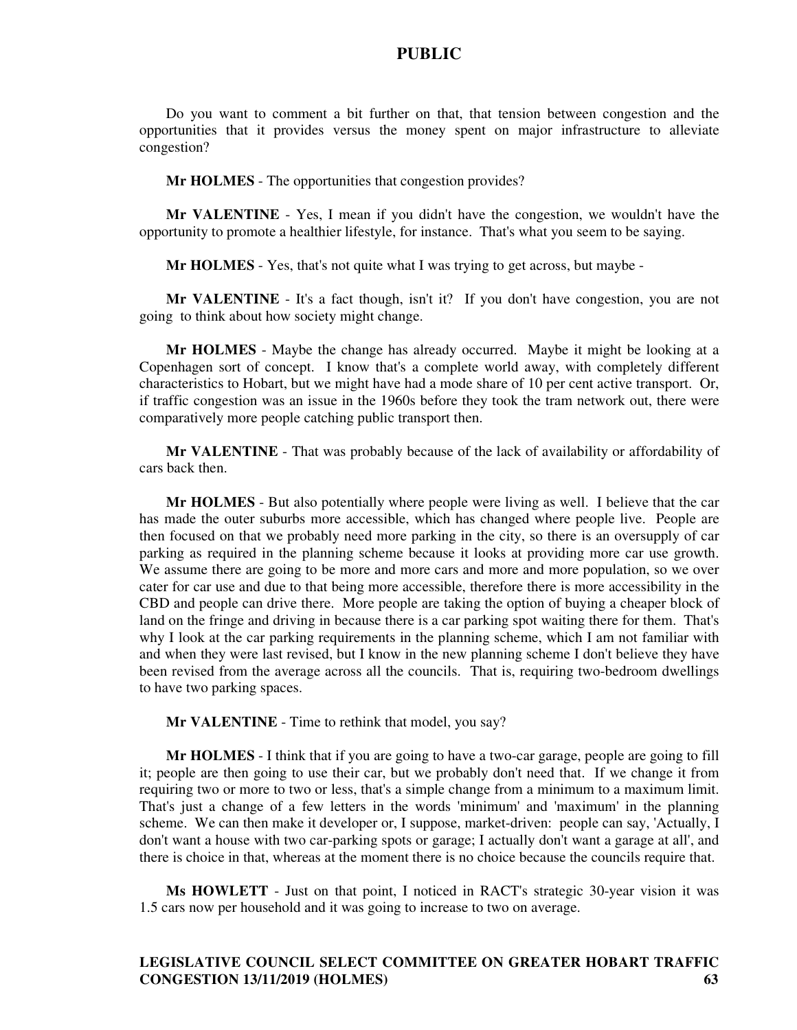Do you want to comment a bit further on that, that tension between congestion and the opportunities that it provides versus the money spent on major infrastructure to alleviate congestion?

**Mr HOLMES** - The opportunities that congestion provides?

**Mr VALENTINE** - Yes, I mean if you didn't have the congestion, we wouldn't have the opportunity to promote a healthier lifestyle, for instance. That's what you seem to be saying.

**Mr HOLMES** - Yes, that's not quite what I was trying to get across, but maybe -

**Mr VALENTINE** - It's a fact though, isn't it? If you don't have congestion, you are not going to think about how society might change.

**Mr HOLMES** - Maybe the change has already occurred. Maybe it might be looking at a Copenhagen sort of concept. I know that's a complete world away, with completely different characteristics to Hobart, but we might have had a mode share of 10 per cent active transport. Or, if traffic congestion was an issue in the 1960s before they took the tram network out, there were comparatively more people catching public transport then.

**Mr VALENTINE** - That was probably because of the lack of availability or affordability of cars back then.

**Mr HOLMES** - But also potentially where people were living as well. I believe that the car has made the outer suburbs more accessible, which has changed where people live. People are then focused on that we probably need more parking in the city, so there is an oversupply of car parking as required in the planning scheme because it looks at providing more car use growth. We assume there are going to be more and more cars and more and more population, so we over cater for car use and due to that being more accessible, therefore there is more accessibility in the CBD and people can drive there. More people are taking the option of buying a cheaper block of land on the fringe and driving in because there is a car parking spot waiting there for them. That's why I look at the car parking requirements in the planning scheme, which I am not familiar with and when they were last revised, but I know in the new planning scheme I don't believe they have been revised from the average across all the councils. That is, requiring two-bedroom dwellings to have two parking spaces.

**Mr VALENTINE** - Time to rethink that model, you say?

**Mr HOLMES** - I think that if you are going to have a two-car garage, people are going to fill it; people are then going to use their car, but we probably don't need that. If we change it from requiring two or more to two or less, that's a simple change from a minimum to a maximum limit. That's just a change of a few letters in the words 'minimum' and 'maximum' in the planning scheme. We can then make it developer or, I suppose, market-driven: people can say, 'Actually, I don't want a house with two car-parking spots or garage; I actually don't want a garage at all', and there is choice in that, whereas at the moment there is no choice because the councils require that.

**Ms HOWLETT** - Just on that point, I noticed in RACT's strategic 30-year vision it was 1.5 cars now per household and it was going to increase to two on average.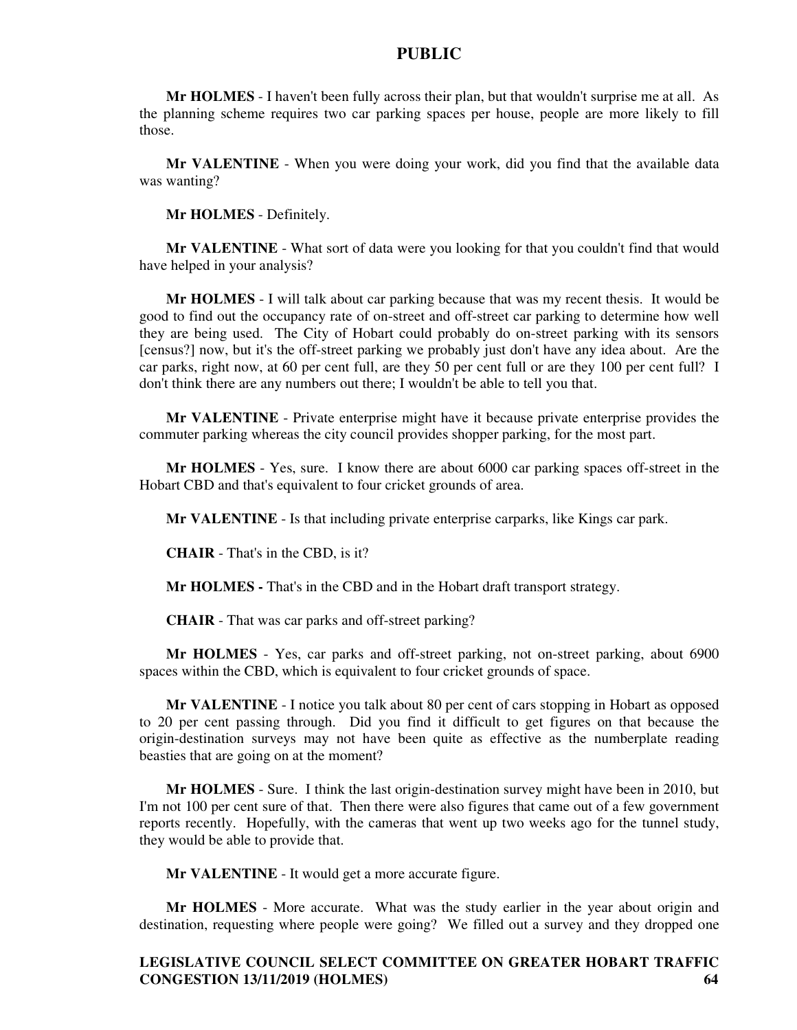**Mr HOLMES** - I haven't been fully across their plan, but that wouldn't surprise me at all. As the planning scheme requires two car parking spaces per house, people are more likely to fill those.

**Mr VALENTINE** - When you were doing your work, did you find that the available data was wanting?

**Mr HOLMES** - Definitely.

**Mr VALENTINE** - What sort of data were you looking for that you couldn't find that would have helped in your analysis?

**Mr HOLMES** - I will talk about car parking because that was my recent thesis. It would be good to find out the occupancy rate of on-street and off-street car parking to determine how well they are being used. The City of Hobart could probably do on-street parking with its sensors [census?] now, but it's the off-street parking we probably just don't have any idea about. Are the car parks, right now, at 60 per cent full, are they 50 per cent full or are they 100 per cent full? I don't think there are any numbers out there; I wouldn't be able to tell you that.

**Mr VALENTINE** - Private enterprise might have it because private enterprise provides the commuter parking whereas the city council provides shopper parking, for the most part.

**Mr HOLMES** - Yes, sure. I know there are about 6000 car parking spaces off-street in the Hobart CBD and that's equivalent to four cricket grounds of area.

**Mr VALENTINE** - Is that including private enterprise carparks, like Kings car park.

**CHAIR** - That's in the CBD, is it?

**Mr HOLMES -** That's in the CBD and in the Hobart draft transport strategy.

**CHAIR** - That was car parks and off-street parking?

**Mr HOLMES** - Yes, car parks and off-street parking, not on-street parking, about 6900 spaces within the CBD, which is equivalent to four cricket grounds of space.

**Mr VALENTINE** - I notice you talk about 80 per cent of cars stopping in Hobart as opposed to 20 per cent passing through. Did you find it difficult to get figures on that because the origin-destination surveys may not have been quite as effective as the numberplate reading beasties that are going on at the moment?

**Mr HOLMES** - Sure. I think the last origin-destination survey might have been in 2010, but I'm not 100 per cent sure of that. Then there were also figures that came out of a few government reports recently. Hopefully, with the cameras that went up two weeks ago for the tunnel study, they would be able to provide that.

**Mr VALENTINE** - It would get a more accurate figure.

**Mr HOLMES** - More accurate. What was the study earlier in the year about origin and destination, requesting where people were going? We filled out a survey and they dropped one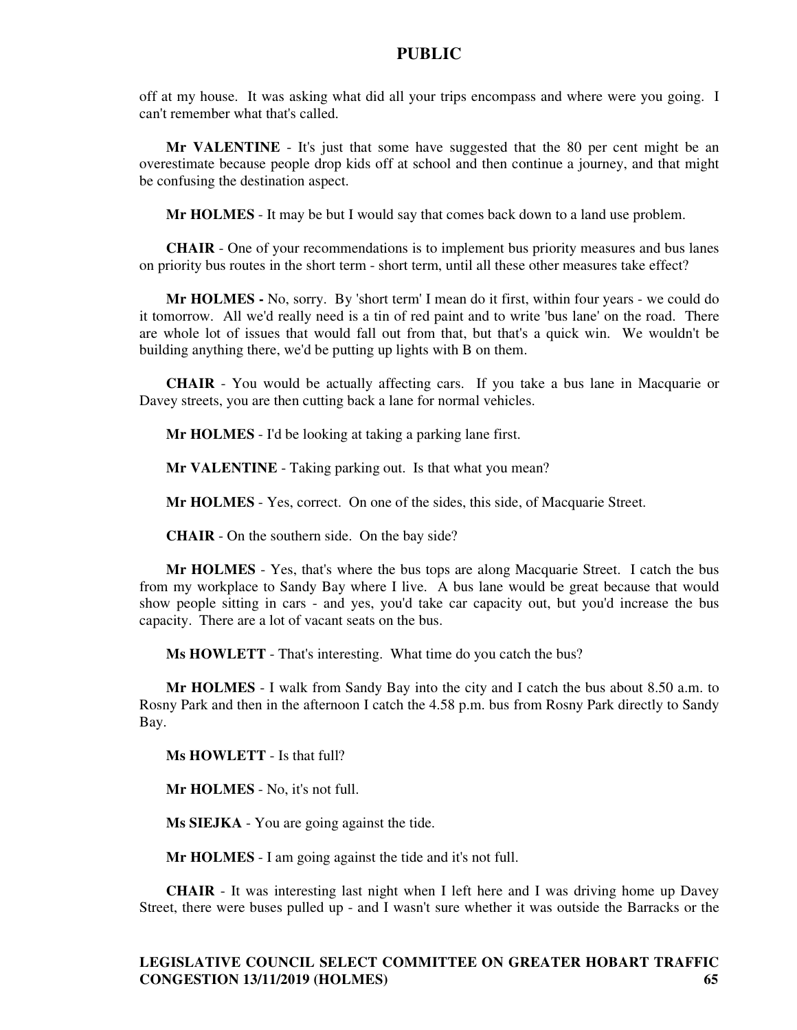off at my house. It was asking what did all your trips encompass and where were you going. I can't remember what that's called.

**Mr VALENTINE** - It's just that some have suggested that the 80 per cent might be an overestimate because people drop kids off at school and then continue a journey, and that might be confusing the destination aspect.

**Mr HOLMES** - It may be but I would say that comes back down to a land use problem.

**CHAIR** - One of your recommendations is to implement bus priority measures and bus lanes on priority bus routes in the short term - short term, until all these other measures take effect?

**Mr HOLMES -** No, sorry. By 'short term' I mean do it first, within four years - we could do it tomorrow. All we'd really need is a tin of red paint and to write 'bus lane' on the road. There are whole lot of issues that would fall out from that, but that's a quick win. We wouldn't be building anything there, we'd be putting up lights with B on them.

**CHAIR** - You would be actually affecting cars. If you take a bus lane in Macquarie or Davey streets, you are then cutting back a lane for normal vehicles.

**Mr HOLMES** - I'd be looking at taking a parking lane first.

**Mr VALENTINE** - Taking parking out. Is that what you mean?

**Mr HOLMES** - Yes, correct. On one of the sides, this side, of Macquarie Street.

**CHAIR** - On the southern side. On the bay side?

**Mr HOLMES** - Yes, that's where the bus tops are along Macquarie Street. I catch the bus from my workplace to Sandy Bay where I live. A bus lane would be great because that would show people sitting in cars - and yes, you'd take car capacity out, but you'd increase the bus capacity. There are a lot of vacant seats on the bus.

**Ms HOWLETT** - That's interesting. What time do you catch the bus?

**Mr HOLMES** - I walk from Sandy Bay into the city and I catch the bus about 8.50 a.m. to Rosny Park and then in the afternoon I catch the 4.58 p.m. bus from Rosny Park directly to Sandy Bay.

**Ms HOWLETT** - Is that full?

**Mr HOLMES** - No, it's not full.

**Ms SIEJKA** - You are going against the tide.

**Mr HOLMES** - I am going against the tide and it's not full.

**CHAIR** - It was interesting last night when I left here and I was driving home up Davey Street, there were buses pulled up - and I wasn't sure whether it was outside the Barracks or the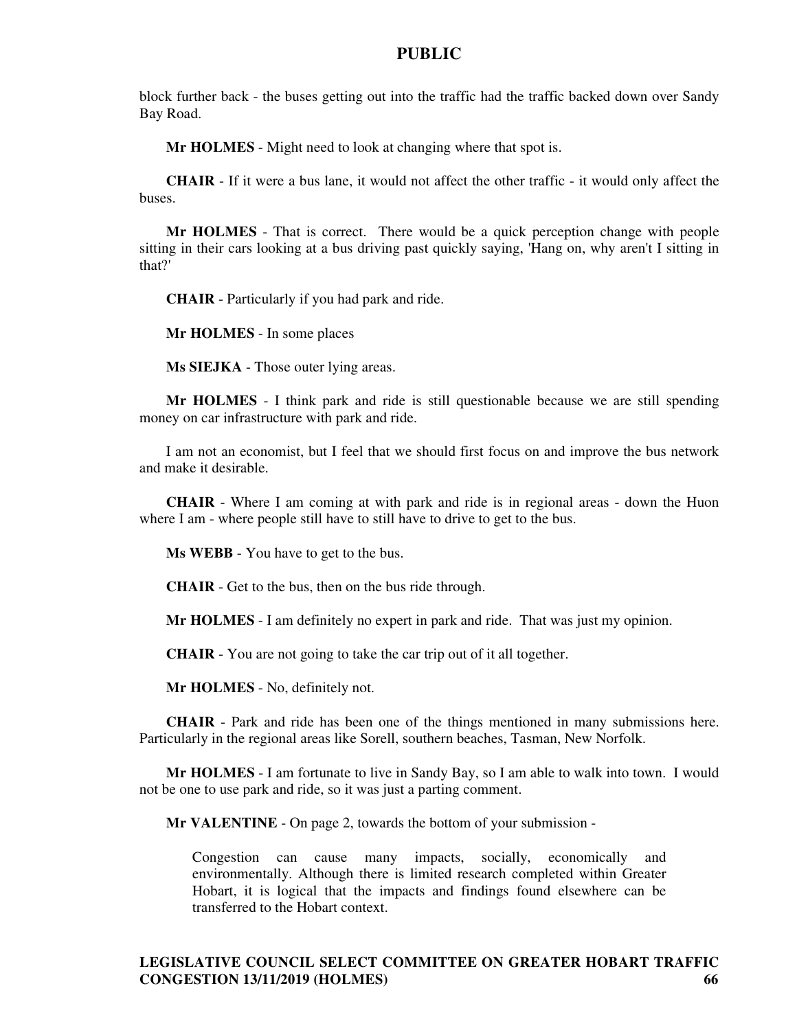block further back - the buses getting out into the traffic had the traffic backed down over Sandy Bay Road.

**Mr HOLMES** - Might need to look at changing where that spot is.

**CHAIR** - If it were a bus lane, it would not affect the other traffic - it would only affect the buses.

**Mr HOLMES** - That is correct. There would be a quick perception change with people sitting in their cars looking at a bus driving past quickly saying, 'Hang on, why aren't I sitting in that?'

**CHAIR** - Particularly if you had park and ride.

**Mr HOLMES** - In some places

**Ms SIEJKA** - Those outer lying areas.

**Mr HOLMES** - I think park and ride is still questionable because we are still spending money on car infrastructure with park and ride.

I am not an economist, but I feel that we should first focus on and improve the bus network and make it desirable.

**CHAIR** - Where I am coming at with park and ride is in regional areas - down the Huon where I am - where people still have to still have to drive to get to the bus.

**Ms WEBB** - You have to get to the bus.

**CHAIR** - Get to the bus, then on the bus ride through.

**Mr HOLMES** - I am definitely no expert in park and ride. That was just my opinion.

**CHAIR** - You are not going to take the car trip out of it all together.

**Mr HOLMES** - No, definitely not.

**CHAIR** - Park and ride has been one of the things mentioned in many submissions here. Particularly in the regional areas like Sorell, southern beaches, Tasman, New Norfolk.

**Mr HOLMES** - I am fortunate to live in Sandy Bay, so I am able to walk into town. I would not be one to use park and ride, so it was just a parting comment.

**Mr VALENTINE** - On page 2, towards the bottom of your submission -

Congestion can cause many impacts, socially, economically and environmentally. Although there is limited research completed within Greater Hobart, it is logical that the impacts and findings found elsewhere can be transferred to the Hobart context.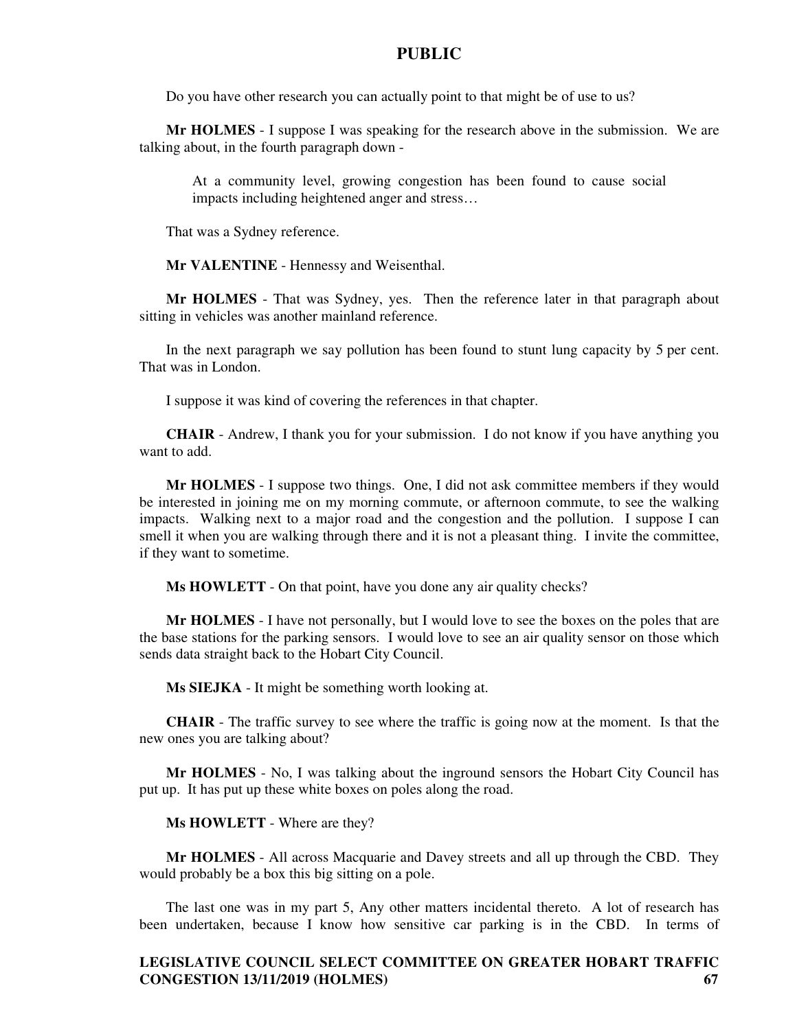Do you have other research you can actually point to that might be of use to us?

**Mr HOLMES** - I suppose I was speaking for the research above in the submission. We are talking about, in the fourth paragraph down -

At a community level, growing congestion has been found to cause social impacts including heightened anger and stress…

That was a Sydney reference.

**Mr VALENTINE** - Hennessy and Weisenthal.

**Mr HOLMES** - That was Sydney, yes. Then the reference later in that paragraph about sitting in vehicles was another mainland reference.

In the next paragraph we say pollution has been found to stunt lung capacity by 5 per cent. That was in London.

I suppose it was kind of covering the references in that chapter.

**CHAIR** - Andrew, I thank you for your submission. I do not know if you have anything you want to add.

**Mr HOLMES** - I suppose two things. One, I did not ask committee members if they would be interested in joining me on my morning commute, or afternoon commute, to see the walking impacts. Walking next to a major road and the congestion and the pollution. I suppose I can smell it when you are walking through there and it is not a pleasant thing. I invite the committee, if they want to sometime.

**Ms HOWLETT** - On that point, have you done any air quality checks?

**Mr HOLMES** - I have not personally, but I would love to see the boxes on the poles that are the base stations for the parking sensors. I would love to see an air quality sensor on those which sends data straight back to the Hobart City Council.

**Ms SIEJKA** - It might be something worth looking at.

**CHAIR** - The traffic survey to see where the traffic is going now at the moment. Is that the new ones you are talking about?

**Mr HOLMES** - No, I was talking about the inground sensors the Hobart City Council has put up. It has put up these white boxes on poles along the road.

**Ms HOWLETT** - Where are they?

**Mr HOLMES** - All across Macquarie and Davey streets and all up through the CBD. They would probably be a box this big sitting on a pole.

The last one was in my part 5, Any other matters incidental thereto. A lot of research has been undertaken, because I know how sensitive car parking is in the CBD. In terms of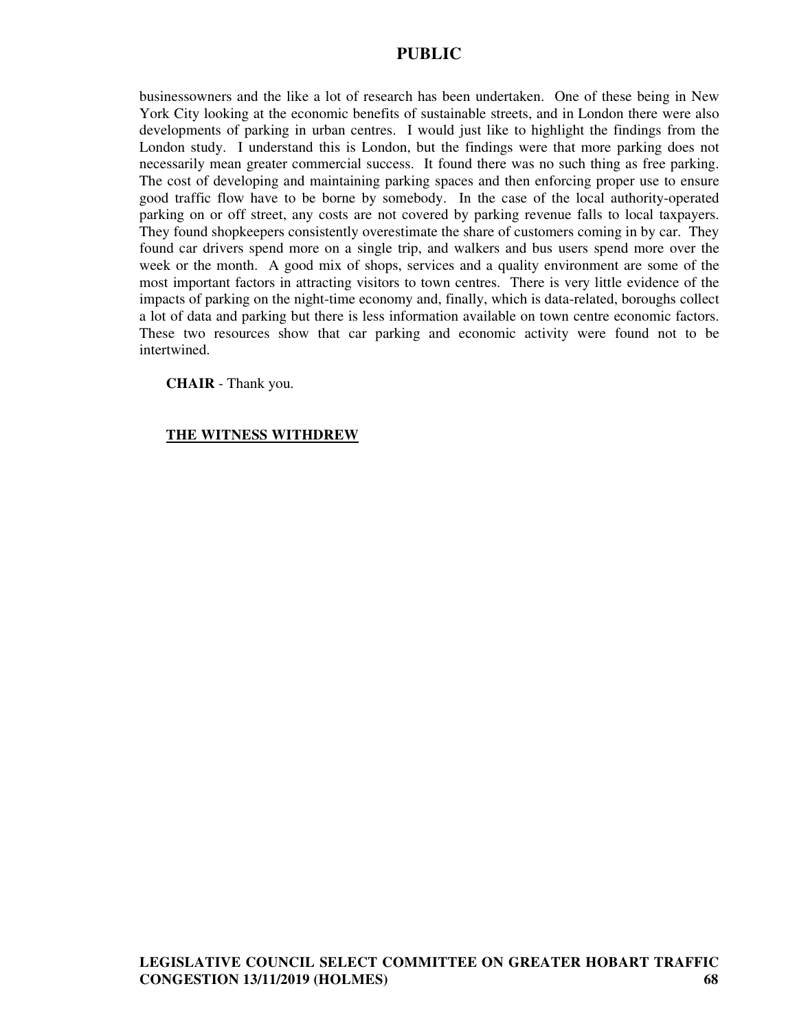businessowners and the like a lot of research has been undertaken. One of these being in New York City looking at the economic benefits of sustainable streets, and in London there were also developments of parking in urban centres. I would just like to highlight the findings from the London study. I understand this is London, but the findings were that more parking does not necessarily mean greater commercial success. It found there was no such thing as free parking. The cost of developing and maintaining parking spaces and then enforcing proper use to ensure good traffic flow have to be borne by somebody. In the case of the local authority-operated parking on or off street, any costs are not covered by parking revenue falls to local taxpayers. They found shopkeepers consistently overestimate the share of customers coming in by car. They found car drivers spend more on a single trip, and walkers and bus users spend more over the week or the month. A good mix of shops, services and a quality environment are some of the most important factors in attracting visitors to town centres. There is very little evidence of the impacts of parking on the night-time economy and, finally, which is data-related, boroughs collect a lot of data and parking but there is less information available on town centre economic factors. These two resources show that car parking and economic activity were found not to be intertwined.

**CHAIR** - Thank you.

# **THE WITNESS WITHDREW**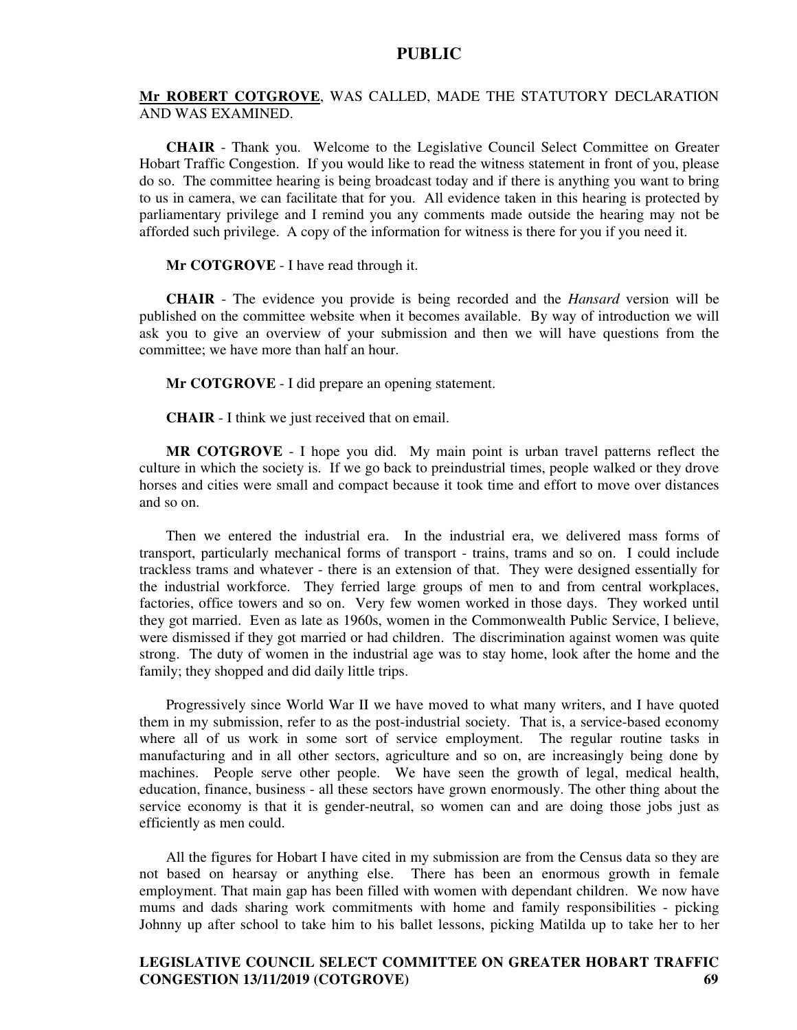#### **Mr ROBERT COTGROVE**, WAS CALLED, MADE THE STATUTORY DECLARATION AND WAS EXAMINED.

**CHAIR** - Thank you. Welcome to the Legislative Council Select Committee on Greater Hobart Traffic Congestion. If you would like to read the witness statement in front of you, please do so. The committee hearing is being broadcast today and if there is anything you want to bring to us in camera, we can facilitate that for you. All evidence taken in this hearing is protected by parliamentary privilege and I remind you any comments made outside the hearing may not be afforded such privilege. A copy of the information for witness is there for you if you need it.

**Mr COTGROVE** - I have read through it.

**CHAIR** - The evidence you provide is being recorded and the *Hansard* version will be published on the committee website when it becomes available. By way of introduction we will ask you to give an overview of your submission and then we will have questions from the committee; we have more than half an hour.

**Mr COTGROVE** - I did prepare an opening statement.

**CHAIR** - I think we just received that on email.

**MR COTGROVE** - I hope you did. My main point is urban travel patterns reflect the culture in which the society is. If we go back to preindustrial times, people walked or they drove horses and cities were small and compact because it took time and effort to move over distances and so on.

Then we entered the industrial era. In the industrial era, we delivered mass forms of transport, particularly mechanical forms of transport - trains, trams and so on. I could include trackless trams and whatever - there is an extension of that. They were designed essentially for the industrial workforce. They ferried large groups of men to and from central workplaces, factories, office towers and so on. Very few women worked in those days. They worked until they got married. Even as late as 1960s, women in the Commonwealth Public Service, I believe, were dismissed if they got married or had children. The discrimination against women was quite strong. The duty of women in the industrial age was to stay home, look after the home and the family; they shopped and did daily little trips.

Progressively since World War II we have moved to what many writers, and I have quoted them in my submission, refer to as the post-industrial society. That is, a service-based economy where all of us work in some sort of service employment. The regular routine tasks in manufacturing and in all other sectors, agriculture and so on, are increasingly being done by machines. People serve other people. We have seen the growth of legal, medical health, education, finance, business - all these sectors have grown enormously. The other thing about the service economy is that it is gender-neutral, so women can and are doing those jobs just as efficiently as men could.

All the figures for Hobart I have cited in my submission are from the Census data so they are not based on hearsay or anything else. There has been an enormous growth in female employment. That main gap has been filled with women with dependant children. We now have mums and dads sharing work commitments with home and family responsibilities - picking Johnny up after school to take him to his ballet lessons, picking Matilda up to take her to her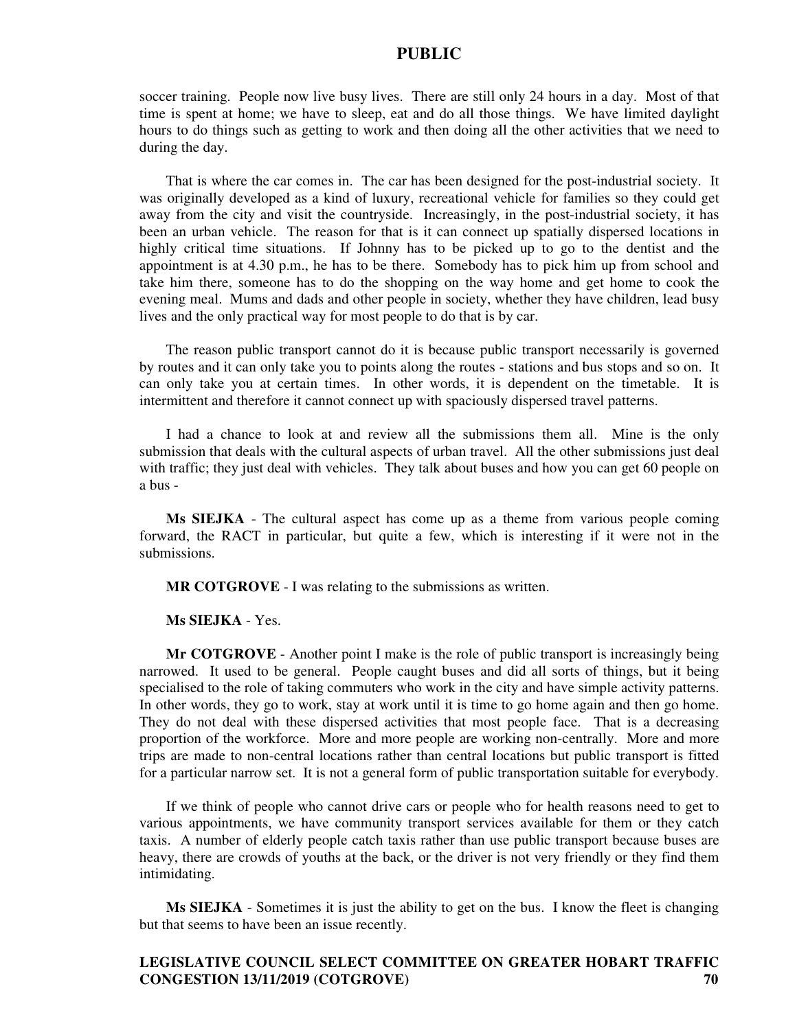soccer training. People now live busy lives. There are still only 24 hours in a day. Most of that time is spent at home; we have to sleep, eat and do all those things. We have limited daylight hours to do things such as getting to work and then doing all the other activities that we need to during the day.

That is where the car comes in. The car has been designed for the post-industrial society. It was originally developed as a kind of luxury, recreational vehicle for families so they could get away from the city and visit the countryside. Increasingly, in the post-industrial society, it has been an urban vehicle. The reason for that is it can connect up spatially dispersed locations in highly critical time situations. If Johnny has to be picked up to go to the dentist and the appointment is at 4.30 p.m., he has to be there. Somebody has to pick him up from school and take him there, someone has to do the shopping on the way home and get home to cook the evening meal. Mums and dads and other people in society, whether they have children, lead busy lives and the only practical way for most people to do that is by car.

The reason public transport cannot do it is because public transport necessarily is governed by routes and it can only take you to points along the routes - stations and bus stops and so on. It can only take you at certain times. In other words, it is dependent on the timetable. It is intermittent and therefore it cannot connect up with spaciously dispersed travel patterns.

I had a chance to look at and review all the submissions them all. Mine is the only submission that deals with the cultural aspects of urban travel. All the other submissions just deal with traffic; they just deal with vehicles. They talk about buses and how you can get 60 people on a bus -

**Ms SIEJKA** - The cultural aspect has come up as a theme from various people coming forward, the RACT in particular, but quite a few, which is interesting if it were not in the submissions.

**MR COTGROVE** - I was relating to the submissions as written.

**Ms SIEJKA** - Yes.

**Mr COTGROVE** - Another point I make is the role of public transport is increasingly being narrowed. It used to be general. People caught buses and did all sorts of things, but it being specialised to the role of taking commuters who work in the city and have simple activity patterns. In other words, they go to work, stay at work until it is time to go home again and then go home. They do not deal with these dispersed activities that most people face. That is a decreasing proportion of the workforce. More and more people are working non-centrally. More and more trips are made to non-central locations rather than central locations but public transport is fitted for a particular narrow set. It is not a general form of public transportation suitable for everybody.

If we think of people who cannot drive cars or people who for health reasons need to get to various appointments, we have community transport services available for them or they catch taxis. A number of elderly people catch taxis rather than use public transport because buses are heavy, there are crowds of youths at the back, or the driver is not very friendly or they find them intimidating.

**Ms SIEJKA** - Sometimes it is just the ability to get on the bus. I know the fleet is changing but that seems to have been an issue recently.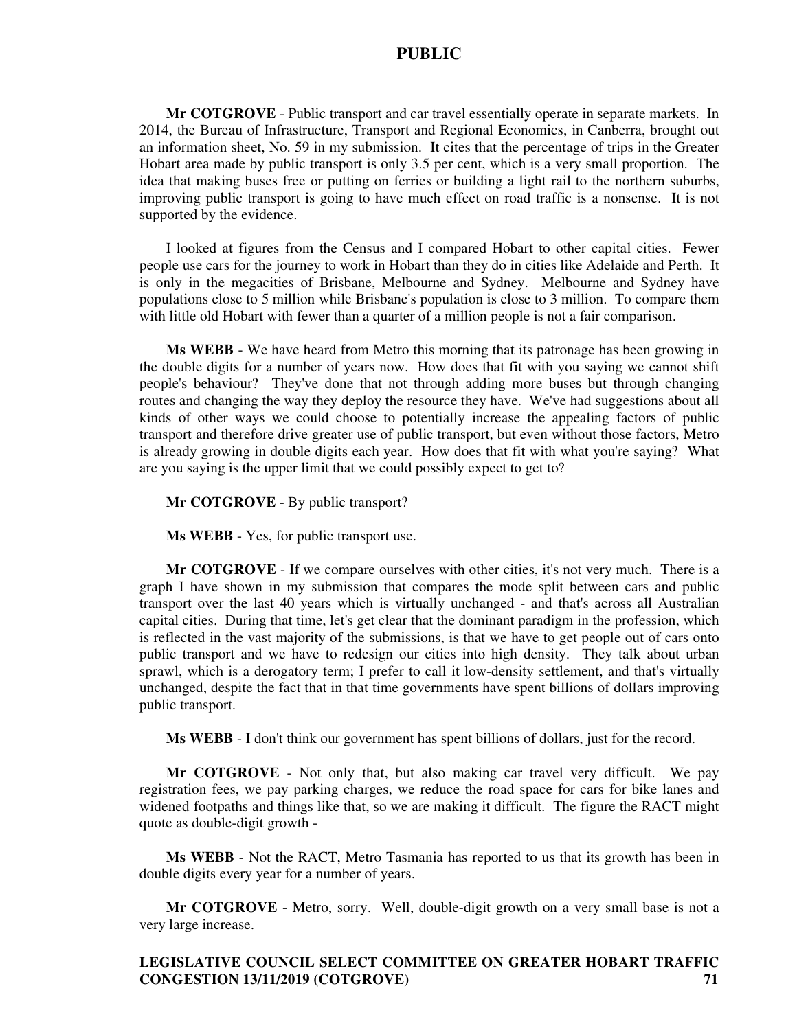**Mr COTGROVE** - Public transport and car travel essentially operate in separate markets. In 2014, the Bureau of Infrastructure, Transport and Regional Economics, in Canberra, brought out an information sheet, No. 59 in my submission. It cites that the percentage of trips in the Greater Hobart area made by public transport is only 3.5 per cent, which is a very small proportion. The idea that making buses free or putting on ferries or building a light rail to the northern suburbs, improving public transport is going to have much effect on road traffic is a nonsense. It is not supported by the evidence.

I looked at figures from the Census and I compared Hobart to other capital cities. Fewer people use cars for the journey to work in Hobart than they do in cities like Adelaide and Perth. It is only in the megacities of Brisbane, Melbourne and Sydney. Melbourne and Sydney have populations close to 5 million while Brisbane's population is close to 3 million. To compare them with little old Hobart with fewer than a quarter of a million people is not a fair comparison.

**Ms WEBB** - We have heard from Metro this morning that its patronage has been growing in the double digits for a number of years now. How does that fit with you saying we cannot shift people's behaviour? They've done that not through adding more buses but through changing routes and changing the way they deploy the resource they have. We've had suggestions about all kinds of other ways we could choose to potentially increase the appealing factors of public transport and therefore drive greater use of public transport, but even without those factors, Metro is already growing in double digits each year. How does that fit with what you're saying? What are you saying is the upper limit that we could possibly expect to get to?

**Mr COTGROVE** - By public transport?

**Ms WEBB** - Yes, for public transport use.

**Mr COTGROVE** - If we compare ourselves with other cities, it's not very much. There is a graph I have shown in my submission that compares the mode split between cars and public transport over the last 40 years which is virtually unchanged - and that's across all Australian capital cities. During that time, let's get clear that the dominant paradigm in the profession, which is reflected in the vast majority of the submissions, is that we have to get people out of cars onto public transport and we have to redesign our cities into high density. They talk about urban sprawl, which is a derogatory term; I prefer to call it low-density settlement, and that's virtually unchanged, despite the fact that in that time governments have spent billions of dollars improving public transport.

**Ms WEBB** - I don't think our government has spent billions of dollars, just for the record.

**Mr COTGROVE** - Not only that, but also making car travel very difficult. We pay registration fees, we pay parking charges, we reduce the road space for cars for bike lanes and widened footpaths and things like that, so we are making it difficult. The figure the RACT might quote as double-digit growth -

**Ms WEBB** - Not the RACT, Metro Tasmania has reported to us that its growth has been in double digits every year for a number of years.

**Mr COTGROVE** - Metro, sorry. Well, double-digit growth on a very small base is not a very large increase.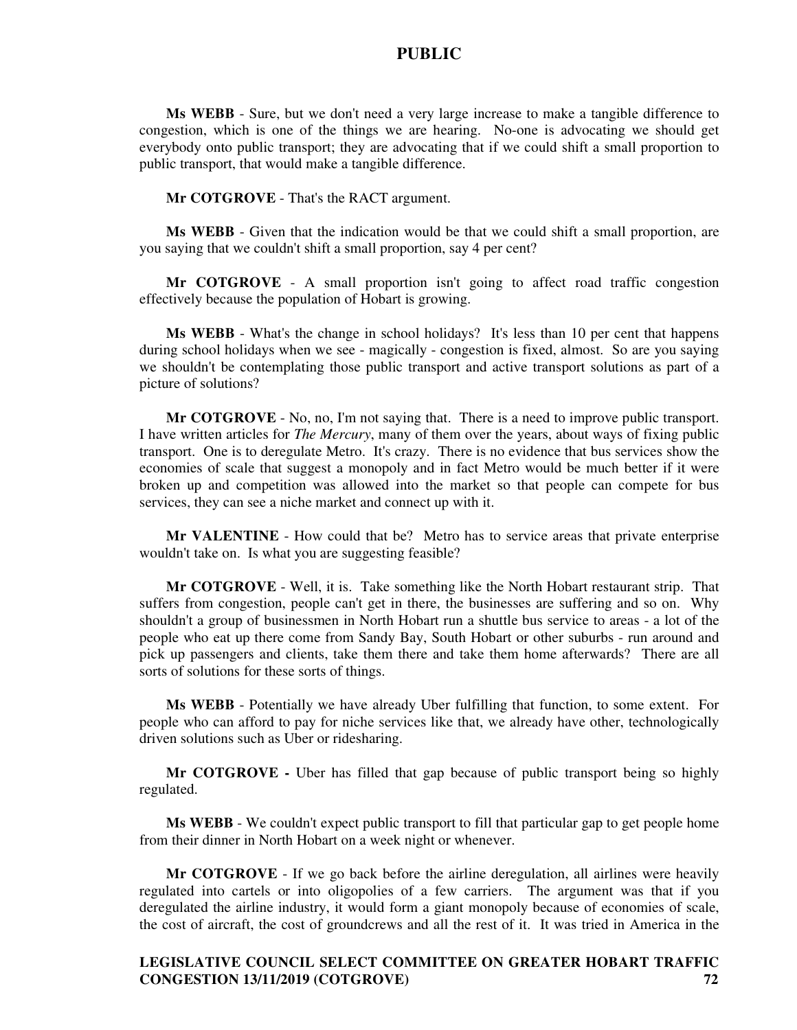**Ms WEBB** - Sure, but we don't need a very large increase to make a tangible difference to congestion, which is one of the things we are hearing. No-one is advocating we should get everybody onto public transport; they are advocating that if we could shift a small proportion to public transport, that would make a tangible difference.

**Mr COTGROVE** - That's the RACT argument.

**Ms WEBB** - Given that the indication would be that we could shift a small proportion, are you saying that we couldn't shift a small proportion, say 4 per cent?

**Mr COTGROVE** - A small proportion isn't going to affect road traffic congestion effectively because the population of Hobart is growing.

**Ms WEBB** - What's the change in school holidays? It's less than 10 per cent that happens during school holidays when we see - magically - congestion is fixed, almost. So are you saying we shouldn't be contemplating those public transport and active transport solutions as part of a picture of solutions?

**Mr COTGROVE** - No, no, I'm not saying that. There is a need to improve public transport. I have written articles for *The Mercury*, many of them over the years, about ways of fixing public transport. One is to deregulate Metro. It's crazy. There is no evidence that bus services show the economies of scale that suggest a monopoly and in fact Metro would be much better if it were broken up and competition was allowed into the market so that people can compete for bus services, they can see a niche market and connect up with it.

**Mr VALENTINE** - How could that be? Metro has to service areas that private enterprise wouldn't take on. Is what you are suggesting feasible?

**Mr COTGROVE** - Well, it is. Take something like the North Hobart restaurant strip. That suffers from congestion, people can't get in there, the businesses are suffering and so on. Why shouldn't a group of businessmen in North Hobart run a shuttle bus service to areas - a lot of the people who eat up there come from Sandy Bay, South Hobart or other suburbs - run around and pick up passengers and clients, take them there and take them home afterwards? There are all sorts of solutions for these sorts of things.

**Ms WEBB** - Potentially we have already Uber fulfilling that function, to some extent. For people who can afford to pay for niche services like that, we already have other, technologically driven solutions such as Uber or ridesharing.

**Mr COTGROVE -** Uber has filled that gap because of public transport being so highly regulated.

**Ms WEBB** - We couldn't expect public transport to fill that particular gap to get people home from their dinner in North Hobart on a week night or whenever.

**Mr COTGROVE** - If we go back before the airline deregulation, all airlines were heavily regulated into cartels or into oligopolies of a few carriers. The argument was that if you deregulated the airline industry, it would form a giant monopoly because of economies of scale, the cost of aircraft, the cost of groundcrews and all the rest of it. It was tried in America in the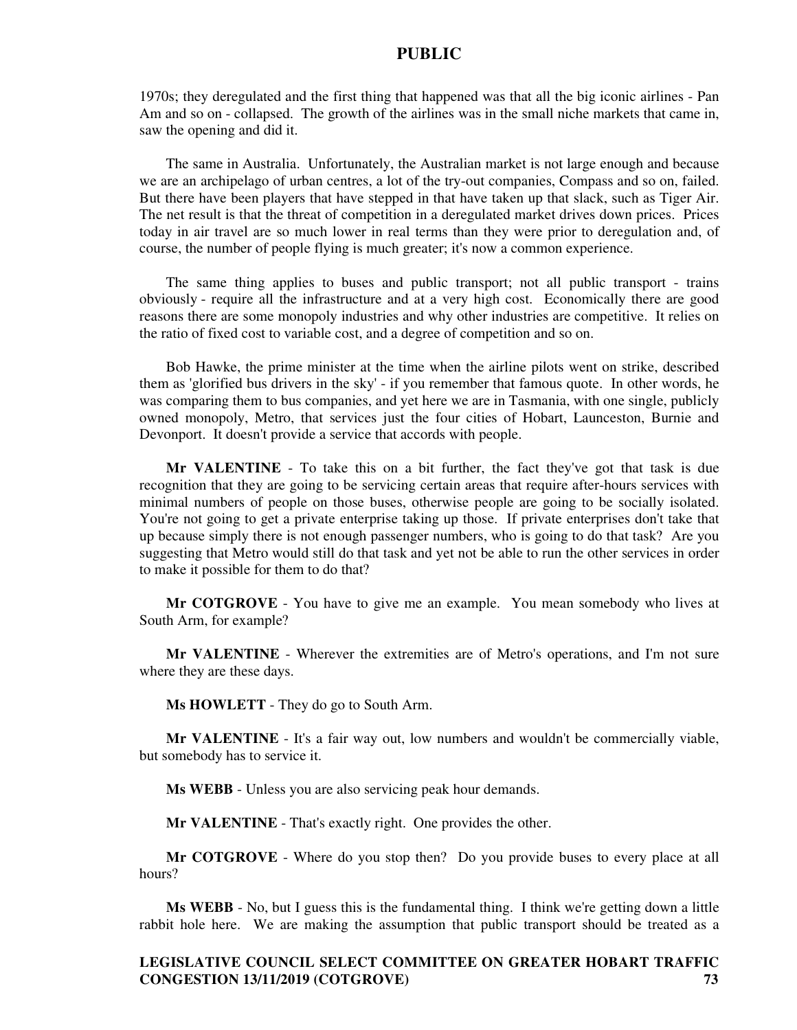1970s; they deregulated and the first thing that happened was that all the big iconic airlines - Pan Am and so on - collapsed. The growth of the airlines was in the small niche markets that came in, saw the opening and did it.

The same in Australia. Unfortunately, the Australian market is not large enough and because we are an archipelago of urban centres, a lot of the try-out companies, Compass and so on, failed. But there have been players that have stepped in that have taken up that slack, such as Tiger Air. The net result is that the threat of competition in a deregulated market drives down prices. Prices today in air travel are so much lower in real terms than they were prior to deregulation and, of course, the number of people flying is much greater; it's now a common experience.

The same thing applies to buses and public transport; not all public transport - trains obviously - require all the infrastructure and at a very high cost. Economically there are good reasons there are some monopoly industries and why other industries are competitive. It relies on the ratio of fixed cost to variable cost, and a degree of competition and so on.

Bob Hawke, the prime minister at the time when the airline pilots went on strike, described them as 'glorified bus drivers in the sky' - if you remember that famous quote. In other words, he was comparing them to bus companies, and yet here we are in Tasmania, with one single, publicly owned monopoly, Metro, that services just the four cities of Hobart, Launceston, Burnie and Devonport. It doesn't provide a service that accords with people.

**Mr VALENTINE** - To take this on a bit further, the fact they've got that task is due recognition that they are going to be servicing certain areas that require after-hours services with minimal numbers of people on those buses, otherwise people are going to be socially isolated. You're not going to get a private enterprise taking up those. If private enterprises don't take that up because simply there is not enough passenger numbers, who is going to do that task? Are you suggesting that Metro would still do that task and yet not be able to run the other services in order to make it possible for them to do that?

**Mr COTGROVE** - You have to give me an example. You mean somebody who lives at South Arm, for example?

**Mr VALENTINE** - Wherever the extremities are of Metro's operations, and I'm not sure where they are these days.

**Ms HOWLETT** - They do go to South Arm.

**Mr VALENTINE** - It's a fair way out, low numbers and wouldn't be commercially viable, but somebody has to service it.

**Ms WEBB** - Unless you are also servicing peak hour demands.

**Mr VALENTINE** - That's exactly right. One provides the other.

**Mr COTGROVE** - Where do you stop then? Do you provide buses to every place at all hours?

**Ms WEBB** - No, but I guess this is the fundamental thing. I think we're getting down a little rabbit hole here. We are making the assumption that public transport should be treated as a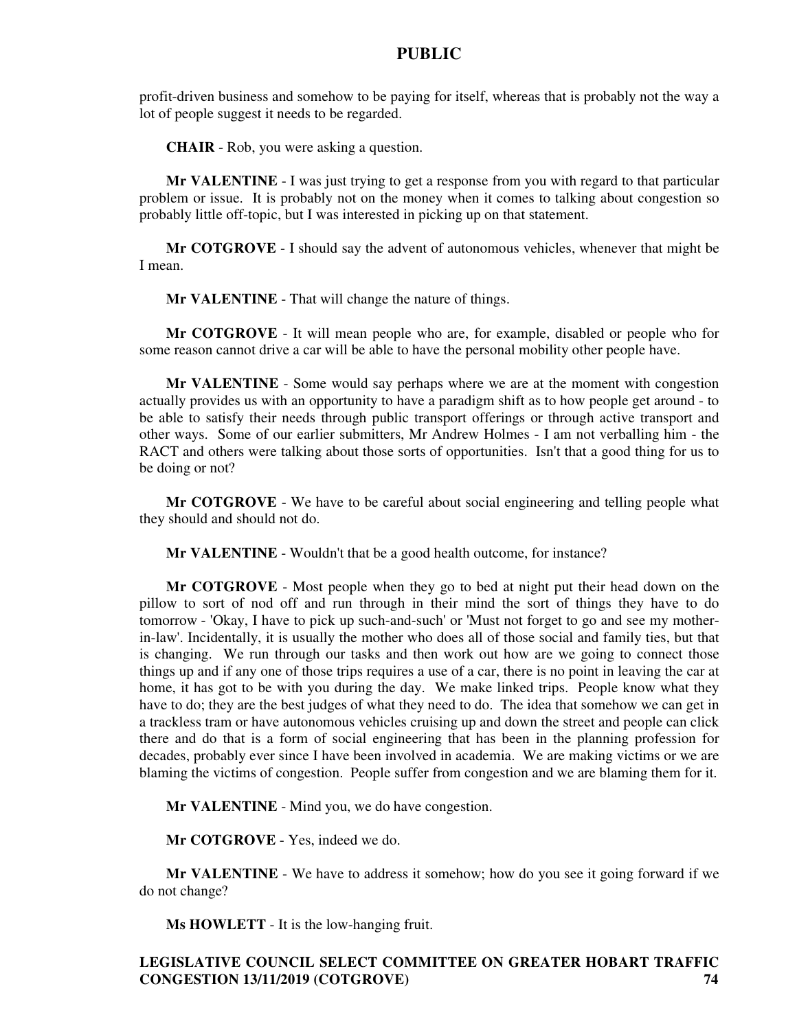profit-driven business and somehow to be paying for itself, whereas that is probably not the way a lot of people suggest it needs to be regarded.

**CHAIR** - Rob, you were asking a question.

**Mr VALENTINE** - I was just trying to get a response from you with regard to that particular problem or issue. It is probably not on the money when it comes to talking about congestion so probably little off-topic, but I was interested in picking up on that statement.

**Mr COTGROVE** - I should say the advent of autonomous vehicles, whenever that might be I mean.

**Mr VALENTINE** - That will change the nature of things.

**Mr COTGROVE** - It will mean people who are, for example, disabled or people who for some reason cannot drive a car will be able to have the personal mobility other people have.

**Mr VALENTINE** - Some would say perhaps where we are at the moment with congestion actually provides us with an opportunity to have a paradigm shift as to how people get around - to be able to satisfy their needs through public transport offerings or through active transport and other ways. Some of our earlier submitters, Mr Andrew Holmes - I am not verballing him - the RACT and others were talking about those sorts of opportunities. Isn't that a good thing for us to be doing or not?

**Mr COTGROVE** - We have to be careful about social engineering and telling people what they should and should not do.

**Mr VALENTINE** - Wouldn't that be a good health outcome, for instance?

**Mr COTGROVE** - Most people when they go to bed at night put their head down on the pillow to sort of nod off and run through in their mind the sort of things they have to do tomorrow - 'Okay, I have to pick up such-and-such' or 'Must not forget to go and see my motherin-law'. Incidentally, it is usually the mother who does all of those social and family ties, but that is changing. We run through our tasks and then work out how are we going to connect those things up and if any one of those trips requires a use of a car, there is no point in leaving the car at home, it has got to be with you during the day. We make linked trips. People know what they have to do; they are the best judges of what they need to do. The idea that somehow we can get in a trackless tram or have autonomous vehicles cruising up and down the street and people can click there and do that is a form of social engineering that has been in the planning profession for decades, probably ever since I have been involved in academia. We are making victims or we are blaming the victims of congestion. People suffer from congestion and we are blaming them for it.

**Mr VALENTINE** - Mind you, we do have congestion.

**Mr COTGROVE** - Yes, indeed we do.

**Mr VALENTINE** - We have to address it somehow; how do you see it going forward if we do not change?

**Ms HOWLETT** - It is the low-hanging fruit.

## **LEGISLATIVE COUNCIL SELECT COMMITTEE ON GREATER HOBART TRAFFIC CONGESTION 13/11/2019 (COTGROVE) 74**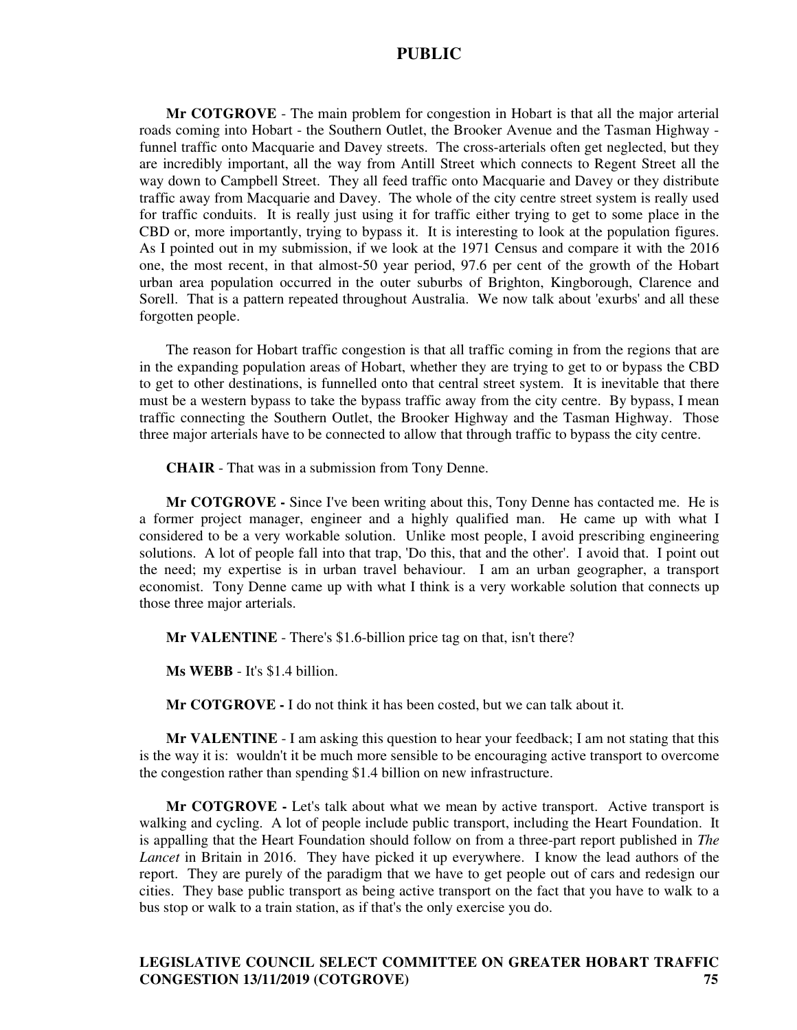**Mr COTGROVE** - The main problem for congestion in Hobart is that all the major arterial roads coming into Hobart - the Southern Outlet, the Brooker Avenue and the Tasman Highway funnel traffic onto Macquarie and Davey streets. The cross-arterials often get neglected, but they are incredibly important, all the way from Antill Street which connects to Regent Street all the way down to Campbell Street. They all feed traffic onto Macquarie and Davey or they distribute traffic away from Macquarie and Davey. The whole of the city centre street system is really used for traffic conduits. It is really just using it for traffic either trying to get to some place in the CBD or, more importantly, trying to bypass it. It is interesting to look at the population figures. As I pointed out in my submission, if we look at the 1971 Census and compare it with the 2016 one, the most recent, in that almost-50 year period, 97.6 per cent of the growth of the Hobart urban area population occurred in the outer suburbs of Brighton, Kingborough, Clarence and Sorell. That is a pattern repeated throughout Australia. We now talk about 'exurbs' and all these forgotten people.

The reason for Hobart traffic congestion is that all traffic coming in from the regions that are in the expanding population areas of Hobart, whether they are trying to get to or bypass the CBD to get to other destinations, is funnelled onto that central street system. It is inevitable that there must be a western bypass to take the bypass traffic away from the city centre. By bypass, I mean traffic connecting the Southern Outlet, the Brooker Highway and the Tasman Highway. Those three major arterials have to be connected to allow that through traffic to bypass the city centre.

**CHAIR** - That was in a submission from Tony Denne.

**Mr COTGROVE -** Since I've been writing about this, Tony Denne has contacted me. He is a former project manager, engineer and a highly qualified man. He came up with what I considered to be a very workable solution. Unlike most people, I avoid prescribing engineering solutions. A lot of people fall into that trap, 'Do this, that and the other'. I avoid that. I point out the need; my expertise is in urban travel behaviour. I am an urban geographer, a transport economist. Tony Denne came up with what I think is a very workable solution that connects up those three major arterials.

**Mr VALENTINE** - There's \$1.6-billion price tag on that, isn't there?

**Ms WEBB** - It's \$1.4 billion.

**Mr COTGROVE -** I do not think it has been costed, but we can talk about it.

**Mr VALENTINE** - I am asking this question to hear your feedback; I am not stating that this is the way it is: wouldn't it be much more sensible to be encouraging active transport to overcome the congestion rather than spending \$1.4 billion on new infrastructure.

**Mr COTGROVE** - Let's talk about what we mean by active transport. Active transport is walking and cycling. A lot of people include public transport, including the Heart Foundation. It is appalling that the Heart Foundation should follow on from a three-part report published in *The Lancet* in Britain in 2016. They have picked it up everywhere. I know the lead authors of the report. They are purely of the paradigm that we have to get people out of cars and redesign our cities. They base public transport as being active transport on the fact that you have to walk to a bus stop or walk to a train station, as if that's the only exercise you do.